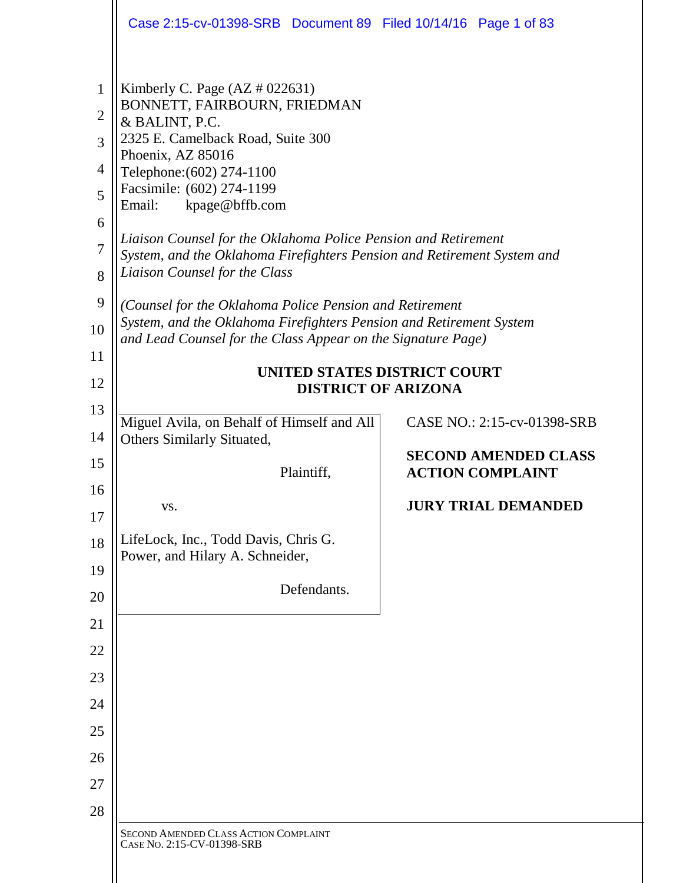|                                                                                     | Case 2:15-cv-01398-SRB Document 89 Filed 10/14/16 Page 1 of 83                                                                                                                                                                                                                                                                                                                                                                                                                                                                                                                                                                                                                    |                                                        |
|-------------------------------------------------------------------------------------|-----------------------------------------------------------------------------------------------------------------------------------------------------------------------------------------------------------------------------------------------------------------------------------------------------------------------------------------------------------------------------------------------------------------------------------------------------------------------------------------------------------------------------------------------------------------------------------------------------------------------------------------------------------------------------------|--------------------------------------------------------|
| $\mathbf{1}$<br>$\overline{2}$<br>3<br>4<br>5<br>6<br>7<br>8<br>9<br>10<br>11<br>12 | Kimberly C. Page $(AZ \# 022631)$<br>BONNETT, FAIRBOURN, FRIEDMAN<br>& BALINT, P.C.<br>2325 E. Camelback Road, Suite 300<br>Phoenix, AZ 85016<br>Telephone: (602) 274-1100<br>Facsimile: (602) 274-1199<br>kpage@bffb.com<br>Email:<br>Liaison Counsel for the Oklahoma Police Pension and Retirement<br>System, and the Oklahoma Firefighters Pension and Retirement System and<br>Liaison Counsel for the Class<br>(Counsel for the Oklahoma Police Pension and Retirement<br>System, and the Oklahoma Firefighters Pension and Retirement System<br>and Lead Counsel for the Class Appear on the Signature Page)<br>UNITED STATES DISTRICT COURT<br><b>DISTRICT OF ARIZONA</b> |                                                        |
| 13                                                                                  | Miguel Avila, on Behalf of Himself and All                                                                                                                                                                                                                                                                                                                                                                                                                                                                                                                                                                                                                                        | CASE NO.: 2:15-cv-01398-SRB                            |
| 14                                                                                  | Others Similarly Situated,                                                                                                                                                                                                                                                                                                                                                                                                                                                                                                                                                                                                                                                        |                                                        |
| 15                                                                                  | Plaintiff,                                                                                                                                                                                                                                                                                                                                                                                                                                                                                                                                                                                                                                                                        | <b>SECOND AMENDED CLASS</b><br><b>ACTION COMPLAINT</b> |
| 16<br>17                                                                            | VS.                                                                                                                                                                                                                                                                                                                                                                                                                                                                                                                                                                                                                                                                               | <b>JURY TRIAL DEMANDED</b>                             |
| 18                                                                                  | LifeLock, Inc., Todd Davis, Chris G.                                                                                                                                                                                                                                                                                                                                                                                                                                                                                                                                                                                                                                              |                                                        |
| 19                                                                                  | Power, and Hilary A. Schneider,                                                                                                                                                                                                                                                                                                                                                                                                                                                                                                                                                                                                                                                   |                                                        |
| 20                                                                                  | Defendants.                                                                                                                                                                                                                                                                                                                                                                                                                                                                                                                                                                                                                                                                       |                                                        |
| 21                                                                                  |                                                                                                                                                                                                                                                                                                                                                                                                                                                                                                                                                                                                                                                                                   |                                                        |
| 22                                                                                  |                                                                                                                                                                                                                                                                                                                                                                                                                                                                                                                                                                                                                                                                                   |                                                        |
| 23                                                                                  |                                                                                                                                                                                                                                                                                                                                                                                                                                                                                                                                                                                                                                                                                   |                                                        |
| 24                                                                                  |                                                                                                                                                                                                                                                                                                                                                                                                                                                                                                                                                                                                                                                                                   |                                                        |
| 25                                                                                  |                                                                                                                                                                                                                                                                                                                                                                                                                                                                                                                                                                                                                                                                                   |                                                        |
| 26                                                                                  |                                                                                                                                                                                                                                                                                                                                                                                                                                                                                                                                                                                                                                                                                   |                                                        |
| 27                                                                                  |                                                                                                                                                                                                                                                                                                                                                                                                                                                                                                                                                                                                                                                                                   |                                                        |
| 28                                                                                  |                                                                                                                                                                                                                                                                                                                                                                                                                                                                                                                                                                                                                                                                                   |                                                        |
|                                                                                     | <b>SECOND AMENDED CLASS ACTION COMPLAINT</b><br>CASE NO. 2:15-CV-01398-SRB                                                                                                                                                                                                                                                                                                                                                                                                                                                                                                                                                                                                        |                                                        |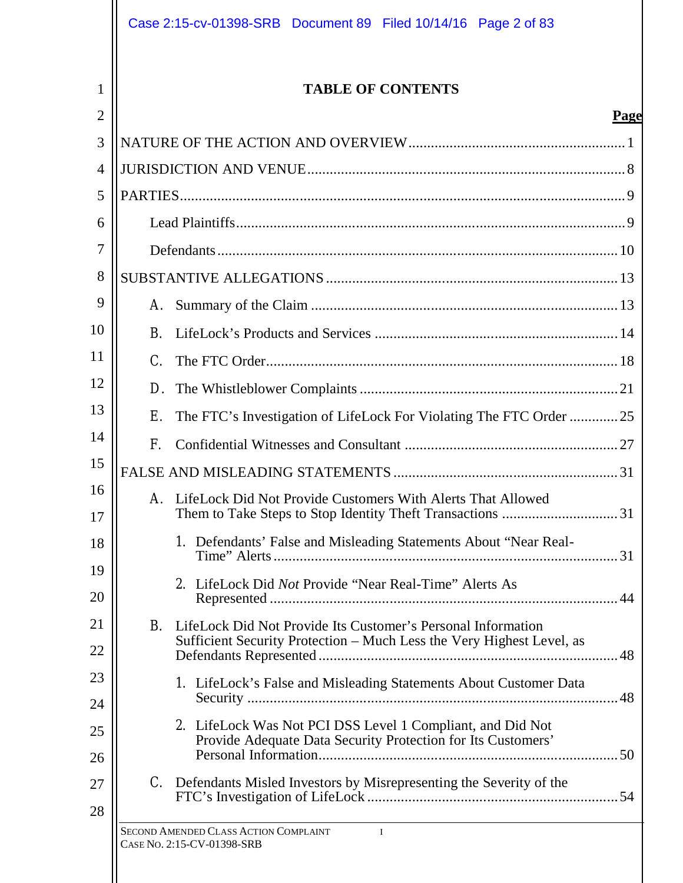|                |             | Case 2:15-cv-01398-SRB Document 89 Filed 10/14/16 Page 2 of 83                                                             |
|----------------|-------------|----------------------------------------------------------------------------------------------------------------------------|
| 1              |             | <b>TABLE OF CONTENTS</b>                                                                                                   |
| $\overline{2}$ |             | Page                                                                                                                       |
| 3              |             |                                                                                                                            |
| $\overline{4}$ |             |                                                                                                                            |
| 5              |             |                                                                                                                            |
| 6              |             |                                                                                                                            |
| 7              |             |                                                                                                                            |
| 8              |             |                                                                                                                            |
| 9              |             |                                                                                                                            |
| 10             | B.          |                                                                                                                            |
| 11             | $C_{\cdot}$ |                                                                                                                            |
| 12             | D.          |                                                                                                                            |
| 13             | Е.          | The FTC's Investigation of LifeLock For Violating The FTC Order 25                                                         |
| 14             | F.          |                                                                                                                            |
| 15             |             |                                                                                                                            |
| 16<br>17       |             | A. LifeLock Did Not Provide Customers With Alerts That Allowed                                                             |
| 18             |             | 1. Defendants' False and Misleading Statements About "Near Real-                                                           |
| 19<br>20       |             | 2. LifeLock Did Not Provide "Near Real-Time" Alerts As                                                                     |
| 21             | B.          | LifeLock Did Not Provide Its Customer's Personal Information                                                               |
| 22             |             | Sufficient Security Protection - Much Less the Very Highest Level, as                                                      |
| 23             |             | 1. LifeLock's False and Misleading Statements About Customer Data                                                          |
| 24             |             |                                                                                                                            |
| 25<br>26       |             | 2. LifeLock Was Not PCI DSS Level 1 Compliant, and Did Not<br>Provide Adequate Data Security Protection for Its Customers' |
| 27             |             | C. Defendants Misled Investors by Misrepresenting the Severity of the                                                      |
| 28             |             |                                                                                                                            |
|                |             | SECOND AMENDED CLASS ACTION COMPLAINT<br>$\blacksquare$<br>CASE No. 2:15-CV-01398-SRB                                      |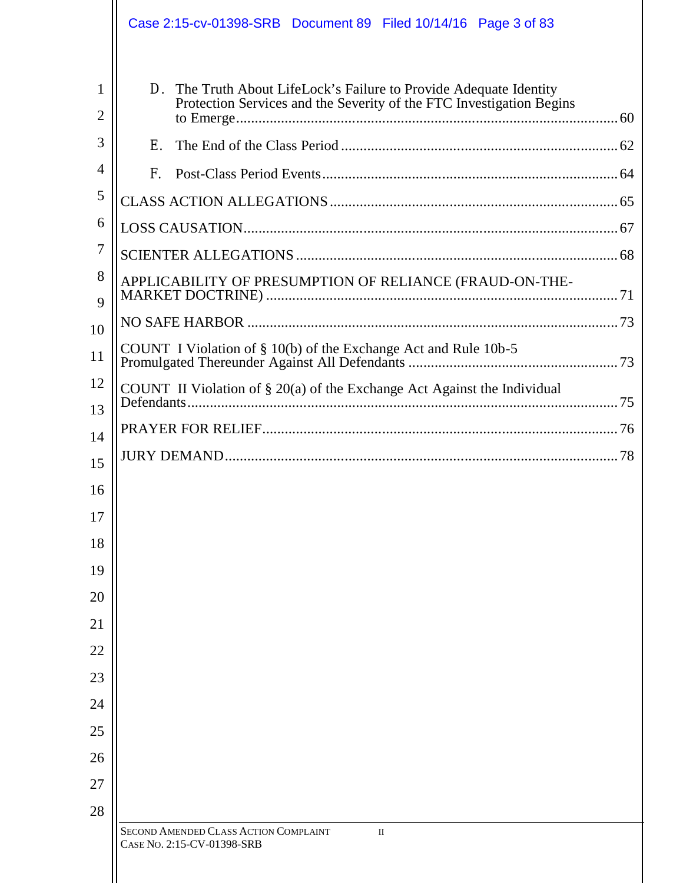|                     |             | Case 2:15-cv-01398-SRB Document 89 Filed 10/14/16 Page 3 of 83                                                                             |  |
|---------------------|-------------|--------------------------------------------------------------------------------------------------------------------------------------------|--|
| 1<br>$\overline{2}$ |             | D. The Truth About LifeLock's Failure to Provide Adequate Identity<br>Protection Services and the Severity of the FTC Investigation Begins |  |
| 3                   | F.          |                                                                                                                                            |  |
| $\overline{4}$      | $F_{\perp}$ |                                                                                                                                            |  |
| 5                   |             |                                                                                                                                            |  |
| 6                   |             |                                                                                                                                            |  |
| 7                   |             |                                                                                                                                            |  |
| 8<br>9              |             | APPLICABILITY OF PRESUMPTION OF RELIANCE (FRAUD-ON-THE-                                                                                    |  |
| 10                  |             |                                                                                                                                            |  |
| 11                  |             | COUNT I Violation of $\S$ 10(b) of the Exchange Act and Rule 10b-5                                                                         |  |
| 12<br>13            |             | COUNT II Violation of $\S 20(a)$ of the Exchange Act Against the Individual                                                                |  |
| 14                  |             |                                                                                                                                            |  |
| 15                  |             |                                                                                                                                            |  |
| 16                  |             |                                                                                                                                            |  |
| 17                  |             |                                                                                                                                            |  |
| 18                  |             |                                                                                                                                            |  |
| 19                  |             |                                                                                                                                            |  |
| 20                  |             |                                                                                                                                            |  |
| 21                  |             |                                                                                                                                            |  |
| 22                  |             |                                                                                                                                            |  |
| 23                  |             |                                                                                                                                            |  |
| 24                  |             |                                                                                                                                            |  |
| 25                  |             |                                                                                                                                            |  |
| 26                  |             |                                                                                                                                            |  |
| 27                  |             |                                                                                                                                            |  |
| 28                  |             |                                                                                                                                            |  |
|                     |             | SECOND AMENDED CLASS ACTION COMPLAINT<br>П<br>CASE No. 2:15-CV-01398-SRB                                                                   |  |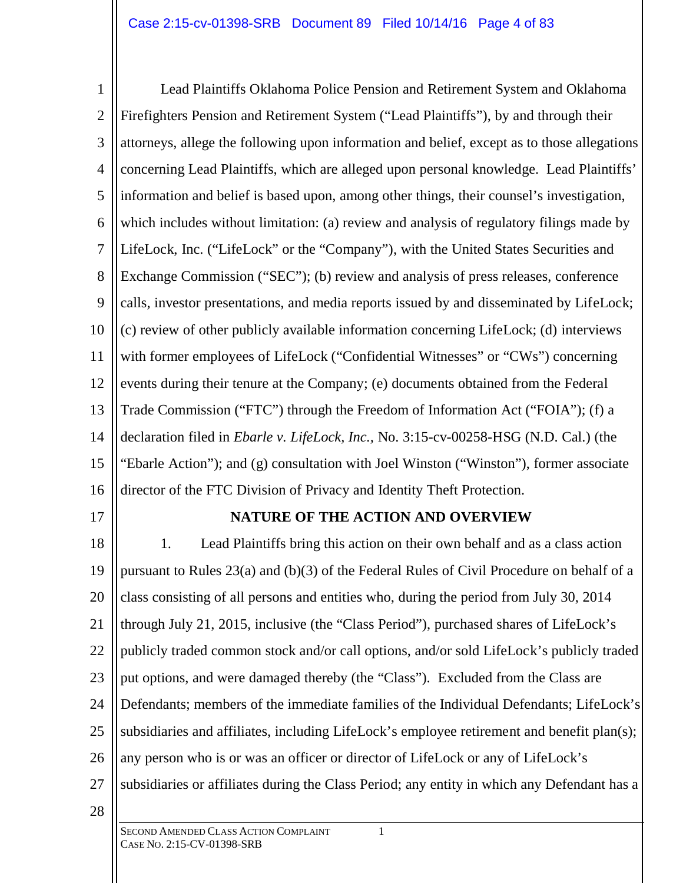1 2 3 4 5 6 7 8 9 10 11 12 13 14 15 16 Lead Plaintiffs Oklahoma Police Pension and Retirement System and Oklahoma Firefighters Pension and Retirement System ("Lead Plaintiffs"), by and through their attorneys, allege the following upon information and belief, except as to those allegations concerning Lead Plaintiffs, which are alleged upon personal knowledge. Lead Plaintiffs' information and belief is based upon, among other things, their counsel's investigation, which includes without limitation: (a) review and analysis of regulatory filings made by LifeLock, Inc. ("LifeLock" or the "Company"), with the United States Securities and Exchange Commission ("SEC"); (b) review and analysis of press releases, conference calls, investor presentations, and media reports issued by and disseminated by LifeLock; (c) review of other publicly available information concerning LifeLock; (d) interviews with former employees of LifeLock ("Confidential Witnesses" or "CWs") concerning events during their tenure at the Company; (e) documents obtained from the Federal Trade Commission ("FTC") through the Freedom of Information Act ("FOIA"); (f) a declaration filed in *Ebarle v. LifeLock, Inc.,* No. 3:15-cv-00258-HSG (N.D. Cal.) (the "Ebarle Action"); and (g) consultation with Joel Winston ("Winston"), former associate director of the FTC Division of Privacy and Identity Theft Protection.

17

### **NATURE OF THE ACTION AND OVERVIEW**

18 19 20 21 22 23 24 25 26 27 1. Lead Plaintiffs bring this action on their own behalf and as a class action pursuant to Rules 23(a) and (b)(3) of the Federal Rules of Civil Procedure on behalf of a class consisting of all persons and entities who, during the period from July 30, 2014 through July 21, 2015, inclusive (the "Class Period"), purchased shares of LifeLock's publicly traded common stock and/or call options, and/or sold LifeLock's publicly traded put options, and were damaged thereby (the "Class"). Excluded from the Class are Defendants; members of the immediate families of the Individual Defendants; LifeLock's subsidiaries and affiliates, including LifeLock's employee retirement and benefit plan(s); any person who is or was an officer or director of LifeLock or any of LifeLock's subsidiaries or affiliates during the Class Period; any entity in which any Defendant has a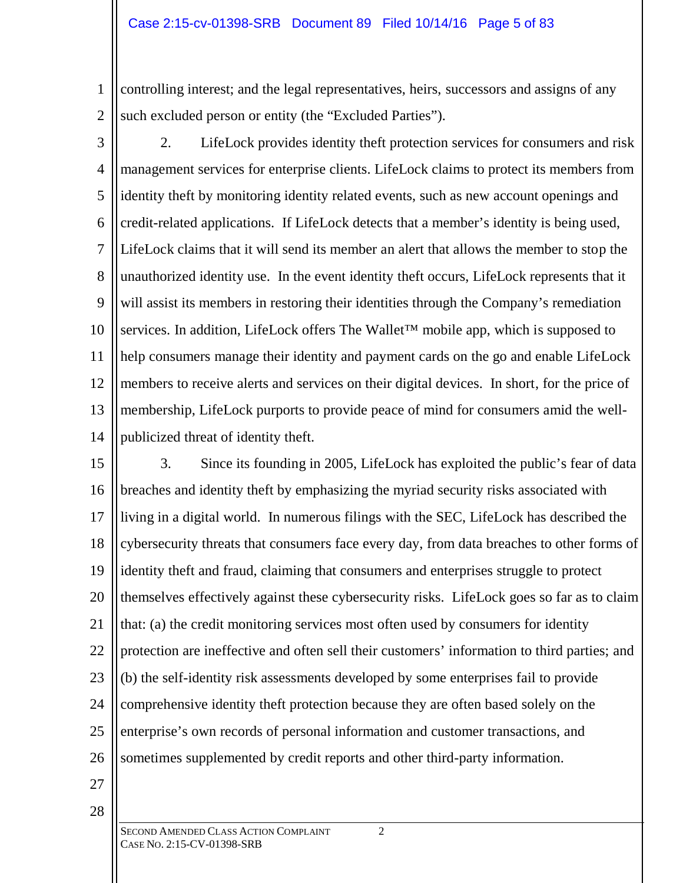1 2 controlling interest; and the legal representatives, heirs, successors and assigns of any such excluded person or entity (the "Excluded Parties").

3 4 5 6 7 8 9 10 11 12 13 14 2. LifeLock provides identity theft protection services for consumers and risk management services for enterprise clients. LifeLock claims to protect its members from identity theft by monitoring identity related events, such as new account openings and credit-related applications. If LifeLock detects that a member's identity is being used, LifeLock claims that it will send its member an alert that allows the member to stop the unauthorized identity use. In the event identity theft occurs, LifeLock represents that it will assist its members in restoring their identities through the Company's remediation services. In addition, LifeLock offers The Wallet™ mobile app, which is supposed to help consumers manage their identity and payment cards on the go and enable LifeLock members to receive alerts and services on their digital devices. In short, for the price of membership, LifeLock purports to provide peace of mind for consumers amid the wellpublicized threat of identity theft.

15 16 17 18 19 20 21 22 23 24 25 26 3. Since its founding in 2005, LifeLock has exploited the public's fear of data breaches and identity theft by emphasizing the myriad security risks associated with living in a digital world. In numerous filings with the SEC, LifeLock has described the cybersecurity threats that consumers face every day, from data breaches to other forms of identity theft and fraud, claiming that consumers and enterprises struggle to protect themselves effectively against these cybersecurity risks. LifeLock goes so far as to claim that: (a) the credit monitoring services most often used by consumers for identity protection are ineffective and often sell their customers' information to third parties; and (b) the self-identity risk assessments developed by some enterprises fail to provide comprehensive identity theft protection because they are often based solely on the enterprise's own records of personal information and customer transactions, and sometimes supplemented by credit reports and other third-party information.

27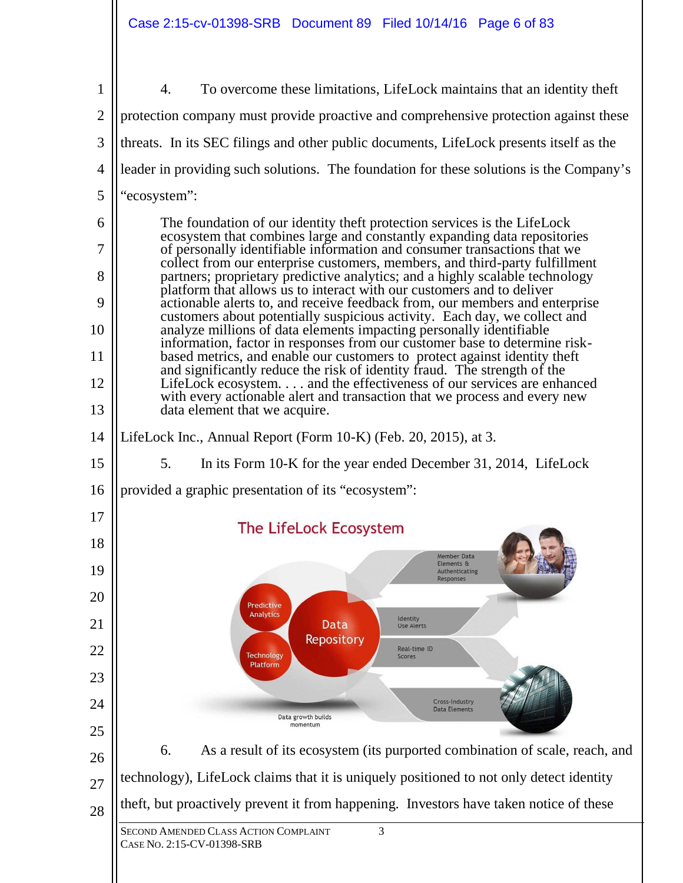Case 2:15-cv-01398-SRB Document 89 Filed 10/14/16 Page 6 of 83

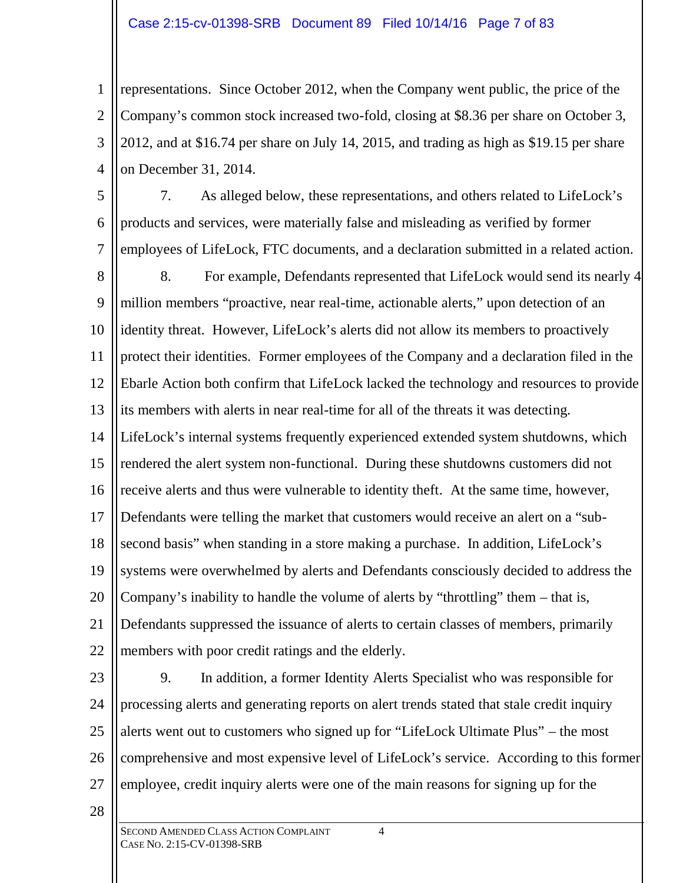1 2 3 4 representations. Since October 2012, when the Company went public, the price of the Company's common stock increased two-fold, closing at \$8.36 per share on October 3, 2012, and at \$16.74 per share on July 14, 2015, and trading as high as \$19.15 per share on December 31, 2014.

5 6 7 8 9 10 11 12 13 14 15 16 17 18 19 20 21 22 7. As alleged below, these representations, and others related to LifeLock's products and services, were materially false and misleading as verified by former employees of LifeLock, FTC documents, and a declaration submitted in a related action. 8. For example, Defendants represented that LifeLock would send its nearly 4 million members "proactive, near real-time, actionable alerts," upon detection of an identity threat. However, LifeLock's alerts did not allow its members to proactively protect their identities. Former employees of the Company and a declaration filed in the Ebarle Action both confirm that LifeLock lacked the technology and resources to provide its members with alerts in near real-time for all of the threats it was detecting. LifeLock's internal systems frequently experienced extended system shutdowns, which rendered the alert system non-functional. During these shutdowns customers did not receive alerts and thus were vulnerable to identity theft. At the same time, however, Defendants were telling the market that customers would receive an alert on a "subsecond basis" when standing in a store making a purchase. In addition, LifeLock's systems were overwhelmed by alerts and Defendants consciously decided to address the Company's inability to handle the volume of alerts by "throttling" them – that is, Defendants suppressed the issuance of alerts to certain classes of members, primarily members with poor credit ratings and the elderly.

- 23 24 25 26 27 9. In addition, a former Identity Alerts Specialist who was responsible for processing alerts and generating reports on alert trends stated that stale credit inquiry alerts went out to customers who signed up for "LifeLock Ultimate Plus" – the most comprehensive and most expensive level of LifeLock's service. According to this former employee, credit inquiry alerts were one of the main reasons for signing up for the
- 28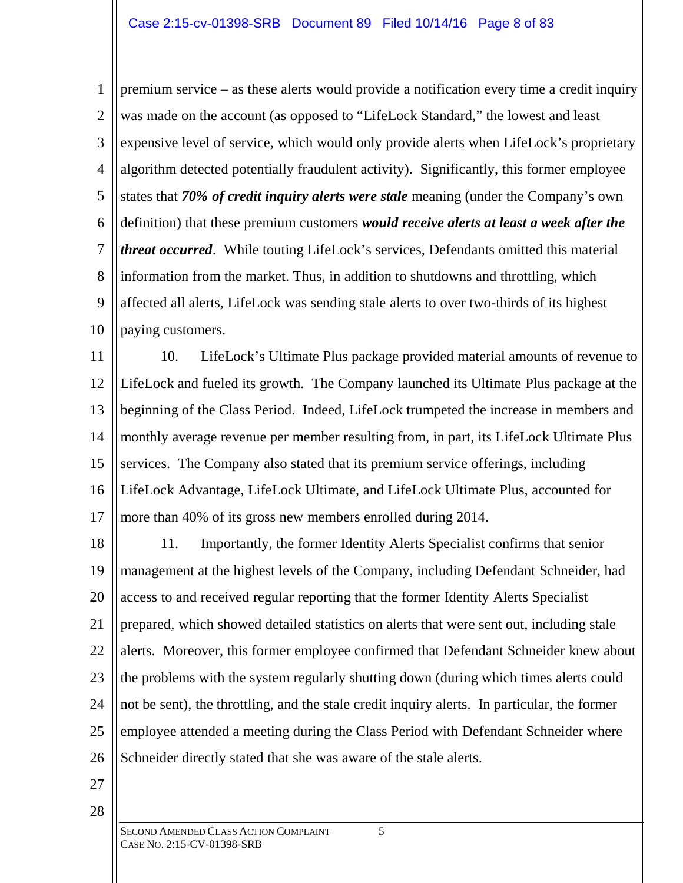1 2 3 4 5 6 7 8 9 10 premium service – as these alerts would provide a notification every time a credit inquiry was made on the account (as opposed to "LifeLock Standard," the lowest and least expensive level of service, which would only provide alerts when LifeLock's proprietary algorithm detected potentially fraudulent activity). Significantly, this former employee states that *70% of credit inquiry alerts were stale* meaning (under the Company's own definition) that these premium customers *would receive alerts at least a week after the threat occurred*. While touting LifeLock's services, Defendants omitted this material information from the market. Thus, in addition to shutdowns and throttling, which affected all alerts, LifeLock was sending stale alerts to over two-thirds of its highest paying customers.

11 12 13 14 15 16 17 10. LifeLock's Ultimate Plus package provided material amounts of revenue to LifeLock and fueled its growth. The Company launched its Ultimate Plus package at the beginning of the Class Period. Indeed, LifeLock trumpeted the increase in members and monthly average revenue per member resulting from, in part, its LifeLock Ultimate Plus services. The Company also stated that its premium service offerings, including LifeLock Advantage, LifeLock Ultimate, and LifeLock Ultimate Plus, accounted for more than 40% of its gross new members enrolled during 2014.

18 19 20 21 22 23 24 25 26 11. Importantly, the former Identity Alerts Specialist confirms that senior management at the highest levels of the Company, including Defendant Schneider, had access to and received regular reporting that the former Identity Alerts Specialist prepared, which showed detailed statistics on alerts that were sent out, including stale alerts. Moreover, this former employee confirmed that Defendant Schneider knew about the problems with the system regularly shutting down (during which times alerts could not be sent), the throttling, and the stale credit inquiry alerts. In particular, the former employee attended a meeting during the Class Period with Defendant Schneider where Schneider directly stated that she was aware of the stale alerts.

27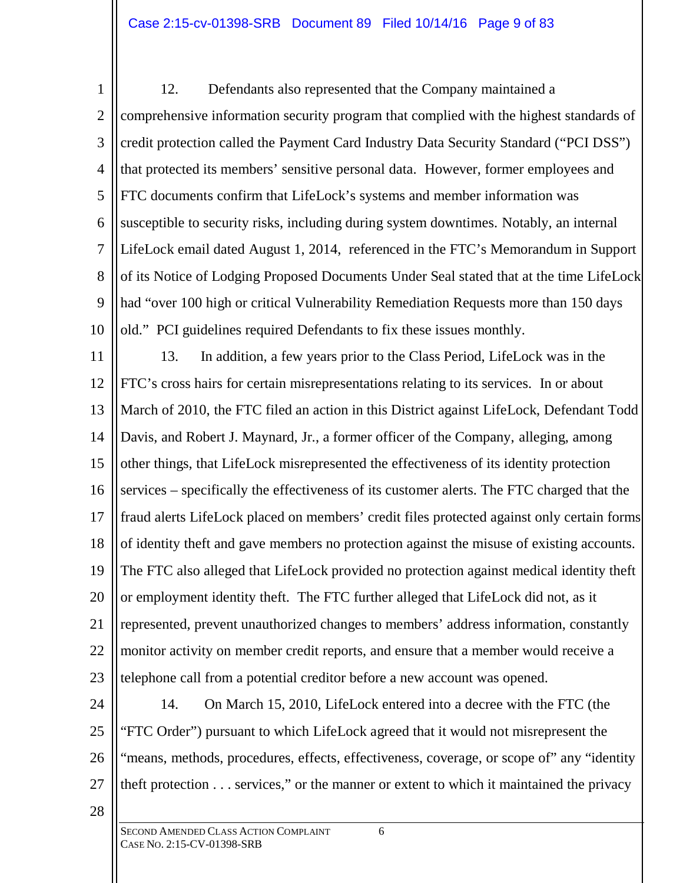1 2 3 4 5 6 7 8 9 10 12. Defendants also represented that the Company maintained a comprehensive information security program that complied with the highest standards of credit protection called the Payment Card Industry Data Security Standard ("PCI DSS") that protected its members' sensitive personal data. However, former employees and FTC documents confirm that LifeLock's systems and member information was susceptible to security risks, including during system downtimes. Notably, an internal LifeLock email dated August 1, 2014, referenced in the FTC's Memorandum in Support of its Notice of Lodging Proposed Documents Under Seal stated that at the time LifeLock had "over 100 high or critical Vulnerability Remediation Requests more than 150 days old." PCI guidelines required Defendants to fix these issues monthly.

11 12 13 14 15 16 17 18 19 20 21 22 23 13. In addition, a few years prior to the Class Period, LifeLock was in the FTC's cross hairs for certain misrepresentations relating to its services. In or about March of 2010, the FTC filed an action in this District against LifeLock, Defendant Todd Davis, and Robert J. Maynard, Jr., a former officer of the Company, alleging, among other things, that LifeLock misrepresented the effectiveness of its identity protection services – specifically the effectiveness of its customer alerts. The FTC charged that the fraud alerts LifeLock placed on members' credit files protected against only certain forms of identity theft and gave members no protection against the misuse of existing accounts. The FTC also alleged that LifeLock provided no protection against medical identity theft or employment identity theft. The FTC further alleged that LifeLock did not, as it represented, prevent unauthorized changes to members' address information, constantly monitor activity on member credit reports, and ensure that a member would receive a telephone call from a potential creditor before a new account was opened.

- 24 25 26 27 14. On March 15, 2010, LifeLock entered into a decree with the FTC (the "FTC Order") pursuant to which LifeLock agreed that it would not misrepresent the "means, methods, procedures, effects, effectiveness, coverage, or scope of" any "identity theft protection . . . services," or the manner or extent to which it maintained the privacy
- 28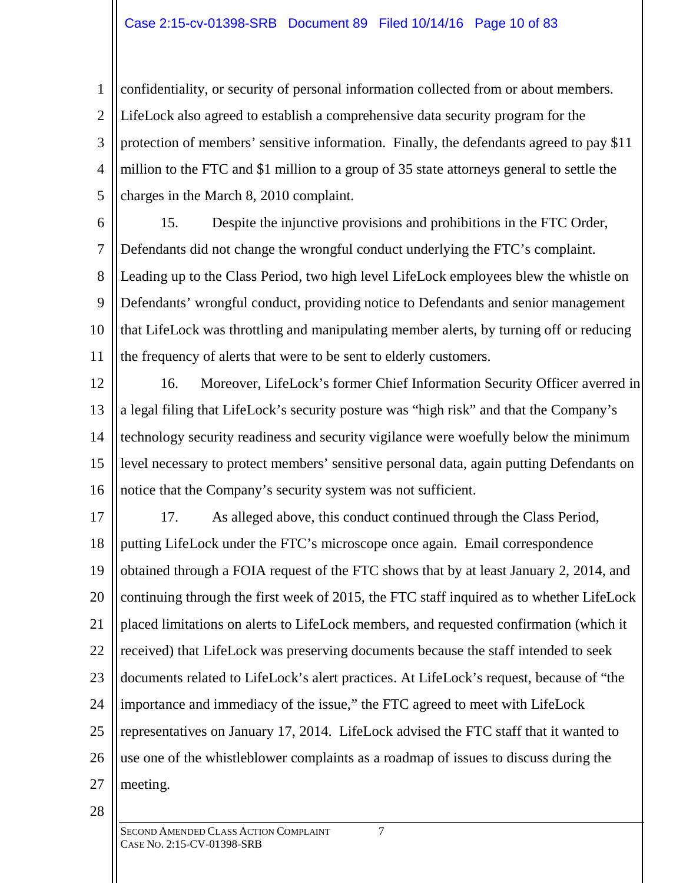1 2 3 4 5 confidentiality, or security of personal information collected from or about members. LifeLock also agreed to establish a comprehensive data security program for the protection of members' sensitive information. Finally, the defendants agreed to pay \$11 million to the FTC and \$1 million to a group of 35 state attorneys general to settle the charges in the March 8, 2010 complaint.

6

7 8 9 10 11 15. Despite the injunctive provisions and prohibitions in the FTC Order, Defendants did not change the wrongful conduct underlying the FTC's complaint. Leading up to the Class Period, two high level LifeLock employees blew the whistle on Defendants' wrongful conduct, providing notice to Defendants and senior management that LifeLock was throttling and manipulating member alerts, by turning off or reducing the frequency of alerts that were to be sent to elderly customers.

12 13 14 15 16 16. Moreover, LifeLock's former Chief Information Security Officer averred in a legal filing that LifeLock's security posture was "high risk" and that the Company's technology security readiness and security vigilance were woefully below the minimum level necessary to protect members' sensitive personal data, again putting Defendants on notice that the Company's security system was not sufficient.

17 18 19 20 21 22 23 24 25 26 27 17. As alleged above, this conduct continued through the Class Period, putting LifeLock under the FTC's microscope once again. Email correspondence obtained through a FOIA request of the FTC shows that by at least January 2, 2014, and continuing through the first week of 2015, the FTC staff inquired as to whether LifeLock placed limitations on alerts to LifeLock members, and requested confirmation (which it received) that LifeLock was preserving documents because the staff intended to seek documents related to LifeLock's alert practices. At LifeLock's request, because of "the importance and immediacy of the issue," the FTC agreed to meet with LifeLock representatives on January 17, 2014. LifeLock advised the FTC staff that it wanted to use one of the whistleblower complaints as a roadmap of issues to discuss during the meeting.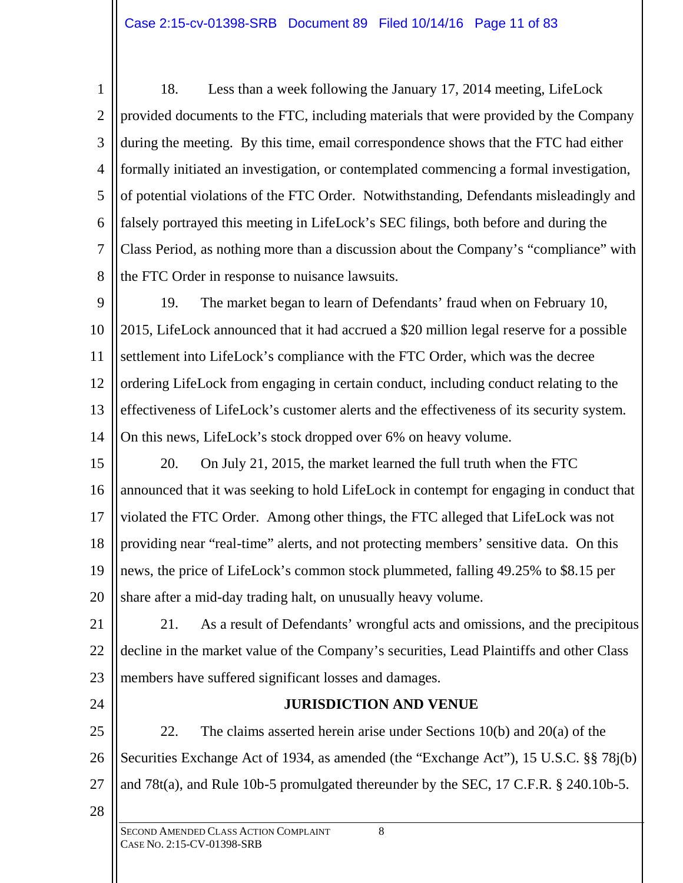1 2 3 4 5 6 7 8 18. Less than a week following the January 17, 2014 meeting, LifeLock provided documents to the FTC, including materials that were provided by the Company during the meeting. By this time, email correspondence shows that the FTC had either formally initiated an investigation, or contemplated commencing a formal investigation, of potential violations of the FTC Order. Notwithstanding, Defendants misleadingly and falsely portrayed this meeting in LifeLock's SEC filings, both before and during the Class Period, as nothing more than a discussion about the Company's "compliance" with the FTC Order in response to nuisance lawsuits.

9 10 11 12 13 14 19. The market began to learn of Defendants' fraud when on February 10, 2015, LifeLock announced that it had accrued a \$20 million legal reserve for a possible settlement into LifeLock's compliance with the FTC Order, which was the decree ordering LifeLock from engaging in certain conduct, including conduct relating to the effectiveness of LifeLock's customer alerts and the effectiveness of its security system. On this news, LifeLock's stock dropped over 6% on heavy volume.

15 16 17 18 19 20 20. On July 21, 2015, the market learned the full truth when the FTC announced that it was seeking to hold LifeLock in contempt for engaging in conduct that violated the FTC Order. Among other things, the FTC alleged that LifeLock was not providing near "real-time" alerts, and not protecting members' sensitive data. On this news, the price of LifeLock's common stock plummeted, falling 49.25% to \$8.15 per share after a mid-day trading halt, on unusually heavy volume.

21 22 23 21. As a result of Defendants' wrongful acts and omissions, and the precipitous decline in the market value of the Company's securities, Lead Plaintiffs and other Class members have suffered significant losses and damages.

24

# **JURISDICTION AND VENUE**

25 26 27 22. The claims asserted herein arise under Sections 10(b) and 20(a) of the Securities Exchange Act of 1934, as amended (the "Exchange Act"), 15 U.S.C. §§ 78j(b) and 78t(a), and Rule 10b-5 promulgated thereunder by the SEC, 17 C.F.R. § 240.10b-5.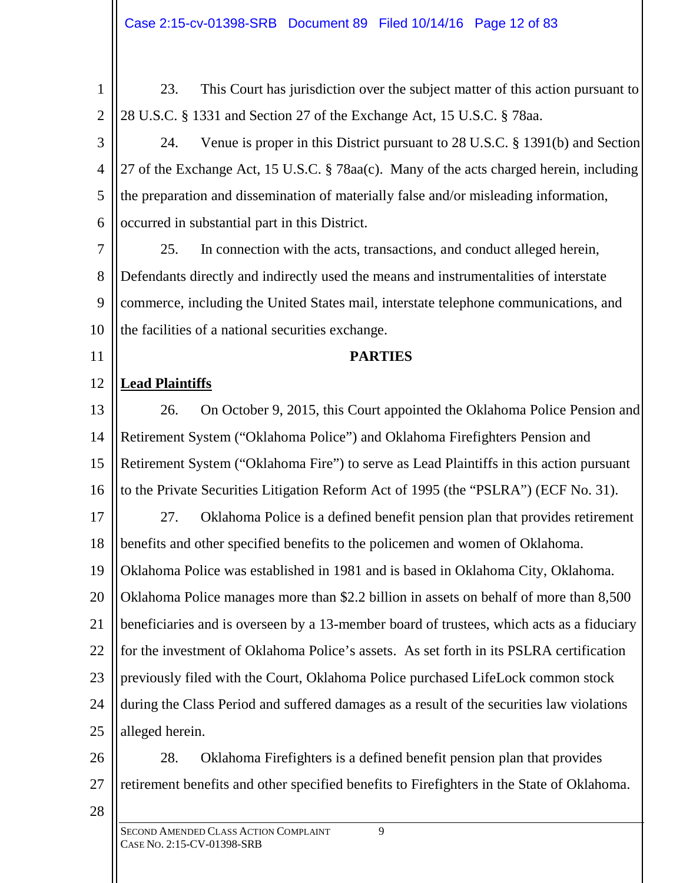| 1              | 23.<br>This Court has jurisdiction over the subject matter of this action pursuant to      |
|----------------|--------------------------------------------------------------------------------------------|
| $\overline{2}$ | 28 U.S.C. § 1331 and Section 27 of the Exchange Act, 15 U.S.C. § 78aa.                     |
| 3              | Venue is proper in this District pursuant to 28 U.S.C. § 1391(b) and Section<br>24.        |
| $\overline{4}$ | 27 of the Exchange Act, 15 U.S.C. § 78aa(c). Many of the acts charged herein, including    |
| 5              | the preparation and dissemination of materially false and/or misleading information,       |
| 6              | occurred in substantial part in this District.                                             |
| $\overline{7}$ | 25.<br>In connection with the acts, transactions, and conduct alleged herein,              |
| 8              | Defendants directly and indirectly used the means and instrumentalities of interstate      |
| 9              | commerce, including the United States mail, interstate telephone communications, and       |
| 10             | the facilities of a national securities exchange.                                          |
| 11             | <b>PARTIES</b>                                                                             |
| 12             | <b>Lead Plaintiffs</b>                                                                     |
| 13             | On October 9, 2015, this Court appointed the Oklahoma Police Pension and<br>26.            |
| 14             | Retirement System ("Oklahoma Police") and Oklahoma Firefighters Pension and                |
| 15             | Retirement System ("Oklahoma Fire") to serve as Lead Plaintiffs in this action pursuant    |
| 16             | to the Private Securities Litigation Reform Act of 1995 (the "PSLRA") (ECF No. 31).        |
| 17             | Oklahoma Police is a defined benefit pension plan that provides retirement<br>27.          |
| 18             | benefits and other specified benefits to the policemen and women of Oklahoma.              |
| 19             | Oklahoma Police was established in 1981 and is based in Oklahoma City, Oklahoma.           |
| 20             | Oklahoma Police manages more than \$2.2 billion in assets on behalf of more than 8,500     |
| 21             | beneficiaries and is overseen by a 13-member board of trustees, which acts as a fiduciary  |
| 22             | for the investment of Oklahoma Police's assets. As set forth in its PSLRA certification    |
| 23             | previously filed with the Court, Oklahoma Police purchased LifeLock common stock           |
| 24             | during the Class Period and suffered damages as a result of the securities law violations  |
| 25             | alleged herein.                                                                            |
| 26             | Oklahoma Firefighters is a defined benefit pension plan that provides<br>28.               |
| 27             | retirement benefits and other specified benefits to Firefighters in the State of Oklahoma. |
| 28             |                                                                                            |
|                | 9<br>SECOND AMENDED CLASS ACTION COMPLAINT<br>CASE No. 2:15-CV-01398-SRB                   |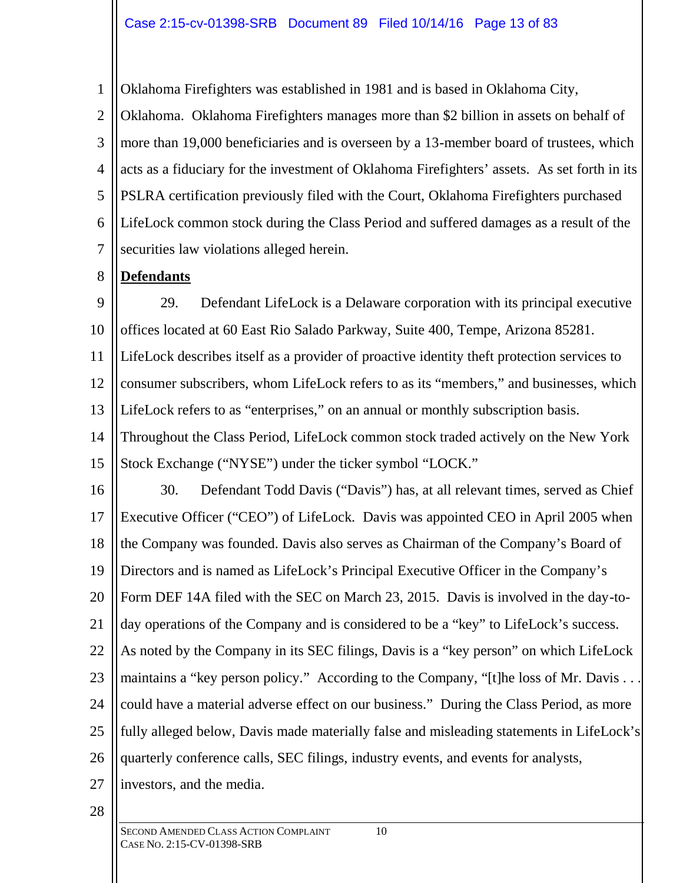Oklahoma Firefighters was established in 1981 and is based in Oklahoma City,

2 3 4 5 6 7 Oklahoma. Oklahoma Firefighters manages more than \$2 billion in assets on behalf of more than 19,000 beneficiaries and is overseen by a 13-member board of trustees, which acts as a fiduciary for the investment of Oklahoma Firefighters' assets. As set forth in its PSLRA certification previously filed with the Court, Oklahoma Firefighters purchased LifeLock common stock during the Class Period and suffered damages as a result of the securities law violations alleged herein.

#### 8 **Defendants**

1

9 10 11 12 13 14 15 29. Defendant LifeLock is a Delaware corporation with its principal executive offices located at 60 East Rio Salado Parkway, Suite 400, Tempe, Arizona 85281. LifeLock describes itself as a provider of proactive identity theft protection services to consumer subscribers, whom LifeLock refers to as its "members," and businesses, which LifeLock refers to as "enterprises," on an annual or monthly subscription basis. Throughout the Class Period, LifeLock common stock traded actively on the New York Stock Exchange ("NYSE") under the ticker symbol "LOCK."

16 17 18 19 20 21 22 23 24 25 26 27 30. Defendant Todd Davis ("Davis") has, at all relevant times, served as Chief Executive Officer ("CEO") of LifeLock. Davis was appointed CEO in April 2005 when the Company was founded. Davis also serves as Chairman of the Company's Board of Directors and is named as LifeLock's Principal Executive Officer in the Company's Form DEF 14A filed with the SEC on March 23, 2015. Davis is involved in the day-today operations of the Company and is considered to be a "key" to LifeLock's success. As noted by the Company in its SEC filings, Davis is a "key person" on which LifeLock maintains a "key person policy." According to the Company, "[t]he loss of Mr. Davis ... could have a material adverse effect on our business." During the Class Period, as more fully alleged below, Davis made materially false and misleading statements in LifeLock's quarterly conference calls, SEC filings, industry events, and events for analysts, investors, and the media.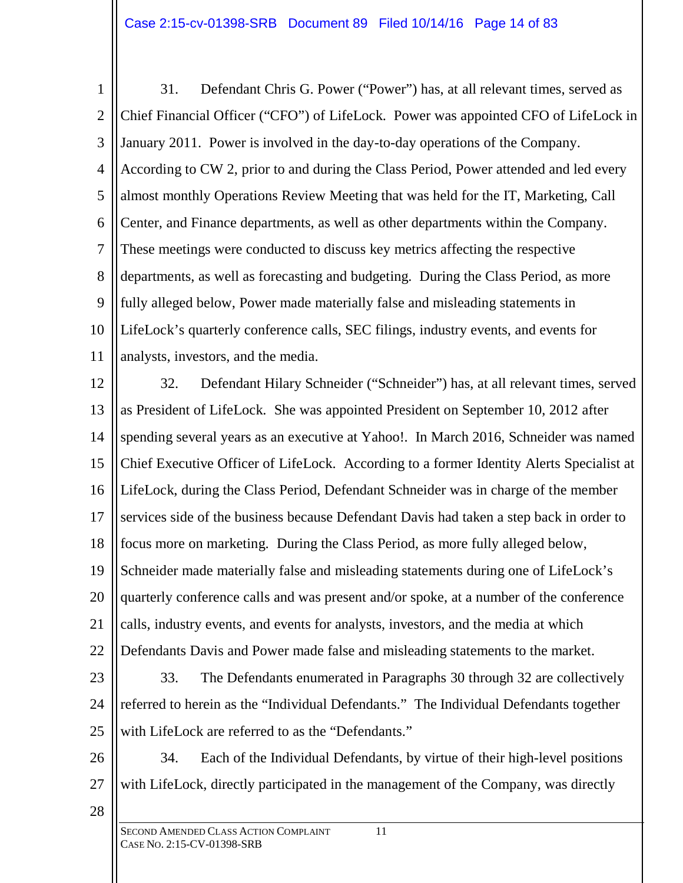1 2 3 4 5 6 7 8 9 10 11 31. Defendant Chris G. Power ("Power") has, at all relevant times, served as Chief Financial Officer ("CFO") of LifeLock. Power was appointed CFO of LifeLock in January 2011. Power is involved in the day-to-day operations of the Company. According to CW 2, prior to and during the Class Period, Power attended and led every almost monthly Operations Review Meeting that was held for the IT, Marketing, Call Center, and Finance departments, as well as other departments within the Company. These meetings were conducted to discuss key metrics affecting the respective departments, as well as forecasting and budgeting. During the Class Period, as more fully alleged below, Power made materially false and misleading statements in LifeLock's quarterly conference calls, SEC filings, industry events, and events for analysts, investors, and the media.

12 13 14 15 16 17 18 19 20 21 22 23 24 25 32. Defendant Hilary Schneider ("Schneider") has, at all relevant times, served as President of LifeLock. She was appointed President on September 10, 2012 after spending several years as an executive at Yahoo!. In March 2016, Schneider was named Chief Executive Officer of LifeLock. According to a former Identity Alerts Specialist at LifeLock, during the Class Period, Defendant Schneider was in charge of the member services side of the business because Defendant Davis had taken a step back in order to focus more on marketing. During the Class Period, as more fully alleged below, Schneider made materially false and misleading statements during one of LifeLock's quarterly conference calls and was present and/or spoke, at a number of the conference calls, industry events, and events for analysts, investors, and the media at which Defendants Davis and Power made false and misleading statements to the market. 33. The Defendants enumerated in Paragraphs 30 through 32 are collectively referred to herein as the "Individual Defendants." The Individual Defendants together with LifeLock are referred to as the "Defendants."

- 26
- 

27 34. Each of the Individual Defendants, by virtue of their high-level positions with LifeLock, directly participated in the management of the Company, was directly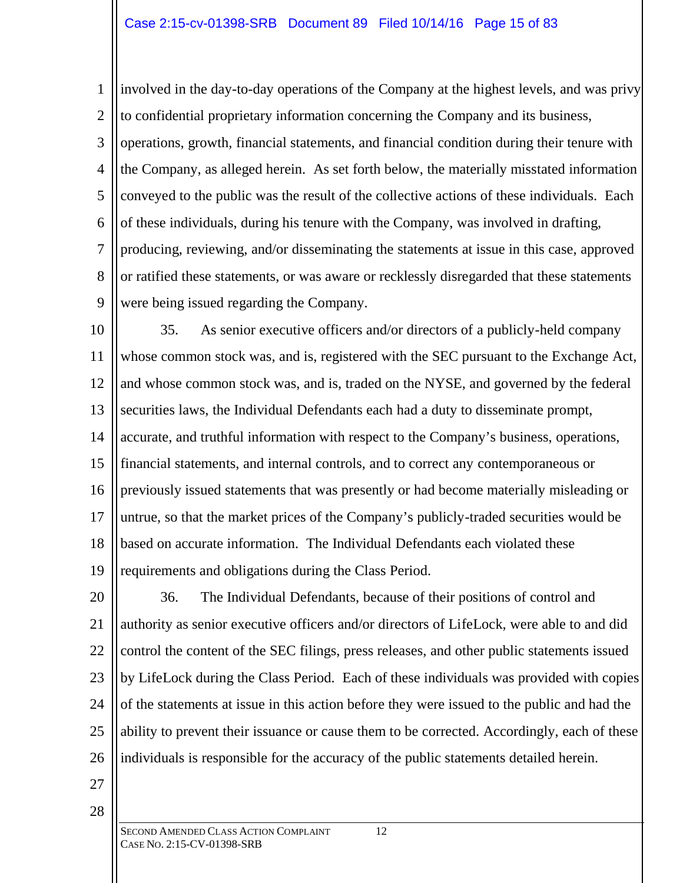1 2 3 4 5 6 7 8 9 involved in the day-to-day operations of the Company at the highest levels, and was privy to confidential proprietary information concerning the Company and its business, operations, growth, financial statements, and financial condition during their tenure with the Company, as alleged herein. As set forth below, the materially misstated information conveyed to the public was the result of the collective actions of these individuals. Each of these individuals, during his tenure with the Company, was involved in drafting, producing, reviewing, and/or disseminating the statements at issue in this case, approved or ratified these statements, or was aware or recklessly disregarded that these statements were being issued regarding the Company.

10 11 12 13 14 15 16 17 18 19 35. As senior executive officers and/or directors of a publicly-held company whose common stock was, and is, registered with the SEC pursuant to the Exchange Act, and whose common stock was, and is, traded on the NYSE, and governed by the federal securities laws, the Individual Defendants each had a duty to disseminate prompt, accurate, and truthful information with respect to the Company's business, operations, financial statements, and internal controls, and to correct any contemporaneous or previously issued statements that was presently or had become materially misleading or untrue, so that the market prices of the Company's publicly-traded securities would be based on accurate information. The Individual Defendants each violated these requirements and obligations during the Class Period.

20 21 22 23 24 25 26 36. The Individual Defendants, because of their positions of control and authority as senior executive officers and/or directors of LifeLock, were able to and did control the content of the SEC filings, press releases, and other public statements issued by LifeLock during the Class Period. Each of these individuals was provided with copies of the statements at issue in this action before they were issued to the public and had the ability to prevent their issuance or cause them to be corrected. Accordingly, each of these individuals is responsible for the accuracy of the public statements detailed herein.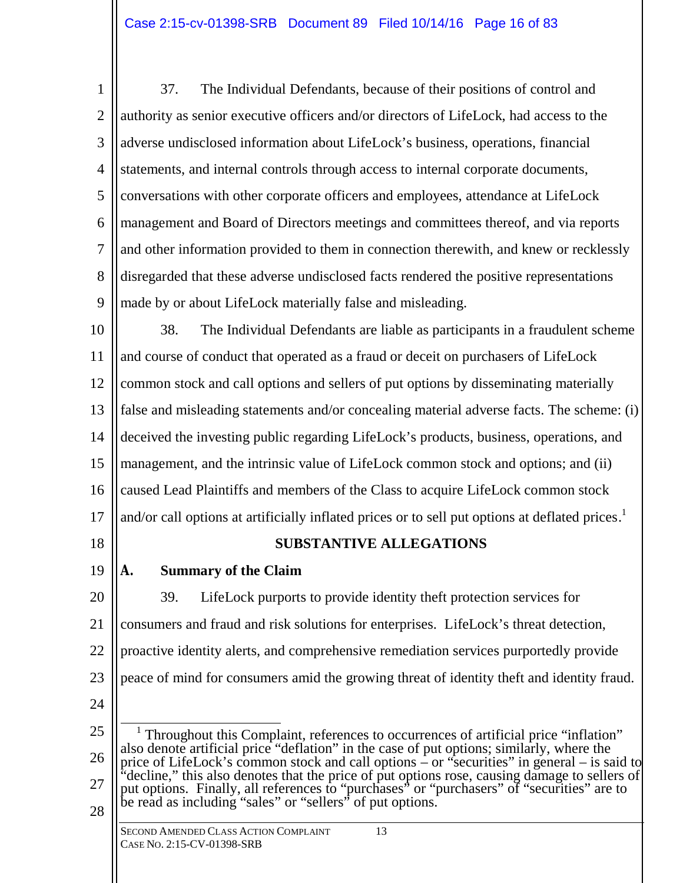1 2 3 4 5 6 7 8 9 37. The Individual Defendants, because of their positions of control and authority as senior executive officers and/or directors of LifeLock, had access to the adverse undisclosed information about LifeLock's business, operations, financial statements, and internal controls through access to internal corporate documents, conversations with other corporate officers and employees, attendance at LifeLock management and Board of Directors meetings and committees thereof, and via reports and other information provided to them in connection therewith, and knew or recklessly disregarded that these adverse undisclosed facts rendered the positive representations made by or about LifeLock materially false and misleading.

10 11 12 13 14 15 16 17 38. The Individual Defendants are liable as participants in a fraudulent scheme and course of conduct that operated as a fraud or deceit on purchasers of LifeLock common stock and call options and sellers of put options by disseminating materially false and misleading statements and/or concealing material adverse facts. The scheme: (i) deceived the investing public regarding LifeLock's products, business, operations, and management, and the intrinsic value of LifeLock common stock and options; and (ii) caused Lead Plaintiffs and members of the Class to acquire LifeLock common stock and/or call options at artificially inflated prices or to sell put options at deflated prices.<sup>1</sup>

18

# **SUBSTANTIVE ALLEGATIONS**

19

# **A. Summary of the Claim**

20 21 22 23 24 39. LifeLock purports to provide identity theft protection services for consumers and fraud and risk solutions for enterprises. LifeLock's threat detection, proactive identity alerts, and comprehensive remediation services purportedly provide peace of mind for consumers amid the growing threat of identity theft and identity fraud.

<sup>25</sup> 26 27 28  $\overline{a}$ 1 Throughout this Complaint, references to occurrences of artificial price "inflation" also denote artificial price "deflation" in the case of put options; similarly, where the price of LifeLock's common stock and call options – or "securities" in general – is said to "decline," this also denotes that the price of put options rose, causing damage to sellers of put options. Finally, all references to "purchases" or "purchasers" of "securities" are to be read as including "sales" or "sellers" of put options.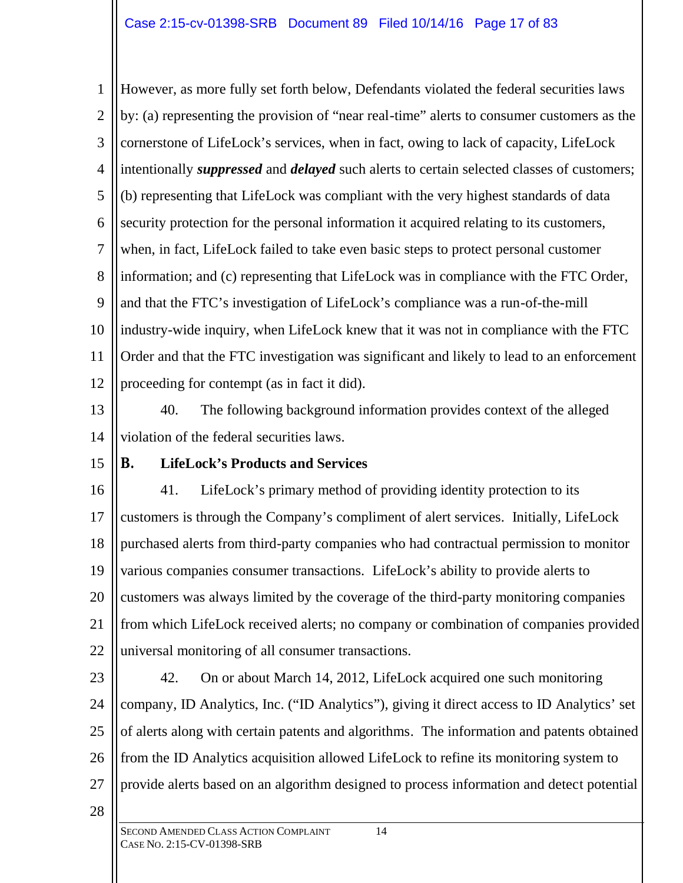1 2 3 4 5 6 7 8 9 10 11 12 However, as more fully set forth below, Defendants violated the federal securities laws by: (a) representing the provision of "near real-time" alerts to consumer customers as the cornerstone of LifeLock's services, when in fact, owing to lack of capacity, LifeLock intentionally *suppressed* and *delayed* such alerts to certain selected classes of customers; (b) representing that LifeLock was compliant with the very highest standards of data security protection for the personal information it acquired relating to its customers, when, in fact, LifeLock failed to take even basic steps to protect personal customer information; and (c) representing that LifeLock was in compliance with the FTC Order, and that the FTC's investigation of LifeLock's compliance was a run-of-the-mill industry-wide inquiry, when LifeLock knew that it was not in compliance with the FTC Order and that the FTC investigation was significant and likely to lead to an enforcement proceeding for contempt (as in fact it did).

13

14 40. The following background information provides context of the alleged violation of the federal securities laws.

15

# **B. LifeLock's Products and Services**

16 17 18 19 20 21 22 41. LifeLock's primary method of providing identity protection to its customers is through the Company's compliment of alert services. Initially, LifeLock purchased alerts from third-party companies who had contractual permission to monitor various companies consumer transactions. LifeLock's ability to provide alerts to customers was always limited by the coverage of the third-party monitoring companies from which LifeLock received alerts; no company or combination of companies provided universal monitoring of all consumer transactions.

23

24

25

26

42. On or about March 14, 2012, LifeLock acquired one such monitoring company, ID Analytics, Inc. ("ID Analytics"), giving it direct access to ID Analytics' set of alerts along with certain patents and algorithms. The information and patents obtained from the ID Analytics acquisition allowed LifeLock to refine its monitoring system to provide alerts based on an algorithm designed to process information and detect potential

28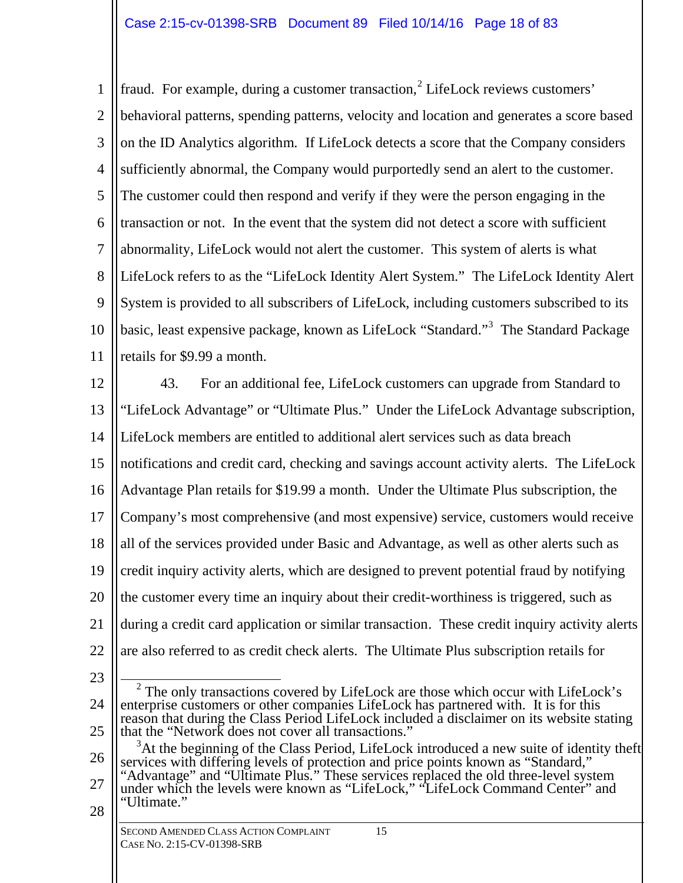1 2 3 4 5 6 7 8 9 10 11 fraud. For example, during a customer transaction,<sup>2</sup> LifeLock reviews customers' behavioral patterns, spending patterns, velocity and location and generates a score based on the ID Analytics algorithm. If LifeLock detects a score that the Company considers sufficiently abnormal, the Company would purportedly send an alert to the customer. The customer could then respond and verify if they were the person engaging in the transaction or not. In the event that the system did not detect a score with sufficient abnormality, LifeLock would not alert the customer. This system of alerts is what LifeLock refers to as the "LifeLock Identity Alert System." The LifeLock Identity Alert System is provided to all subscribers of LifeLock, including customers subscribed to its basic, least expensive package, known as LifeLock "Standard."<sup>3</sup> The Standard Package retails for \$9.99 a month.

12 13 14 15 16 17 18 19 20 21 22 43. For an additional fee, LifeLock customers can upgrade from Standard to "LifeLock Advantage" or "Ultimate Plus." Under the LifeLock Advantage subscription, LifeLock members are entitled to additional alert services such as data breach notifications and credit card, checking and savings account activity alerts. The LifeLock Advantage Plan retails for \$19.99 a month. Under the Ultimate Plus subscription, the Company's most comprehensive (and most expensive) service, customers would receive all of the services provided under Basic and Advantage, as well as other alerts such as credit inquiry activity alerts, which are designed to prevent potential fraud by notifying the customer every time an inquiry about their credit-worthiness is triggered, such as during a credit card application or similar transaction. These credit inquiry activity alerts are also referred to as credit check alerts. The Ultimate Plus subscription retails for

23

24 25  $\overline{a}$  $2$  The only transactions covered by LifeLock are those which occur with LifeLock's enterprise customers or other companies LifeLock has partnered with. It is for this reason that during the Class Period LifeLock included a disclaimer on its website stating that the "Network does not cover all transactions."

26 27 28  $3$ At the beginning of the Class Period, LifeLock introduced a new suite of identity theft services with differing levels of protection and price points known as "Standard," "Advantage" and "Ultimate Plus." These services replaced the old three-level system under which the levels were known as "LifeLock," "LifeLock Command Center" and "Ultimate."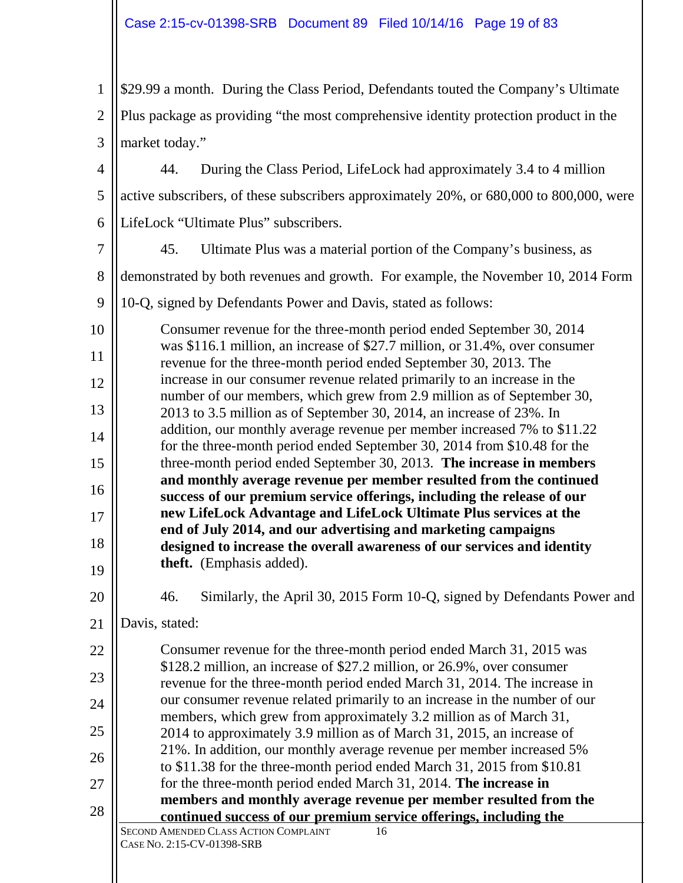SECOND AMENDED CLASS ACTION COMPLAINT 16 CASE NO. 2:15-CV-01398-SRB 1 2 3 4 5 6 7 8 9 10 11 12 13 14 15 16 17 18 19 20 21 22 23 24 25 26 27 28 \$29.99 a month. During the Class Period, Defendants touted the Company's Ultimate Plus package as providing "the most comprehensive identity protection product in the market today." 44. During the Class Period, LifeLock had approximately 3.4 to 4 million active subscribers, of these subscribers approximately 20%, or 680,000 to 800,000, were LifeLock "Ultimate Plus" subscribers. 45. Ultimate Plus was a material portion of the Company's business, as demonstrated by both revenues and growth. For example, the November 10, 2014 Form 10-Q, signed by Defendants Power and Davis, stated as follows: Consumer revenue for the three-month period ended September 30, 2014 was \$116.1 million, an increase of \$27.7 million, or 31.4%, over consumer revenue for the three-month period ended September 30, 2013. The increase in our consumer revenue related primarily to an increase in the number of our members, which grew from 2.9 million as of September 30, 2013 to 3.5 million as of September 30, 2014, an increase of 23%. In addition, our monthly average revenue per member increased 7% to \$11.22 for the three-month period ended September 30, 2014 from \$10.48 for the three-month period ended September 30, 2013. **The increase in members and monthly average revenue per member resulted from the continued success of our premium service offerings, including the release of our new LifeLock Advantage and LifeLock Ultimate Plus services at the end of July 2014, and our advertising and marketing campaigns designed to increase the overall awareness of our services and identity theft.** (Emphasis added). 46. Similarly, the April 30, 2015 Form 10-Q, signed by Defendants Power and Davis, stated: Consumer revenue for the three-month period ended March 31, 2015 was \$128.2 million, an increase of \$27.2 million, or 26.9%, over consumer revenue for the three-month period ended March 31, 2014. The increase in our consumer revenue related primarily to an increase in the number of our members, which grew from approximately 3.2 million as of March 31, 2014 to approximately 3.9 million as of March 31, 2015, an increase of 21%. In addition, our monthly average revenue per member increased 5% to \$11.38 for the three-month period ended March 31, 2015 from \$10.81 for the three-month period ended March 31, 2014. **The increase in members and monthly average revenue per member resulted from the continued success of our premium service offerings, including the**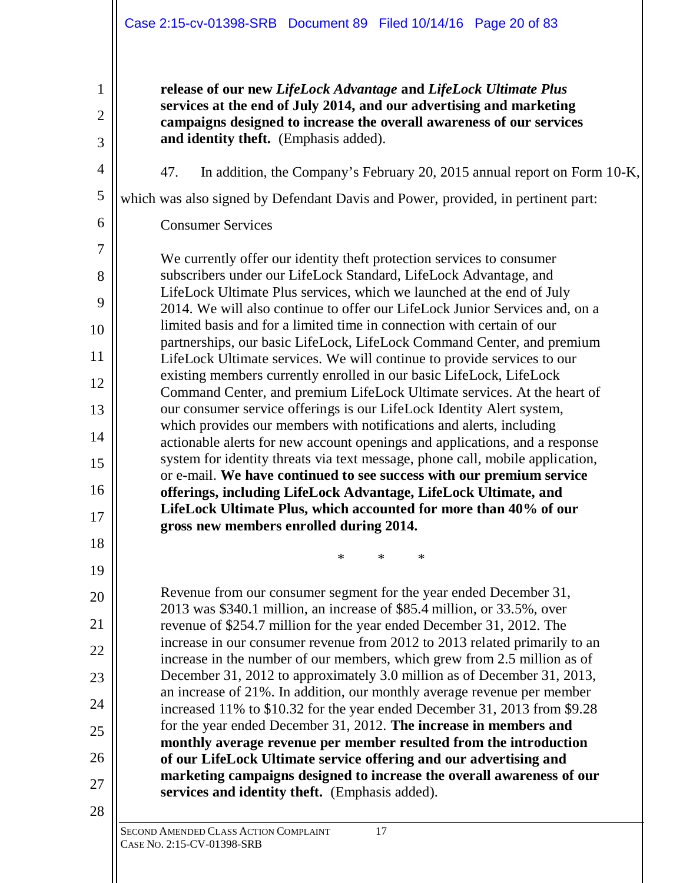|                | Case 2:15-cv-01398-SRB Document 89 Filed 10/14/16 Page 20 of 83                                                                                        |
|----------------|--------------------------------------------------------------------------------------------------------------------------------------------------------|
| 1              | release of our new LifeLock Advantage and LifeLock Ultimate Plus                                                                                       |
| $\overline{2}$ | services at the end of July 2014, and our advertising and marketing<br>campaigns designed to increase the overall awareness of our services            |
| 3              | and identity theft. (Emphasis added).                                                                                                                  |
| $\overline{4}$ | 47.<br>In addition, the Company's February 20, 2015 annual report on Form 10-K,                                                                        |
| 5              | which was also signed by Defendant Davis and Power, provided, in pertinent part:                                                                       |
| 6              | <b>Consumer Services</b>                                                                                                                               |
| $\overline{7}$ | We currently offer our identity theft protection services to consumer                                                                                  |
| 8              | subscribers under our LifeLock Standard, LifeLock Advantage, and                                                                                       |
| 9              | LifeLock Ultimate Plus services, which we launched at the end of July<br>2014. We will also continue to offer our LifeLock Junior Services and, on a   |
| 10             | limited basis and for a limited time in connection with certain of our                                                                                 |
| 11             | partnerships, our basic LifeLock, LifeLock Command Center, and premium<br>LifeLock Ultimate services. We will continue to provide services to our      |
| 12             | existing members currently enrolled in our basic LifeLock, LifeLock                                                                                    |
| 13             | Command Center, and premium LifeLock Ultimate services. At the heart of<br>our consumer service offerings is our LifeLock Identity Alert system,       |
| 14             | which provides our members with notifications and alerts, including<br>actionable alerts for new account openings and applications, and a response     |
| 15             | system for identity threats via text message, phone call, mobile application,                                                                          |
| 16             | or e-mail. We have continued to see success with our premium service                                                                                   |
|                | offerings, including LifeLock Advantage, LifeLock Ultimate, and<br>LifeLock Ultimate Plus, which accounted for more than 40% of our                    |
| 17             | gross new members enrolled during 2014.                                                                                                                |
| 18             | $\ast$<br>∗<br>∗                                                                                                                                       |
| 19             |                                                                                                                                                        |
| 20             | Revenue from our consumer segment for the year ended December 31,<br>2013 was \$340.1 million, an increase of \$85.4 million, or 33.5%, over           |
| 21             | revenue of \$254.7 million for the year ended December 31, 2012. The                                                                                   |
| 22             | increase in our consumer revenue from 2012 to 2013 related primarily to an<br>increase in the number of our members, which grew from 2.5 million as of |
| 23             | December 31, 2012 to approximately 3.0 million as of December 31, 2013,                                                                                |
| 24             | an increase of 21%. In addition, our monthly average revenue per member<br>increased 11% to \$10.32 for the year ended December 31, 2013 from \$9.28   |
| 25             | for the year ended December 31, 2012. The increase in members and                                                                                      |
| 26             | monthly average revenue per member resulted from the introduction<br>of our LifeLock Ultimate service offering and our advertising and                 |
| 27             | marketing campaigns designed to increase the overall awareness of our                                                                                  |
| 28             | services and identity theft. (Emphasis added).                                                                                                         |
|                | SECOND AMENDED CLASS ACTION COMPLAINT<br>17<br>CASE No. 2:15-CV-01398-SRB                                                                              |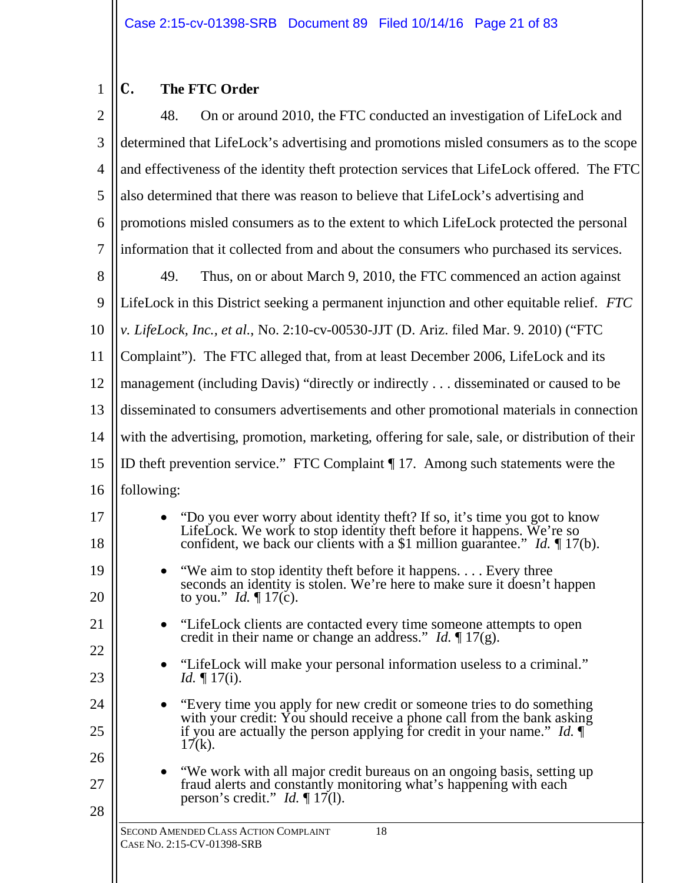### 1 **C. The FTC Order**

| $\overline{2}$ | 48.<br>On or around 2010, the FTC conducted an investigation of LifeLock and                                                                                                                                                                           |  |
|----------------|--------------------------------------------------------------------------------------------------------------------------------------------------------------------------------------------------------------------------------------------------------|--|
| 3              | determined that LifeLock's advertising and promotions misled consumers as to the scope                                                                                                                                                                 |  |
| 4              | and effectiveness of the identity theft protection services that LifeLock offered. The FTC                                                                                                                                                             |  |
| 5              | also determined that there was reason to believe that LifeLock's advertising and                                                                                                                                                                       |  |
| 6              | promotions misled consumers as to the extent to which LifeLock protected the personal                                                                                                                                                                  |  |
| 7              | information that it collected from and about the consumers who purchased its services.                                                                                                                                                                 |  |
| 8              | 49.<br>Thus, on or about March 9, 2010, the FTC commenced an action against                                                                                                                                                                            |  |
| 9              | LifeLock in this District seeking a permanent injunction and other equitable relief. FTC                                                                                                                                                               |  |
| 10             | v. LifeLock, Inc., et al., No. 2:10-cv-00530-JJT (D. Ariz. filed Mar. 9. 2010) ("FTC                                                                                                                                                                   |  |
| 11             | Complaint"). The FTC alleged that, from at least December 2006, LifeLock and its                                                                                                                                                                       |  |
| 12             | management (including Davis) "directly or indirectly  disseminated or caused to be                                                                                                                                                                     |  |
| 13             | disseminated to consumers advertisements and other promotional materials in connection                                                                                                                                                                 |  |
| 14             | with the advertising, promotion, marketing, offering for sale, sale, or distribution of their                                                                                                                                                          |  |
| 15             | ID theft prevention service." FTC Complaint $\P$ 17. Among such statements were the                                                                                                                                                                    |  |
| 16             | following:                                                                                                                                                                                                                                             |  |
| 17<br>18       | "Do you ever worry about identity theft? If so, it's time you got to know<br>$\bullet$<br>LifeLock. We work to stop identity theft before it happens. We're so<br>confident, we back our clients with a \$1 million guarantee." <i>Id.</i> $\P$ 17(b). |  |
| 19<br>20       | "We aim to stop identity theft before it happens. Every three<br>$\bullet$<br>seconds an identity is stolen. We're here to make sure it doesn't happen<br>to you." Id. $\P$ 17(c).                                                                     |  |
| 21             | "LifeLock clients are contacted every time someone attempts to open<br>credit in their name or change an address." <i>Id.</i> $\P$ 17(g).                                                                                                              |  |
| 22<br>23       | "LifeLock will make your personal information useless to a criminal."<br><i>Id.</i> $\P$ 17(i).                                                                                                                                                        |  |
| 24             | "Every time you apply for new credit or someone tries to do something<br>with your credit: You should receive a phone call from the bank asking                                                                                                        |  |
| 25<br>26       | if you are actually the person applying for credit in your name." <i>Id.</i> $\P$<br>$17(k)$ .                                                                                                                                                         |  |
| 27<br>28       | "We work with all major credit bureaus on an ongoing basis, setting up<br>fraud alerts and constantly monitoring what's happening with each<br>person's credit." <i>Id.</i> $\P$ 17(1).                                                                |  |
|                | SECOND AMENDED CLASS ACTION COMPLAINT<br>18<br>CASE No. 2:15-CV-01398-SRB                                                                                                                                                                              |  |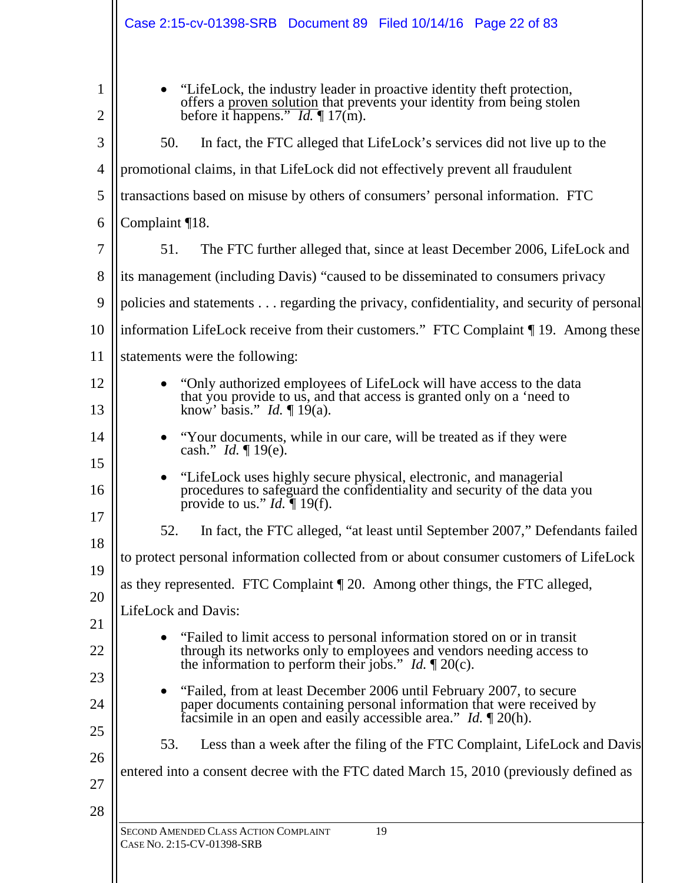| Case 2:15-cv-01398-SRB  Document 89  Filed 10/14/16  Page 22  of 83                                                                                                                                                              |
|----------------------------------------------------------------------------------------------------------------------------------------------------------------------------------------------------------------------------------|
| "LifeLock, the industry leader in proactive identity theft protection,<br>offers a proven solution that prevents your identity from being stolen<br>before it happens." <i>Id.</i> $\P$ 17(m).                                   |
| 50.<br>In fact, the FTC alleged that LifeLock's services did not live up to the                                                                                                                                                  |
| promotional claims, in that LifeLock did not effectively prevent all fraudulent                                                                                                                                                  |
| transactions based on misuse by others of consumers' personal information. FTC                                                                                                                                                   |
| Complaint ¶18.                                                                                                                                                                                                                   |
| 51.<br>The FTC further alleged that, since at least December 2006, LifeLock and                                                                                                                                                  |
| its management (including Davis) "caused to be disseminated to consumers privacy                                                                                                                                                 |
| policies and statements regarding the privacy, confidentiality, and security of personal                                                                                                                                         |
| information LifeLock receive from their customers." FTC Complaint 19. Among these                                                                                                                                                |
| statements were the following:                                                                                                                                                                                                   |
| "Only authorized employees of LifeLock will have access to the data"<br>that you provide to us, and that access is granted only on a 'need to<br>know' basis." <i>Id.</i> $\P$ 19(a).                                            |
| "Your documents, while in our care, will be treated as if they were<br>cash." <i>Id.</i> $\P$ 19(e).                                                                                                                             |
| "LifeLock uses highly secure physical, electronic, and managerial<br>procedures to safeguard the confidentiality and security of the data you<br>provide to us." <i>Id.</i> $\P$ 19(f).                                          |
| In fact, the FTC alleged, "at least until September 2007," Defendants failed<br>52.                                                                                                                                              |
| to protect personal information collected from or about consumer customers of LifeLock                                                                                                                                           |
| as they represented. FTC Complaint [20. Among other things, the FTC alleged,                                                                                                                                                     |
| LifeLock and Davis:                                                                                                                                                                                                              |
| "Failed to limit access to personal information stored on or in transit<br>through its networks only to employees and vendors needing access to<br>the information to perform their jobs." <i>Id.</i> $\llbracket 20(c)$ .       |
| "Failed, from at least December 2006 until February 2007, to secure<br>paper documents containing personal information that were received by<br>facsimile in an open and easily accessible area." <i>Id.</i> $\mathbb{I}$ 20(h). |
| Less than a week after the filing of the FTC Complaint, LifeLock and Davis<br>53.                                                                                                                                                |
| entered into a consent decree with the FTC dated March 15, 2010 (previously defined as                                                                                                                                           |
| 19<br>SECOND AMENDED CLASS ACTION COMPLAINT<br>CASE No. 2:15-CV-01398-SRB                                                                                                                                                        |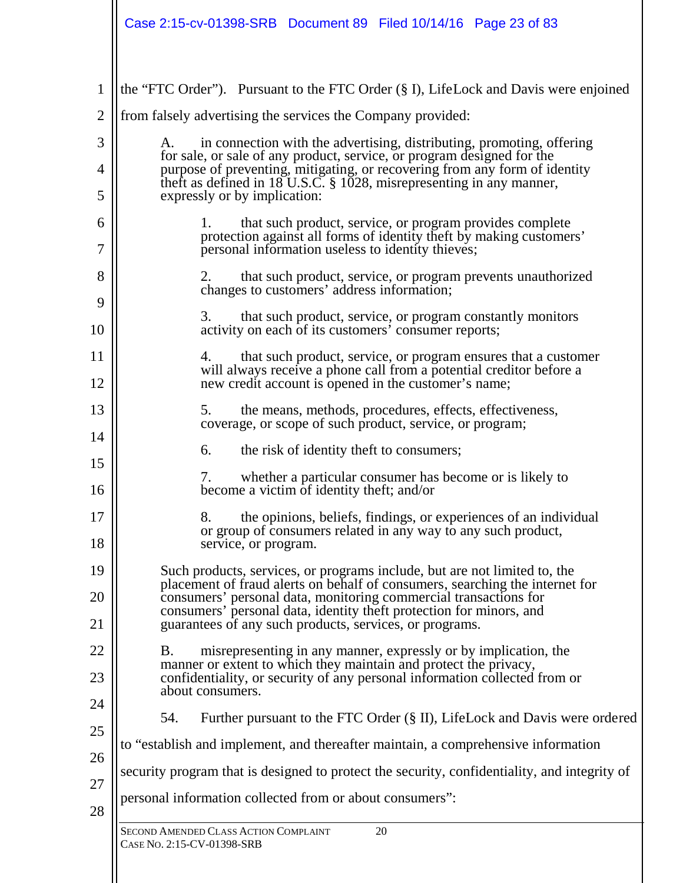| 1              | the "FTC Order"). Pursuant to the FTC Order (§ I), LifeLock and Davis were enjoined                                                                       |
|----------------|-----------------------------------------------------------------------------------------------------------------------------------------------------------|
| $\overline{2}$ | from falsely advertising the services the Company provided:                                                                                               |
| 3              | in connection with the advertising, distributing, promoting, offering<br>A.                                                                               |
| 4              | for sale, or sale of any product, service, or program designed for the<br>purpose of preventing, mitigating, or recovering from any form of identity      |
| 5              | theft as defined in $18$ U.S.C. § 1028, misrepresenting in any manner,<br>expressly or by implication:                                                    |
| 6              | 1.<br>that such product, service, or program provides complete                                                                                            |
| 7              | protection against all forms of identity theft by making customers'<br>personal information useless to identity thieves;                                  |
| 8              | 2.<br>that such product, service, or program prevents unauthorized<br>changes to customers' address information;                                          |
| 9              | 3.<br>that such product, service, or program constantly monitors                                                                                          |
| 10             | activity on each of its customers' consumer reports;                                                                                                      |
| 11             | that such product, service, or program ensures that a customer<br>4.<br>will always receive a phone call from a potential creditor before a               |
| 12             | new credit account is opened in the customer's name;                                                                                                      |
| 13             | 5.<br>the means, methods, procedures, effects, effectiveness,<br>coverage, or scope of such product, service, or program;                                 |
| 14             | 6.<br>the risk of identity theft to consumers;                                                                                                            |
| 15             | whether a particular consumer has become or is likely to<br>7.                                                                                            |
| 16             | become a victim of identity theft; and/or                                                                                                                 |
| 17             | 8.<br>the opinions, beliefs, findings, or experiences of an individual<br>or group of consumers related in any way to any such product,                   |
| 18             | service, or program.                                                                                                                                      |
| 19             | Such products, services, or programs include, but are not limited to, the<br>placement of fraud alerts on behalf of consumers, searching the internet for |
| 20             | consumers' personal data, monitoring commercial transactions for<br>consumers' personal data, identity theft protection for minors, and                   |
| 21             | guarantees of any such products, services, or programs.                                                                                                   |
| 22             | misrepresenting in any manner, expressly or by implication, the<br>Β.<br>manner or extent to which they maintain and protect the privacy,                 |
| 23             | confidentiality, or security of any personal information collected from or<br>about consumers.                                                            |
| 24             | Further pursuant to the FTC Order (§ II), LifeLock and Davis were ordered<br>54.                                                                          |
| 25             | to "establish and implement, and thereafter maintain, a comprehensive information                                                                         |
| 26             | security program that is designed to protect the security, confidentiality, and integrity of                                                              |
| 27             | personal information collected from or about consumers":                                                                                                  |
| 28             |                                                                                                                                                           |
|                | SECOND AMENDED CLASS ACTION COMPLAINT<br>20<br>CASE No. 2:15-CV-01398-SRB                                                                                 |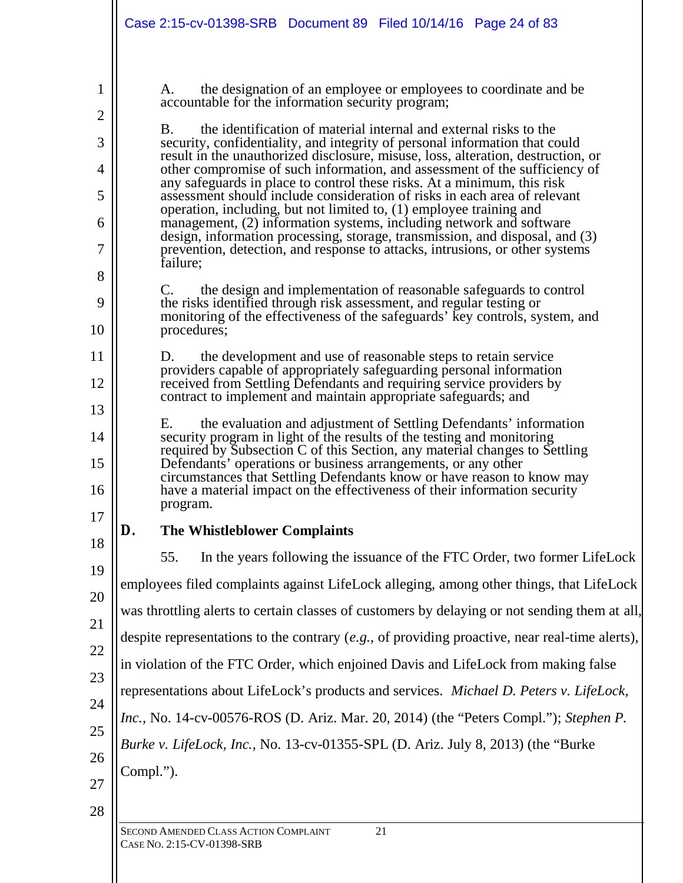|                                                                                       | Case 2:15-cv-01398-SRB Document 89 Filed 10/14/16 Page 24 of 83                                                                                                                                                                                                                                                                                                                                                                                                                                                                                                                                                                                                                                                                                                                                                                                                                                                                                                                                                                                                                                                                                                                                                                                                                                                                                                                                                                                                                                                                                                                                                                                                                                                                                                                                                                                                                                                                                             |
|---------------------------------------------------------------------------------------|-------------------------------------------------------------------------------------------------------------------------------------------------------------------------------------------------------------------------------------------------------------------------------------------------------------------------------------------------------------------------------------------------------------------------------------------------------------------------------------------------------------------------------------------------------------------------------------------------------------------------------------------------------------------------------------------------------------------------------------------------------------------------------------------------------------------------------------------------------------------------------------------------------------------------------------------------------------------------------------------------------------------------------------------------------------------------------------------------------------------------------------------------------------------------------------------------------------------------------------------------------------------------------------------------------------------------------------------------------------------------------------------------------------------------------------------------------------------------------------------------------------------------------------------------------------------------------------------------------------------------------------------------------------------------------------------------------------------------------------------------------------------------------------------------------------------------------------------------------------------------------------------------------------------------------------------------------------|
| $\overline{2}$<br>3<br>4<br>5<br>6<br>7<br>8<br>9<br>10<br>12<br>13<br>14<br>15<br>16 | the designation of an employee or employees to coordinate and be<br>A.<br>accountable for the information security program;<br>the identification of material internal and external risks to the<br>B.<br>security, confidentiality, and integrity of personal information that could<br>result in the unauthorized disclosure, misuse, loss, alteration, destruction, or<br>other compromise of such information, and assessment of the sufficiency of<br>any safeguards in place to control these risks. At a minimum, this risk<br>assessment should include consideration of risks in each area of relevant<br>operation, including, but not limited to, (1) employee training and<br>management, (2) information systems, including network and software<br>design, information processing, storage, transmission, and disposal, and (3)<br>prevention, detection, and response to attacks, intrusions, or other systems<br>failure;<br>the design and implementation of reasonable safeguards to control<br>C.<br>the risks identified through risk assessment, and regular testing or<br>monitoring of the effectiveness of the safeguards' key controls, system, and<br>procedures;<br>the development and use of reasonable steps to retain service<br>D.<br>providers capable of appropriately safeguarding personal information<br>received from Settling Defendants and requiring service providers by<br>contract to implement and maintain appropriate safeguards; and<br>the evaluation and adjustment of Settling Defendants' information<br>Е.<br>security program in light of the results of the testing and monitoring<br>required by Subsection C of this Section, any material changes to Settling<br>Defendants' operations or business arrangements, or any other<br>circumstances that Settling Defendants know or have reason to know may<br>have a material impact on the effectiveness of their information security<br>program. |
| 17                                                                                    | The Whistleblower Complaints<br>D.                                                                                                                                                                                                                                                                                                                                                                                                                                                                                                                                                                                                                                                                                                                                                                                                                                                                                                                                                                                                                                                                                                                                                                                                                                                                                                                                                                                                                                                                                                                                                                                                                                                                                                                                                                                                                                                                                                                          |
| 18                                                                                    | In the years following the issuance of the FTC Order, two former LifeLock<br>55.                                                                                                                                                                                                                                                                                                                                                                                                                                                                                                                                                                                                                                                                                                                                                                                                                                                                                                                                                                                                                                                                                                                                                                                                                                                                                                                                                                                                                                                                                                                                                                                                                                                                                                                                                                                                                                                                            |
| 19<br>20                                                                              | employees filed complaints against LifeLock alleging, among other things, that LifeLock                                                                                                                                                                                                                                                                                                                                                                                                                                                                                                                                                                                                                                                                                                                                                                                                                                                                                                                                                                                                                                                                                                                                                                                                                                                                                                                                                                                                                                                                                                                                                                                                                                                                                                                                                                                                                                                                     |
|                                                                                       | was throttling alerts to certain classes of customers by delaying or not sending them at all,                                                                                                                                                                                                                                                                                                                                                                                                                                                                                                                                                                                                                                                                                                                                                                                                                                                                                                                                                                                                                                                                                                                                                                                                                                                                                                                                                                                                                                                                                                                                                                                                                                                                                                                                                                                                                                                               |
|                                                                                       | despite representations to the contrary $(e.g.,$ of providing proactive, near real-time alerts),                                                                                                                                                                                                                                                                                                                                                                                                                                                                                                                                                                                                                                                                                                                                                                                                                                                                                                                                                                                                                                                                                                                                                                                                                                                                                                                                                                                                                                                                                                                                                                                                                                                                                                                                                                                                                                                            |
|                                                                                       | in violation of the FTC Order, which enjoined Davis and LifeLock from making false                                                                                                                                                                                                                                                                                                                                                                                                                                                                                                                                                                                                                                                                                                                                                                                                                                                                                                                                                                                                                                                                                                                                                                                                                                                                                                                                                                                                                                                                                                                                                                                                                                                                                                                                                                                                                                                                          |
|                                                                                       | representations about LifeLock's products and services. Michael D. Peters v. LifeLock,                                                                                                                                                                                                                                                                                                                                                                                                                                                                                                                                                                                                                                                                                                                                                                                                                                                                                                                                                                                                                                                                                                                                                                                                                                                                                                                                                                                                                                                                                                                                                                                                                                                                                                                                                                                                                                                                      |
| 24                                                                                    | Inc., No. 14-cv-00576-ROS (D. Ariz. Mar. 20, 2014) (the "Peters Compl."); Stephen P.                                                                                                                                                                                                                                                                                                                                                                                                                                                                                                                                                                                                                                                                                                                                                                                                                                                                                                                                                                                                                                                                                                                                                                                                                                                                                                                                                                                                                                                                                                                                                                                                                                                                                                                                                                                                                                                                        |
| 25                                                                                    | Burke v. LifeLock, Inc., No. 13-cv-01355-SPL (D. Ariz. July 8, 2013) (the "Burke                                                                                                                                                                                                                                                                                                                                                                                                                                                                                                                                                                                                                                                                                                                                                                                                                                                                                                                                                                                                                                                                                                                                                                                                                                                                                                                                                                                                                                                                                                                                                                                                                                                                                                                                                                                                                                                                            |
| 26                                                                                    | Compl.").                                                                                                                                                                                                                                                                                                                                                                                                                                                                                                                                                                                                                                                                                                                                                                                                                                                                                                                                                                                                                                                                                                                                                                                                                                                                                                                                                                                                                                                                                                                                                                                                                                                                                                                                                                                                                                                                                                                                                   |
| 27<br>28                                                                              |                                                                                                                                                                                                                                                                                                                                                                                                                                                                                                                                                                                                                                                                                                                                                                                                                                                                                                                                                                                                                                                                                                                                                                                                                                                                                                                                                                                                                                                                                                                                                                                                                                                                                                                                                                                                                                                                                                                                                             |
|                                                                                       | SECOND AMENDED CLASS ACTION COMPLAINT<br>21                                                                                                                                                                                                                                                                                                                                                                                                                                                                                                                                                                                                                                                                                                                                                                                                                                                                                                                                                                                                                                                                                                                                                                                                                                                                                                                                                                                                                                                                                                                                                                                                                                                                                                                                                                                                                                                                                                                 |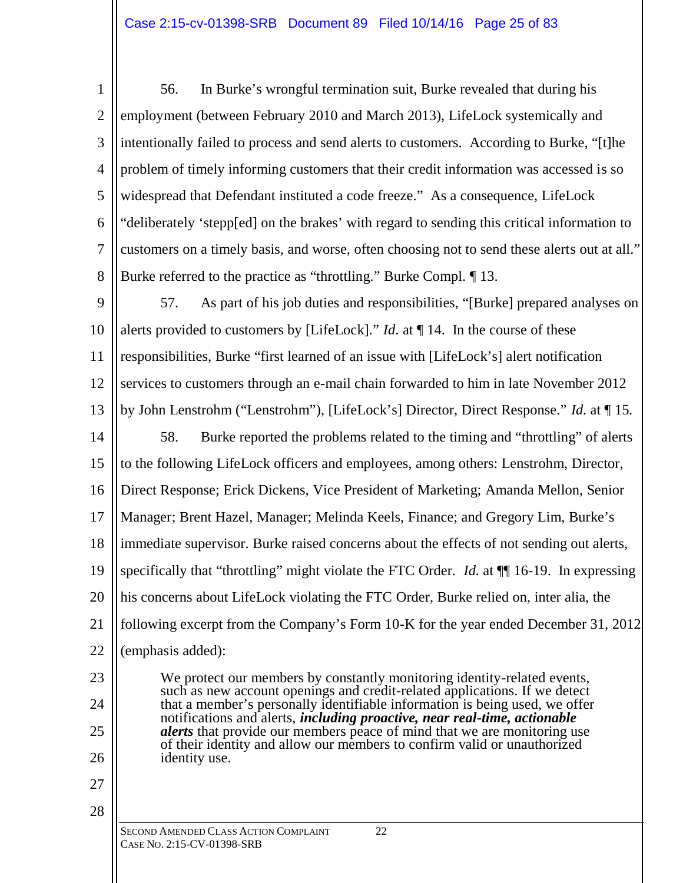1 2 3 4 5 6 7 8 56. In Burke's wrongful termination suit, Burke revealed that during his employment (between February 2010 and March 2013), LifeLock systemically and intentionally failed to process and send alerts to customers. According to Burke, "[t]he problem of timely informing customers that their credit information was accessed is so widespread that Defendant instituted a code freeze." As a consequence, LifeLock "deliberately 'stepp[ed] on the brakes' with regard to sending this critical information to customers on a timely basis, and worse, often choosing not to send these alerts out at all." Burke referred to the practice as "throttling." Burke Compl. ¶ 13.

9 10 11 12 13 14 15 16 17 18 19 20 57. As part of his job duties and responsibilities, "[Burke] prepared analyses on alerts provided to customers by [LifeLock]." *Id*. at ¶ 14. In the course of these responsibilities, Burke "first learned of an issue with [LifeLock's] alert notification services to customers through an e-mail chain forwarded to him in late November 2012 by John Lenstrohm ("Lenstrohm"), [LifeLock's] Director, Direct Response." *Id*. at ¶ 15. 58. Burke reported the problems related to the timing and "throttling" of alerts to the following LifeLock officers and employees, among others: Lenstrohm, Director, Direct Response; Erick Dickens, Vice President of Marketing; Amanda Mellon, Senior Manager; Brent Hazel, Manager; Melinda Keels, Finance; and Gregory Lim, Burke's immediate supervisor. Burke raised concerns about the effects of not sending out alerts, specifically that "throttling" might violate the FTC Order. *Id*. at ¶¶ 16-19. In expressing

21 22 his concerns about LifeLock violating the FTC Order, Burke relied on, inter alia, the following excerpt from the Company's Form 10-K for the year ended December 31, 2012 (emphasis added):

> We protect our members by constantly monitoring identity-related events, such as new account openings and credit-related applications. If we detect that a member's personally identifiable information is being used, we offer notifications and alerts, *including proactive, near real-time, actionable alerts* that provide our members peace of mind that we are monitoring use of their identity and allow our members to confirm valid or unauthorized

23

24 25

26

27

28

SECOND AMENDED CLASS ACTION COMPLAINT 22 CASE NO. 2:15-CV-01398-SRB

identity use.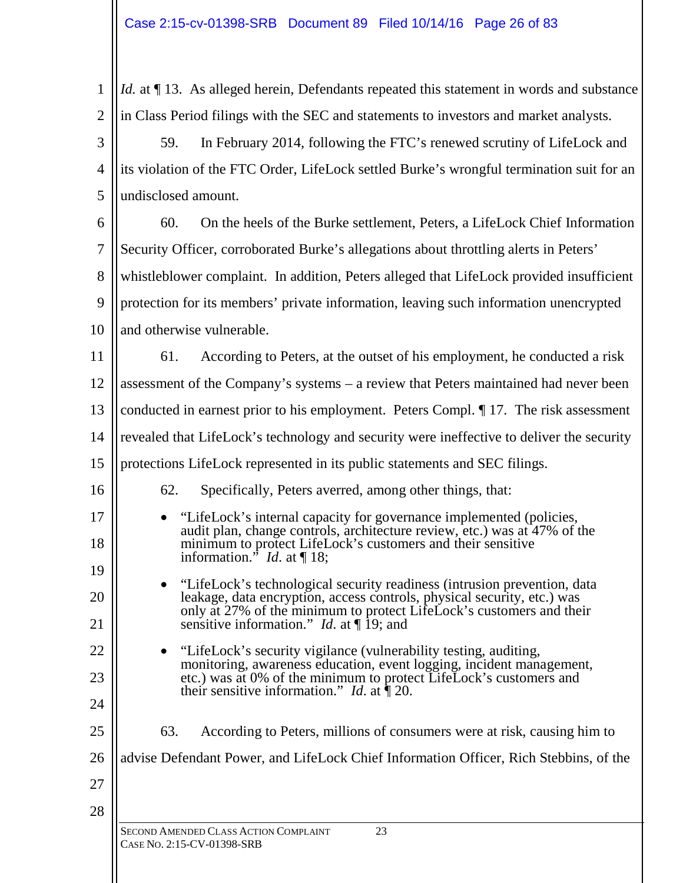1 2 *Id.* at  $\P$  13. As alleged herein, Defendants repeated this statement in words and substance in Class Period filings with the SEC and statements to investors and market analysts.

3 4 5 59. In February 2014, following the FTC's renewed scrutiny of LifeLock and its violation of the FTC Order, LifeLock settled Burke's wrongful termination suit for an undisclosed amount.

6 7 8 9 10 60. On the heels of the Burke settlement, Peters, a LifeLock Chief Information Security Officer, corroborated Burke's allegations about throttling alerts in Peters' whistleblower complaint. In addition, Peters alleged that LifeLock provided insufficient protection for its members' private information, leaving such information unencrypted and otherwise vulnerable.

11 12 13 14 61. According to Peters, at the outset of his employment, he conducted a risk assessment of the Company's systems – a review that Peters maintained had never been conducted in earnest prior to his employment. Peters Compl. ¶ 17. The risk assessment revealed that LifeLock's technology and security were ineffective to deliver the security

### 15 protections LifeLock represented in its public statements and SEC filings.

# 62. Specifically, Peters averred, among other things, that:

- "LifeLock's internal capacity for governance implemented (policies, audit plan, change controls, architecture review, etc.) was at 47% of the minimum to protect LifeLock's customers and their sensitive information." *Id*. at ¶ 18;
- "LifeLock's technological security readiness (intrusion prevention, data leakage, data encryption, access controls, physical security, etc.) was only at 27% of the minimum to protect LifeLock's customers and their sensitive information." *Id*. at ¶ 19; and
- "LifeLock's security vigilance (vulnerability testing, auditing, monitoring, awareness education, event logging, incident management, etc.) was at 0% of the minimum to protect LifeLock's customers and their sensitive information." *Id*. at ¶ 20.
- 63. According to Peters, millions of consumers were at risk, causing him to
- 26 advise Defendant Power, and LifeLock Chief Information Officer, Rich Stebbins, of the

27

28

16

17

18

19

20

21

22

23

24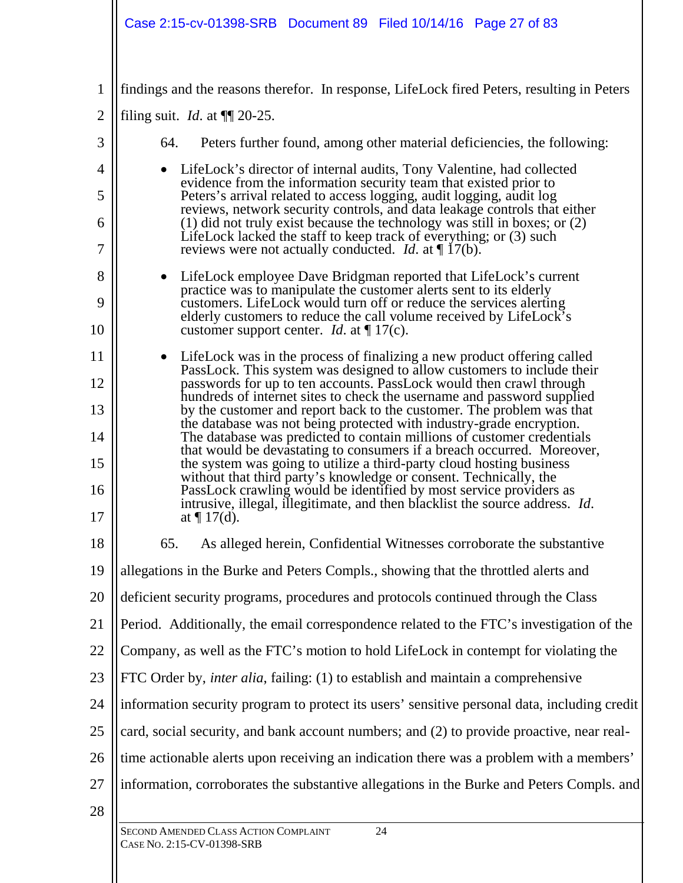# Case 2:15-cv-01398-SRB Document 89 Filed 10/14/16 Page 27 of 83

| $\mathbf{1}$   | findings and the reasons therefor. In response, LifeLock fired Peters, resulting in Peters                                                                           |
|----------------|----------------------------------------------------------------------------------------------------------------------------------------------------------------------|
| $\overline{2}$ | filing suit. <i>Id.</i> at $\P$ 20-25.                                                                                                                               |
| 3              | 64.<br>Peters further found, among other material deficiencies, the following:                                                                                       |
| 4              | LifeLock's director of internal audits, Tony Valentine, had collected<br>evidence from the information security team that existed prior to                           |
| 5              | Peters's arrival related to access logging, audit logging, audit log<br>reviews, network security controls, and data leakage controls that either                    |
| 6              | $(1)$ did not truly exist because the technology was still in boxes; or $(2)$<br>LifeLock lacked the staff to keep track of everything; or (3) such                  |
| 7              | reviews were not actually conducted. <i>Id.</i> at $\P$ 17(b).                                                                                                       |
| 8              | LifeLock employee Dave Bridgman reported that LifeLock's current<br>practice was to manipulate the customer alerts sent to its elderly                               |
| 9              | customers. LifeLock would turn off or reduce the services alerting<br>elderly customers to reduce the call volume received by LifeLock's                             |
| 10             | customer support center. <i>Id.</i> at $\P$ 17(c).                                                                                                                   |
| 11             | LifeLock was in the process of finalizing a new product offering called<br>PassLock. This system was designed to allow customers to include their                    |
| 12             | passwords for up to ten accounts. PassLock would then crawl through<br>hundreds of internet sites to check the username and password supplied                        |
| 13             | by the customer and report back to the customer. The problem was that<br>the database was not being protected with industry-grade encryption.                        |
| 14             | The database was predicted to contain millions of customer credentials<br>that would be devastating to consumers if a breach occurred. Moreover,                     |
| 15             | the system was going to utilize a third-party cloud hosting business<br>without that third party's knowledge or consent. Technically, the                            |
| 16<br>17       | PassLock crawling would be identified by most service providers as<br>intrusive, illegal, illegitimate, and then blacklist the source address. Id.<br>at $\P$ 17(d). |
| 18             | As alleged herein, Confidential Witnesses corroborate the substantive<br>65.                                                                                         |
| 19             | allegations in the Burke and Peters Compls., showing that the throttled alerts and                                                                                   |
| 20             | deficient security programs, procedures and protocols continued through the Class                                                                                    |
| 21             | Period. Additionally, the email correspondence related to the FTC's investigation of the                                                                             |
| 22             | Company, as well as the FTC's motion to hold LifeLock in contempt for violating the                                                                                  |
| 23             | FTC Order by, <i>inter alia</i> , failing: (1) to establish and maintain a comprehensive                                                                             |
| 24             | information security program to protect its users' sensitive personal data, including credit                                                                         |
| 25             | card, social security, and bank account numbers; and (2) to provide proactive, near real-                                                                            |
| 26             | time actionable alerts upon receiving an indication there was a problem with a members'                                                                              |
| 27             | information, corroborates the substantive allegations in the Burke and Peters Compls. and                                                                            |
| 28             | <b>SECOND AMENDED CLASS ACTION COMMANY</b><br>24                                                                                                                     |
|                |                                                                                                                                                                      |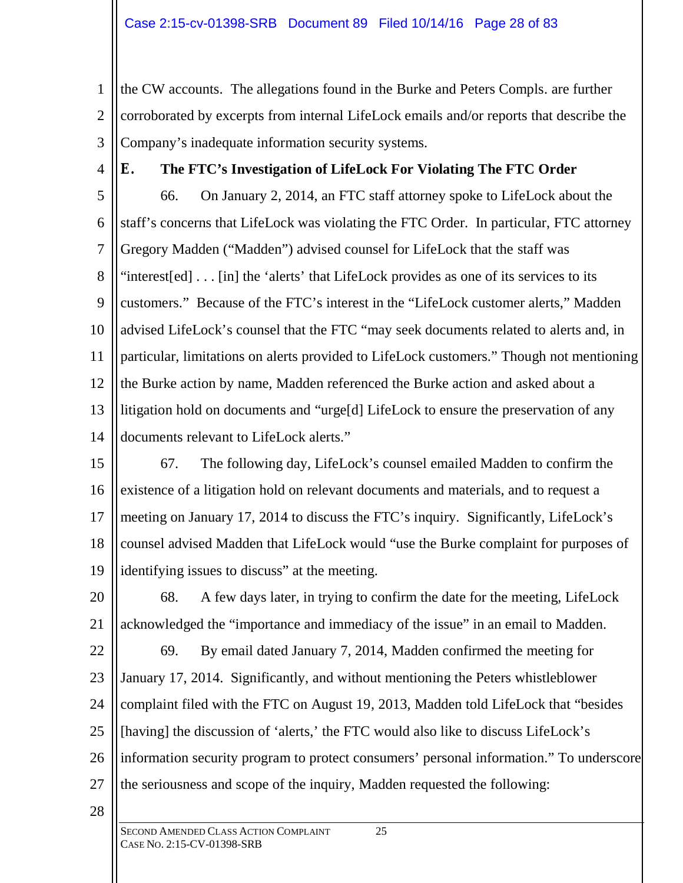1 2 3 the CW accounts. The allegations found in the Burke and Peters Compls. are further corroborated by excerpts from internal LifeLock emails and/or reports that describe the Company's inadequate information security systems.

4

# **E. The FTC's Investigation of LifeLock For Violating The FTC Order**

5 6 7 8 9 10 11 12 13 14 66. On January 2, 2014, an FTC staff attorney spoke to LifeLock about the staff's concerns that LifeLock was violating the FTC Order. In particular, FTC attorney Gregory Madden ("Madden") advised counsel for LifeLock that the staff was "interest[ed] . . . [in] the 'alerts' that LifeLock provides as one of its services to its customers." Because of the FTC's interest in the "LifeLock customer alerts," Madden advised LifeLock's counsel that the FTC "may seek documents related to alerts and, in particular, limitations on alerts provided to LifeLock customers." Though not mentioning the Burke action by name, Madden referenced the Burke action and asked about a litigation hold on documents and "urge[d] LifeLock to ensure the preservation of any documents relevant to LifeLock alerts."

15 16 17 18 19 67. The following day, LifeLock's counsel emailed Madden to confirm the existence of a litigation hold on relevant documents and materials, and to request a meeting on January 17, 2014 to discuss the FTC's inquiry. Significantly, LifeLock's counsel advised Madden that LifeLock would "use the Burke complaint for purposes of identifying issues to discuss" at the meeting.

20 21 22 23 24 25 26 27 68. A few days later, in trying to confirm the date for the meeting, LifeLock acknowledged the "importance and immediacy of the issue" in an email to Madden. 69. By email dated January 7, 2014, Madden confirmed the meeting for January 17, 2014. Significantly, and without mentioning the Peters whistleblower complaint filed with the FTC on August 19, 2013, Madden told LifeLock that "besides [having] the discussion of 'alerts,' the FTC would also like to discuss LifeLock's information security program to protect consumers' personal information." To underscore the seriousness and scope of the inquiry, Madden requested the following: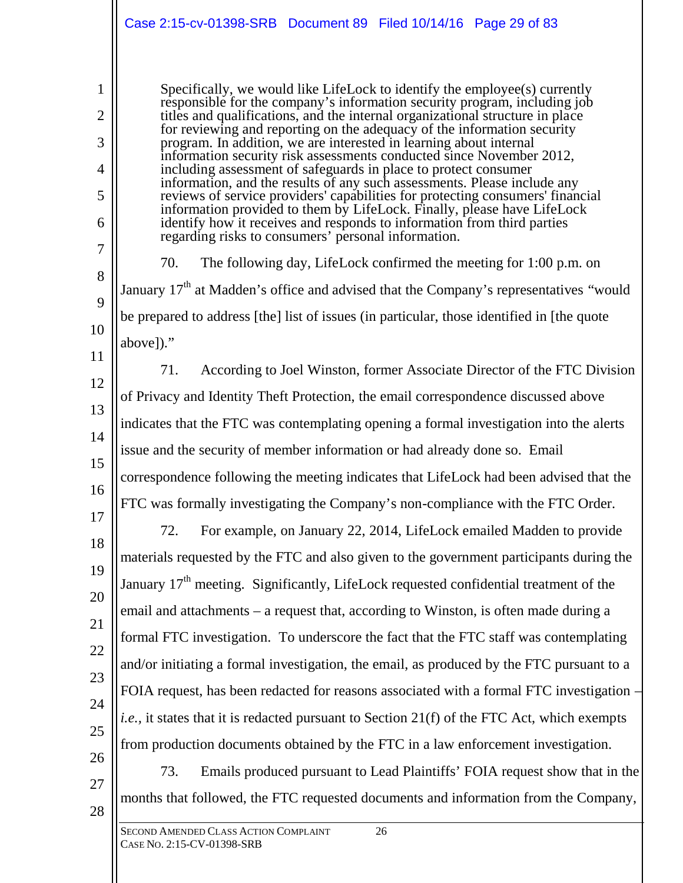|                                    | Case 2:15-cv-01398-SRB Document 89 Filed 10/14/16 Page 29 of 83                                                                                                                                                                                                                                                                                                                                                                                                                                                                                                                                                                                                                                                                                                               |
|------------------------------------|-------------------------------------------------------------------------------------------------------------------------------------------------------------------------------------------------------------------------------------------------------------------------------------------------------------------------------------------------------------------------------------------------------------------------------------------------------------------------------------------------------------------------------------------------------------------------------------------------------------------------------------------------------------------------------------------------------------------------------------------------------------------------------|
| 1<br>$\overline{2}$<br>3<br>4<br>5 | Specifically, we would like LifeLock to identify the employee(s) currently<br>responsible for the company's information security program, including job<br>titles and qualifications, and the internal organizational structure in place<br>for reviewing and reporting on the adequacy of the information security<br>program. In addition, we are interested in learning about internal<br>information security risk assessments conducted since November 2012,<br>including assessment of safeguards in place to protect consumer<br>information, and the results of any such assessments. Please include any<br>reviews of service providers' capabilities for protecting consumers' financial<br>information provided to them by LifeLock. Finally, please have LifeLock |
| 6<br>7<br>8                        | identify how it receives and responds to information from third parties<br>regarding risks to consumers' personal information.<br>The following day, LifeLock confirmed the meeting for 1:00 p.m. on<br>70.<br>January 17 <sup>th</sup> at Madden's office and advised that the Company's representatives "would                                                                                                                                                                                                                                                                                                                                                                                                                                                              |
| 9<br>10<br>11                      | be prepared to address [the] list of issues (in particular, those identified in [the quote<br>above])."                                                                                                                                                                                                                                                                                                                                                                                                                                                                                                                                                                                                                                                                       |
| 12<br>13                           | 71.<br>According to Joel Winston, former Associate Director of the FTC Division<br>of Privacy and Identity Theft Protection, the email correspondence discussed above                                                                                                                                                                                                                                                                                                                                                                                                                                                                                                                                                                                                         |
| 14<br>15                           | indicates that the FTC was contemplating opening a formal investigation into the alerts<br>issue and the security of member information or had already done so. Email<br>correspondence following the meeting indicates that LifeLock had been advised that the                                                                                                                                                                                                                                                                                                                                                                                                                                                                                                               |
| 16<br>17<br>18                     | FTC was formally investigating the Company's non-compliance with the FTC Order.<br>72.<br>For example, on January 22, 2014, LifeLock emailed Madden to provide                                                                                                                                                                                                                                                                                                                                                                                                                                                                                                                                                                                                                |
| 19<br>20                           | materials requested by the FTC and also given to the government participants during the<br>January 17 <sup>th</sup> meeting. Significantly, LifeLock requested confidential treatment of the<br>email and attachments – a request that, according to Winston, is often made during a                                                                                                                                                                                                                                                                                                                                                                                                                                                                                          |
| 21<br>22<br>23                     | formal FTC investigation. To underscore the fact that the FTC staff was contemplating<br>and/or initiating a formal investigation, the email, as produced by the FTC pursuant to a                                                                                                                                                                                                                                                                                                                                                                                                                                                                                                                                                                                            |
| 24<br>25                           | FOIA request, has been redacted for reasons associated with a formal FTC investigation –<br><i>i.e.</i> , it states that it is redacted pursuant to Section 21(f) of the FTC Act, which exempts<br>from production documents obtained by the FTC in a law enforcement investigation.                                                                                                                                                                                                                                                                                                                                                                                                                                                                                          |
| 26<br>27<br>28                     | 73.<br>Emails produced pursuant to Lead Plaintiffs' FOIA request show that in the<br>months that followed, the FTC requested documents and information from the Company,                                                                                                                                                                                                                                                                                                                                                                                                                                                                                                                                                                                                      |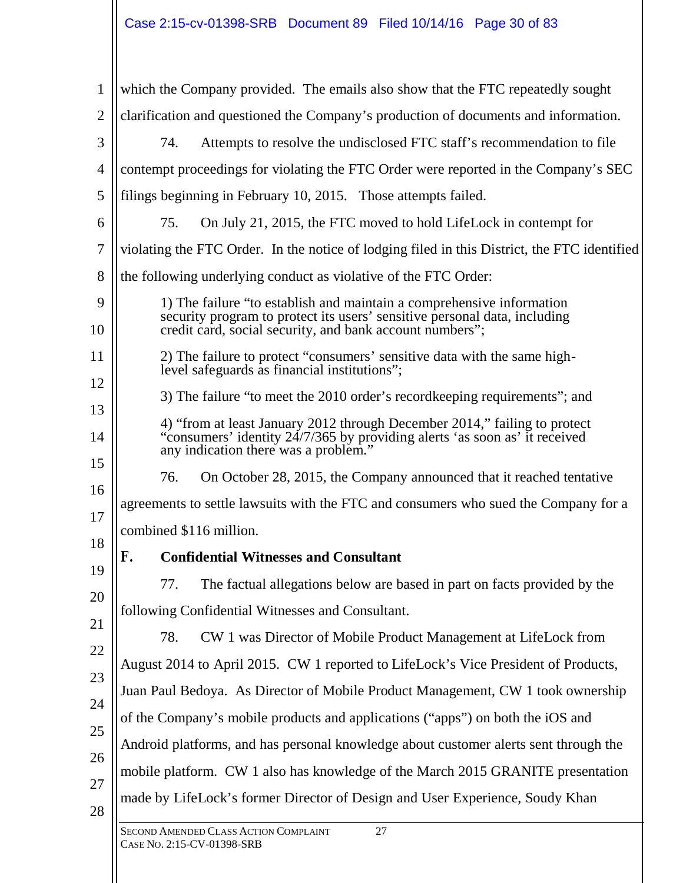| $\mathbf{1}$   | which the Company provided. The emails also show that the FTC repeatedly sought                                                                                                                                |  |
|----------------|----------------------------------------------------------------------------------------------------------------------------------------------------------------------------------------------------------------|--|
| $\overline{2}$ | clarification and questioned the Company's production of documents and information.                                                                                                                            |  |
| 3              | Attempts to resolve the undisclosed FTC staff's recommendation to file<br>74.                                                                                                                                  |  |
| $\overline{4}$ | contempt proceedings for violating the FTC Order were reported in the Company's SEC                                                                                                                            |  |
| 5              | filings beginning in February 10, 2015. Those attempts failed.                                                                                                                                                 |  |
| 6              | On July 21, 2015, the FTC moved to hold LifeLock in contempt for<br>75.                                                                                                                                        |  |
| 7              | violating the FTC Order. In the notice of lodging filed in this District, the FTC identified                                                                                                                   |  |
| 8              | the following underlying conduct as violative of the FTC Order:                                                                                                                                                |  |
| 9<br>10        | 1) The failure "to establish and maintain a comprehensive information<br>security program to protect its users' sensitive personal data, including<br>credit card, social security, and bank account numbers"; |  |
| 11<br>12       | 2) The failure to protect "consumers' sensitive data with the same high-<br>level safeguards as financial institutions";                                                                                       |  |
| 13             | 3) The failure "to meet the 2010 order's record keeping requirements"; and                                                                                                                                     |  |
| 14             | 4) "from at least January 2012 through December 2014," failing to protect<br>"consumers' identity $24/7/365$ by providing alerts 'as soon as' it received<br>any indication there was a problem."              |  |
| 15             | On October 28, 2015, the Company announced that it reached tentative<br>76.                                                                                                                                    |  |
| 16             | agreements to settle lawsuits with the FTC and consumers who sued the Company for a                                                                                                                            |  |
| 17<br>18       | combined \$116 million.                                                                                                                                                                                        |  |
|                | F.<br><b>Confidential Witnesses and Consultant</b>                                                                                                                                                             |  |
| 19<br>20       | The factual allegations below are based in part on facts provided by the<br>77.                                                                                                                                |  |
| 21             | following Confidential Witnesses and Consultant.                                                                                                                                                               |  |
| 22             | CW 1 was Director of Mobile Product Management at LifeLock from<br>78.                                                                                                                                         |  |
| 23             | August 2014 to April 2015. CW 1 reported to LifeLock's Vice President of Products,                                                                                                                             |  |
| 24             | Juan Paul Bedoya. As Director of Mobile Product Management, CW 1 took ownership                                                                                                                                |  |
| 25             | of the Company's mobile products and applications ("apps") on both the iOS and                                                                                                                                 |  |
| 26             | Android platforms, and has personal knowledge about customer alerts sent through the                                                                                                                           |  |
| 27             | mobile platform. CW 1 also has knowledge of the March 2015 GRANITE presentation                                                                                                                                |  |
| 28             | made by LifeLock's former Director of Design and User Experience, Soudy Khan                                                                                                                                   |  |
|                | SECOND AMENDED CLASS ACTION COMPLAINT<br>27<br>CASE No. 2:15-CV-01398-SRB                                                                                                                                      |  |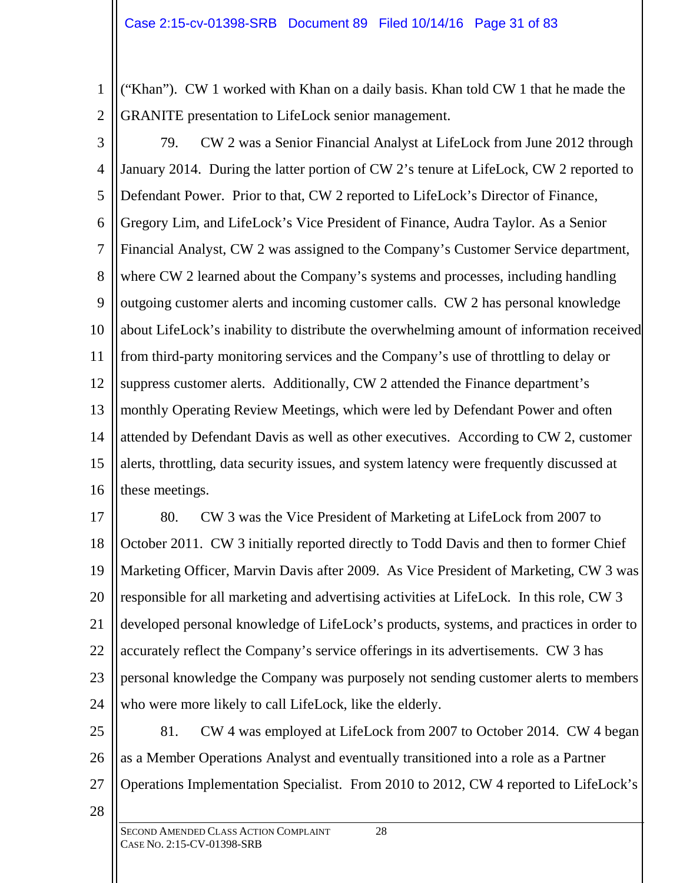1 2 ("Khan"). CW 1 worked with Khan on a daily basis. Khan told CW 1 that he made the GRANITE presentation to LifeLock senior management.

3 4 5 6 7 8 9 10 11 12 13 14 15 16 79. CW 2 was a Senior Financial Analyst at LifeLock from June 2012 through January 2014. During the latter portion of CW 2's tenure at LifeLock, CW 2 reported to Defendant Power. Prior to that, CW 2 reported to LifeLock's Director of Finance, Gregory Lim, and LifeLock's Vice President of Finance, Audra Taylor. As a Senior Financial Analyst, CW 2 was assigned to the Company's Customer Service department, where CW 2 learned about the Company's systems and processes, including handling outgoing customer alerts and incoming customer calls. CW 2 has personal knowledge about LifeLock's inability to distribute the overwhelming amount of information received from third-party monitoring services and the Company's use of throttling to delay or suppress customer alerts. Additionally, CW 2 attended the Finance department's monthly Operating Review Meetings, which were led by Defendant Power and often attended by Defendant Davis as well as other executives. According to CW 2, customer alerts, throttling, data security issues, and system latency were frequently discussed at these meetings.

17 18 19 20 21 22 23 24 80. CW 3 was the Vice President of Marketing at LifeLock from 2007 to October 2011. CW 3 initially reported directly to Todd Davis and then to former Chief Marketing Officer, Marvin Davis after 2009. As Vice President of Marketing, CW 3 was responsible for all marketing and advertising activities at LifeLock. In this role, CW 3 developed personal knowledge of LifeLock's products, systems, and practices in order to accurately reflect the Company's service offerings in its advertisements. CW 3 has personal knowledge the Company was purposely not sending customer alerts to members who were more likely to call LifeLock, like the elderly.

25 26 27 81. CW 4 was employed at LifeLock from 2007 to October 2014. CW 4 began as a Member Operations Analyst and eventually transitioned into a role as a Partner Operations Implementation Specialist. From 2010 to 2012, CW 4 reported to LifeLock's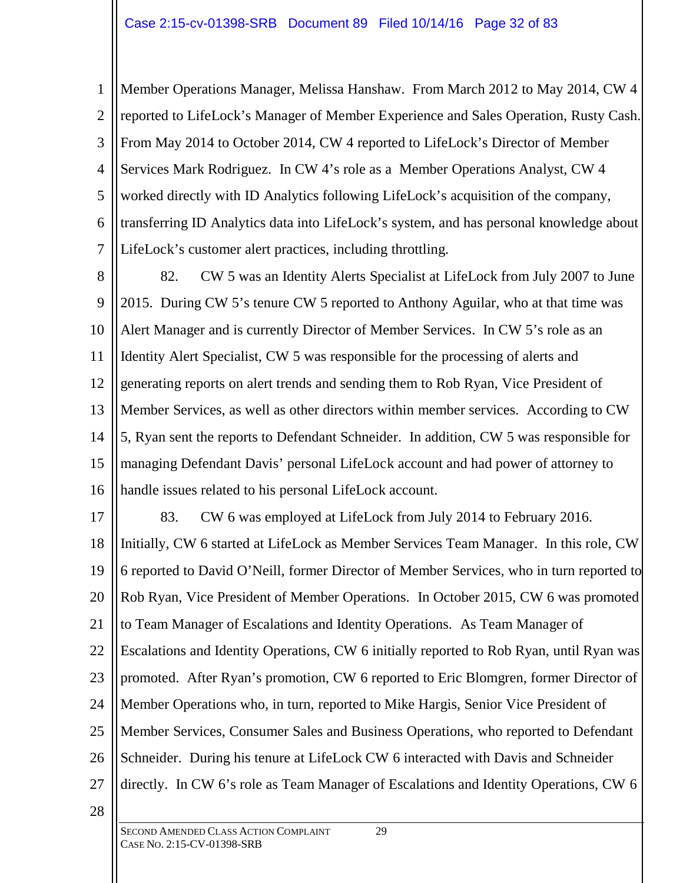1 2 3 4 5 6 7 Member Operations Manager, Melissa Hanshaw. From March 2012 to May 2014, CW 4 reported to LifeLock's Manager of Member Experience and Sales Operation, Rusty Cash. From May 2014 to October 2014, CW 4 reported to LifeLock's Director of Member Services Mark Rodriguez. In CW 4's role as a Member Operations Analyst, CW 4 worked directly with ID Analytics following LifeLock's acquisition of the company, transferring ID Analytics data into LifeLock's system, and has personal knowledge about LifeLock's customer alert practices, including throttling.

8 9 10 11 12 13 14 15 16 82. CW 5 was an Identity Alerts Specialist at LifeLock from July 2007 to June 2015. During CW 5's tenure CW 5 reported to Anthony Aguilar, who at that time was Alert Manager and is currently Director of Member Services. In CW 5's role as an Identity Alert Specialist, CW 5 was responsible for the processing of alerts and generating reports on alert trends and sending them to Rob Ryan, Vice President of Member Services, as well as other directors within member services. According to CW 5, Ryan sent the reports to Defendant Schneider. In addition, CW 5 was responsible for managing Defendant Davis' personal LifeLock account and had power of attorney to handle issues related to his personal LifeLock account.

17

83. CW 6 was employed at LifeLock from July 2014 to February 2016.

18 19 20 21 22 23 24 25 26 27 Initially, CW 6 started at LifeLock as Member Services Team Manager. In this role, CW 6 reported to David O'Neill, former Director of Member Services, who in turn reported to Rob Ryan, Vice President of Member Operations. In October 2015, CW 6 was promoted to Team Manager of Escalations and Identity Operations. As Team Manager of Escalations and Identity Operations, CW 6 initially reported to Rob Ryan, until Ryan was promoted. After Ryan's promotion, CW 6 reported to Eric Blomgren, former Director of Member Operations who, in turn, reported to Mike Hargis, Senior Vice President of Member Services, Consumer Sales and Business Operations, who reported to Defendant Schneider. During his tenure at LifeLock CW 6 interacted with Davis and Schneider directly. In CW 6's role as Team Manager of Escalations and Identity Operations, CW 6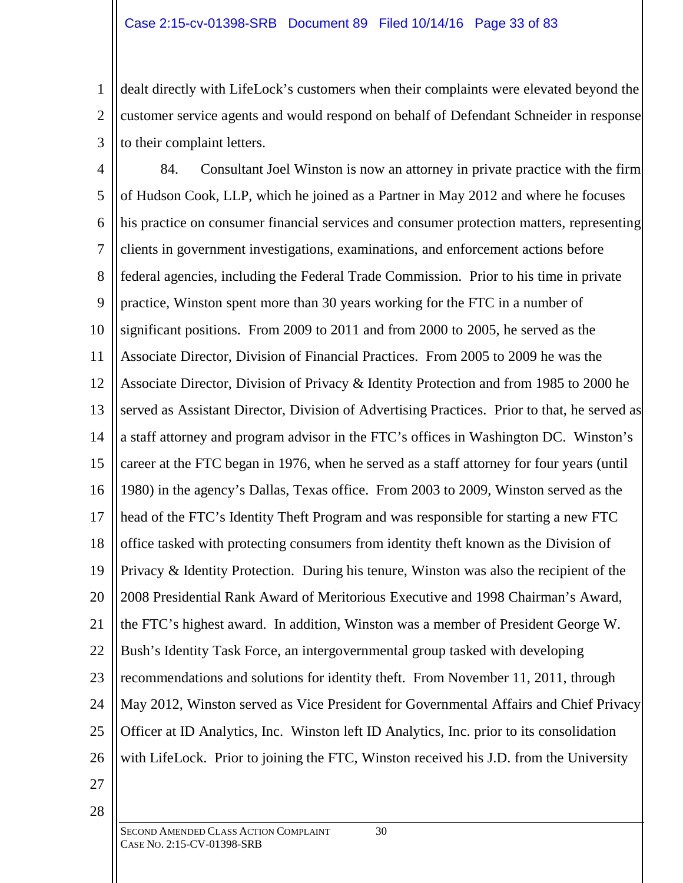1 2 3 dealt directly with LifeLock's customers when their complaints were elevated beyond the customer service agents and would respond on behalf of Defendant Schneider in response to their complaint letters.

4 5 6 7 8 9 10 11 12 13 14 15 16 17 18 19 20 21 22 23 24 25 26 84. Consultant Joel Winston is now an attorney in private practice with the firm of Hudson Cook, LLP, which he joined as a Partner in May 2012 and where he focuses his practice on consumer financial services and consumer protection matters, representing clients in government investigations, examinations, and enforcement actions before federal agencies, including the Federal Trade Commission. Prior to his time in private practice, Winston spent more than 30 years working for the FTC in a number of significant positions. From 2009 to 2011 and from 2000 to 2005, he served as the Associate Director, Division of Financial Practices. From 2005 to 2009 he was the Associate Director, Division of Privacy & Identity Protection and from 1985 to 2000 he served as Assistant Director, Division of Advertising Practices. Prior to that, he served as a staff attorney and program advisor in the FTC's offices in Washington DC. Winston's career at the FTC began in 1976, when he served as a staff attorney for four years (until 1980) in the agency's Dallas, Texas office. From 2003 to 2009, Winston served as the head of the FTC's Identity Theft Program and was responsible for starting a new FTC office tasked with protecting consumers from identity theft known as the Division of Privacy & Identity Protection. During his tenure, Winston was also the recipient of the 2008 Presidential Rank Award of Meritorious Executive and 1998 Chairman's Award, the FTC's highest award. In addition, Winston was a member of President George W. Bush's Identity Task Force, an intergovernmental group tasked with developing recommendations and solutions for identity theft. From November 11, 2011, through May 2012, Winston served as Vice President for Governmental Affairs and Chief Privacy Officer at ID Analytics, Inc. Winston left ID Analytics, Inc. prior to its consolidation with LifeLock. Prior to joining the FTC, Winston received his J.D. from the University

27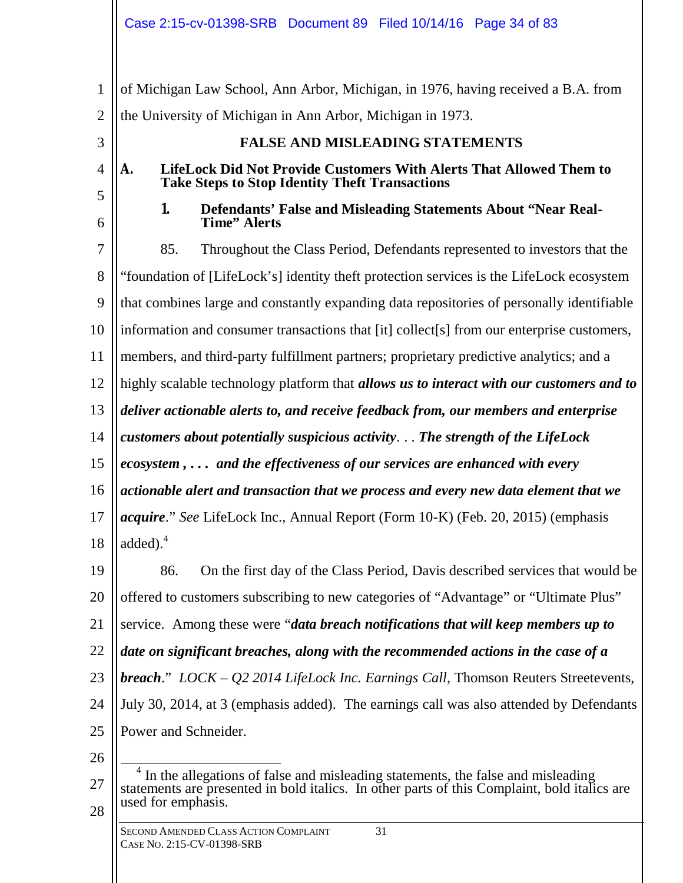1 2 3 4 5 6 7 8 9 10 11 12 13 14 15 16 17 18 19 20 21 22 23 24 25 26 of Michigan Law School, Ann Arbor, Michigan, in 1976, having received a B.A. from the University of Michigan in Ann Arbor, Michigan in 1973. **FALSE AND MISLEADING STATEMENTS A. LifeLock Did Not Provide Customers With Alerts That Allowed Them to Take Steps to Stop Identity Theft Transactions 1. Defendants' False and Misleading Statements About "Near Real-Time" Alerts** 85. Throughout the Class Period, Defendants represented to investors that the "foundation of [LifeLock's] identity theft protection services is the LifeLock ecosystem that combines large and constantly expanding data repositories of personally identifiable information and consumer transactions that [it] collect[s] from our enterprise customers, members, and third-party fulfillment partners; proprietary predictive analytics; and a highly scalable technology platform that *allows us to interact with our customers and to deliver actionable alerts to, and receive feedback from, our members and enterprise customers about potentially suspicious activity*. . . *The strength of the LifeLock ecosystem , . . . and the effectiveness of our services are enhanced with every actionable alert and transaction that we process and every new data element that we acquire*." *See* LifeLock Inc., Annual Report (Form 10-K) (Feb. 20, 2015) (emphasis added $)$ .<sup>4</sup> 86. On the first day of the Class Period, Davis described services that would be offered to customers subscribing to new categories of "Advantage" or "Ultimate Plus" service. Among these were "*data breach notifications that will keep members up to date on significant breaches, along with the recommended actions in the case of a breach*." *LOCK – Q2 2014 LifeLock Inc. Earnings Call*, Thomson Reuters Streetevents, July 30, 2014, at 3 (emphasis added). The earnings call was also attended by Defendants Power and Schneider.  $\overline{a}$ 4 In the allegations of false and misleading statements, the false and misleading

27 28

used for emphasis.

statements are presented in bold italics. In other parts of this Complaint, bold italics are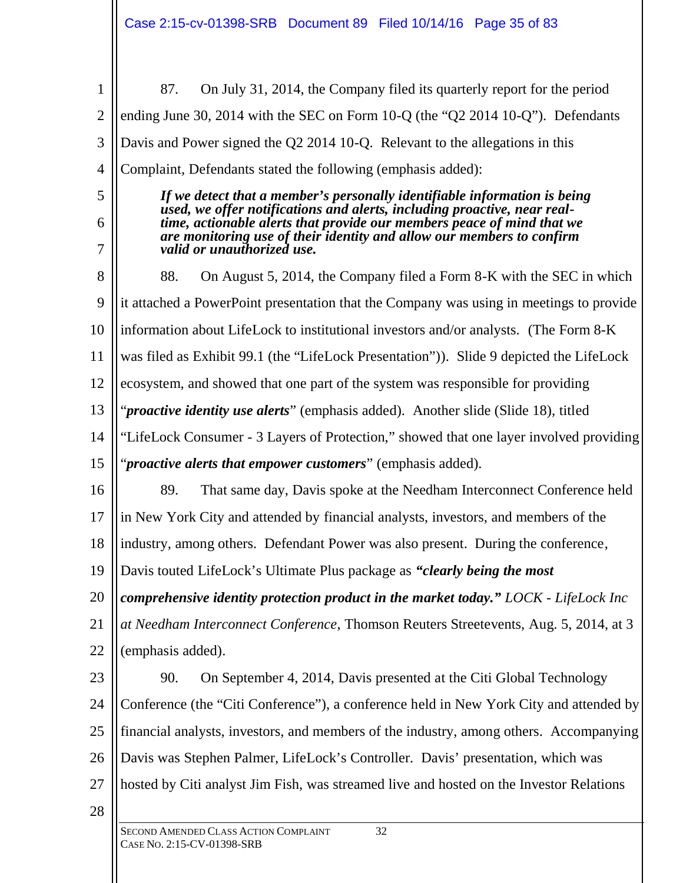| 1              | On July 31, 2014, the Company filed its quarterly report for the period<br>87.                                                                        |
|----------------|-------------------------------------------------------------------------------------------------------------------------------------------------------|
| $\overline{2}$ | ending June 30, 2014 with the SEC on Form 10-Q (the "Q2 2014 10-Q"). Defendants                                                                       |
| 3              | Davis and Power signed the Q2 2014 10-Q. Relevant to the allegations in this                                                                          |
| $\overline{4}$ | Complaint, Defendants stated the following (emphasis added):                                                                                          |
| 5              | If we detect that a member's personally identifiable information is being<br>used, we offer notifications and alerts, including proactive, near real- |
| 6              | time, actionable alerts that provide our members peace of mind that we<br>are monitoring use of their identity and allow our members to confirm       |
| 7              | valid or unauthorized use.                                                                                                                            |
| 8              | 88.<br>On August 5, 2014, the Company filed a Form 8-K with the SEC in which                                                                          |
| 9              | it attached a PowerPoint presentation that the Company was using in meetings to provide                                                               |
| 10             | information about LifeLock to institutional investors and/or analysts. (The Form 8-K)                                                                 |
| 11             | was filed as Exhibit 99.1 (the "LifeLock Presentation")). Slide 9 depicted the LifeLock                                                               |
| 12             | ecosystem, and showed that one part of the system was responsible for providing                                                                       |
| 13             | " <i>proactive identity use alerts</i> " (emphasis added). Another slide (Slide 18), titled                                                           |
| 14             | "LifeLock Consumer - 3 Layers of Protection," showed that one layer involved providing                                                                |
| 15             | " <i>proactive alerts that empower customers</i> " (emphasis added).                                                                                  |
| 16             | That same day, Davis spoke at the Needham Interconnect Conference held<br>89.                                                                         |
| 17             | in New York City and attended by financial analysts, investors, and members of the                                                                    |
| 18             | industry, among others. Defendant Power was also present. During the conference,                                                                      |
| 19             | Davis touted LifeLock's Ultimate Plus package as "clearly being the most"                                                                             |
| 20             | comprehensive identity protection product in the market today." LOCK - LifeLock Inc                                                                   |
| 21             | at Needham Interconnect Conference, Thomson Reuters Streetevents, Aug. 5, 2014, at 3                                                                  |
| 22             | (emphasis added).                                                                                                                                     |
| 23             | 90.<br>On September 4, 2014, Davis presented at the Citi Global Technology                                                                            |
| 24             | Conference (the "Citi Conference"), a conference held in New York City and attended by                                                                |
| 25             | financial analysts, investors, and members of the industry, among others. Accompanying                                                                |
| 26             | Davis was Stephen Palmer, LifeLock's Controller. Davis' presentation, which was                                                                       |
| 27             | hosted by Citi analyst Jim Fish, was streamed live and hosted on the Investor Relations                                                               |
| 28             |                                                                                                                                                       |
|                | SECOND AMENDED CLASS ACTION COMPLAINT<br>32<br>CASE No. 2:15-CV-01398-SRB                                                                             |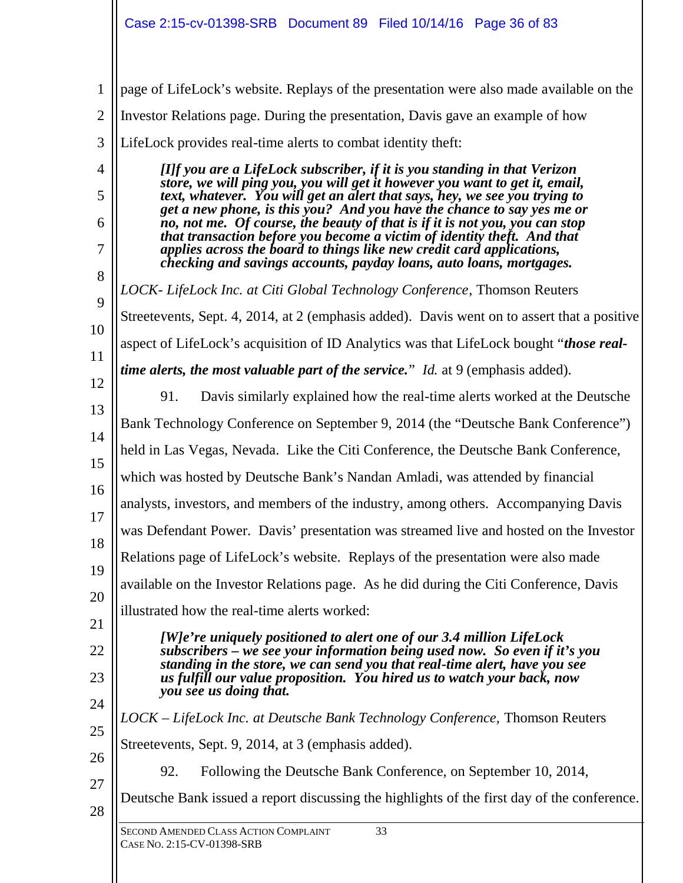SECOND AMENDED CLASS ACTION COMPLAINT 33 CASE NO. 2:15-CV-01398-SRB 1 2 3 4 5 6 7 8 9 10 11 12 13 14 15 16 17 18 19 20 21 22 23 24 25 26 27 28 page of LifeLock's website. Replays of the presentation were also made available on the Investor Relations page. During the presentation, Davis gave an example of how LifeLock provides real-time alerts to combat identity theft: *[I]f you are a LifeLock subscriber, if it is you standing in that Verizon store, we will ping you, you will get it however you want to get it, email, text, whatever. You will get an alert that says, hey, we see you trying to get a new phone, is this you? And you have the chance to say yes me or no, not me. Of course, the beauty of that is if it is not you, you can stop that transaction before you become a victim of identity theft. And that applies across the board to things like new credit card applications, checking and savings accounts, payday loans, auto loans, mortgages. LOCK- LifeLock Inc. at Citi Global Technology Conference*, Thomson Reuters Streetevents, Sept. 4, 2014, at 2 (emphasis added). Davis went on to assert that a positive aspect of LifeLock's acquisition of ID Analytics was that LifeLock bought "*those realtime alerts, the most valuable part of the service.*" *Id.* at 9 (emphasis added). 91. Davis similarly explained how the real-time alerts worked at the Deutsche Bank Technology Conference on September 9, 2014 (the "Deutsche Bank Conference") held in Las Vegas, Nevada. Like the Citi Conference, the Deutsche Bank Conference, which was hosted by Deutsche Bank's Nandan Amladi, was attended by financial analysts, investors, and members of the industry, among others. Accompanying Davis was Defendant Power. Davis' presentation was streamed live and hosted on the Investor Relations page of LifeLock's website. Replays of the presentation were also made available on the Investor Relations page. As he did during the Citi Conference, Davis illustrated how the real-time alerts worked: *[W]e're uniquely positioned to alert one of our 3.4 million LifeLock subscribers – we see your information being used now. So even if it's you standing in the store, we can send you that real-time alert, have you see us fulfill our value proposition. You hired us to watch your back, now you see us doing that. LOCK – LifeLock Inc. at Deutsche Bank Technology Conference,* Thomson Reuters Streetevents, Sept. 9, 2014, at 3 (emphasis added). 92. Following the Deutsche Bank Conference, on September 10, 2014, Deutsche Bank issued a report discussing the highlights of the first day of the conference.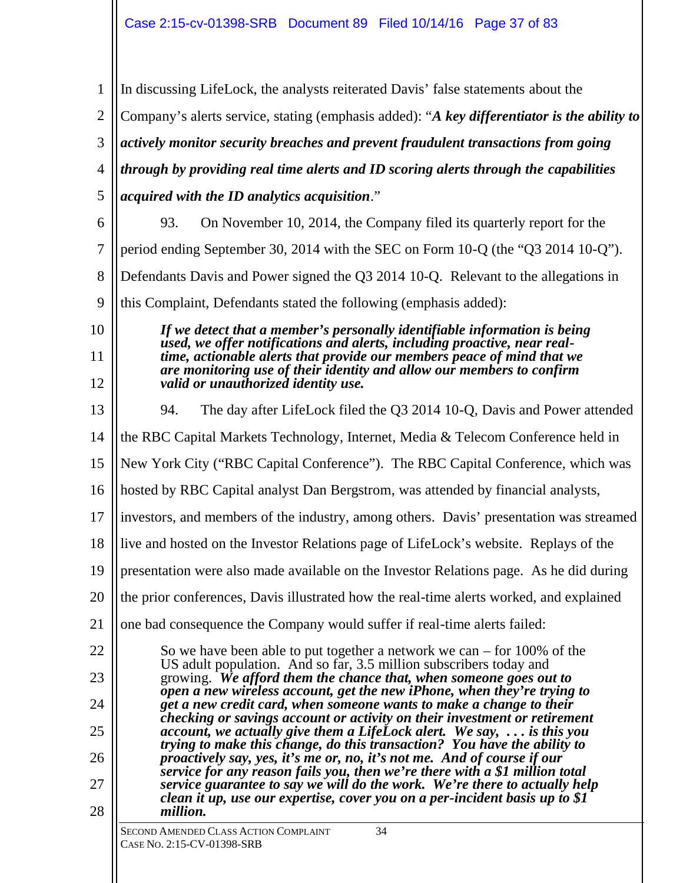SECOND AMENDED CLASS ACTION COMPLAINT 34 CASE NO. 2:15-CV-01398-SRB 1 2 3 4 5 6 7 8 9 10 11 12 13 14 15 16 17 18 19 20 21 22 23 24 25 26 27 28 In discussing LifeLock, the analysts reiterated Davis' false statements about the Company's alerts service, stating (emphasis added): "*A key differentiator is the ability to actively monitor security breaches and prevent fraudulent transactions from going through by providing real time alerts and ID scoring alerts through the capabilities acquired with the ID analytics acquisition*." 93. On November 10, 2014, the Company filed its quarterly report for the period ending September 30, 2014 with the SEC on Form 10-Q (the "Q3 2014 10-Q"). Defendants Davis and Power signed the Q3 2014 10-Q. Relevant to the allegations in this Complaint, Defendants stated the following (emphasis added): *If we detect that a member's personally identifiable information is being used, we offer notifications and alerts, including proactive, near realtime, actionable alerts that provide our members peace of mind that we are monitoring use of their identity and allow our members to confirm valid or unauthorized identity use.* 94. The day after LifeLock filed the Q3 2014 10-Q, Davis and Power attended the RBC Capital Markets Technology, Internet, Media & Telecom Conference held in New York City ("RBC Capital Conference"). The RBC Capital Conference, which was hosted by RBC Capital analyst Dan Bergstrom, was attended by financial analysts, investors, and members of the industry, among others. Davis' presentation was streamed live and hosted on the Investor Relations page of LifeLock's website. Replays of the presentation were also made available on the Investor Relations page. As he did during the prior conferences, Davis illustrated how the real-time alerts worked, and explained one bad consequence the Company would suffer if real-time alerts failed: So we have been able to put together a network we can – for 100% of the US adult population. And so far, 3.5 million subscribers today and growing. *We afford them the chance that, when someone goes out to open a new wireless account, get the new iPhone, when they're trying to get a new credit card, when someone wants to make a change to their checking or savings account or activity on their investment or retirement account, we actually give them a LifeLock alert. We say, . . . is this you trying to make this change, do this transaction? You have the ability to proactively say, yes, it's me or, no, it's not me. And of course if our service for any reason fails you, then we're there with a \$1 million total service guarantee to say we will do the work. We're there to actually help clean it up, use our expertise, cover you on a per-incident basis up to \$1 million.*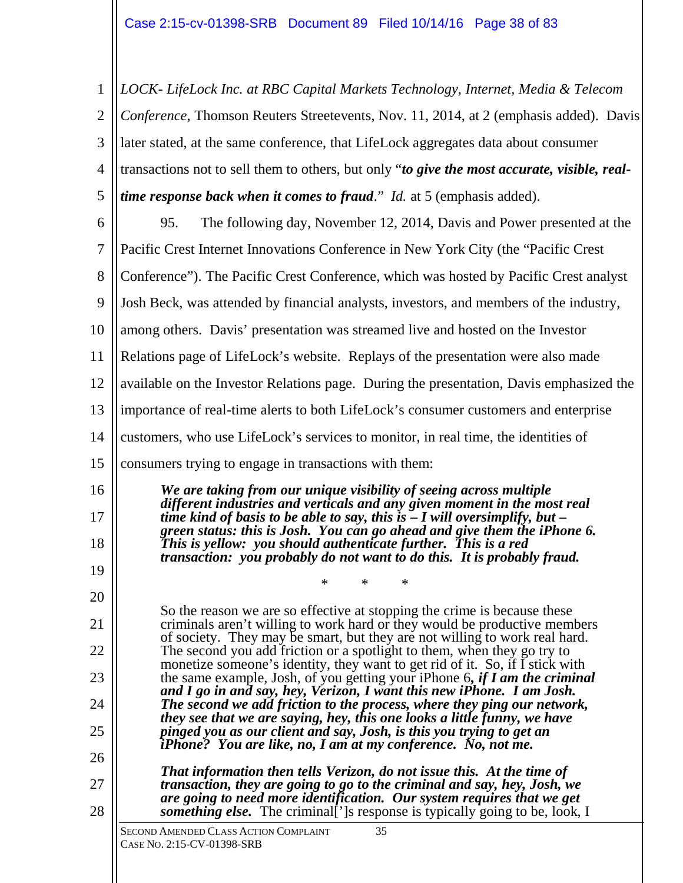SECOND AMENDED CLASS ACTION COMPLAINT 35 CASE NO. 2:15-CV-01398-SRB 1 2 3 4 5 6 7 8 9 10 11 12 13 14 15 16 17 18 19 20 21 22 23 24 25 26 27 28 *LOCK- LifeLock Inc. at RBC Capital Markets Technology, Internet, Media & Telecom Conference*, Thomson Reuters Streetevents, Nov. 11, 2014, at 2 (emphasis added). Davis later stated, at the same conference, that LifeLock aggregates data about consumer transactions not to sell them to others, but only "*to give the most accurate, visible, realtime response back when it comes to fraud*." *Id.* at 5 (emphasis added). 95. The following day, November 12, 2014, Davis and Power presented at the Pacific Crest Internet Innovations Conference in New York City (the "Pacific Crest Conference"). The Pacific Crest Conference, which was hosted by Pacific Crest analyst Josh Beck, was attended by financial analysts, investors, and members of the industry, among others. Davis' presentation was streamed live and hosted on the Investor Relations page of LifeLock's website. Replays of the presentation were also made available on the Investor Relations page. During the presentation, Davis emphasized the importance of real-time alerts to both LifeLock's consumer customers and enterprise customers, who use LifeLock's services to monitor, in real time, the identities of consumers trying to engage in transactions with them: *We are taking from our unique visibility of seeing across multiple different industries and verticals and any given moment in the most real time kind of basis to be able to say, this is – I will oversimplify, but – green status: this is Josh. You can go ahead and give them the iPhone 6. This is yellow: you should authenticate further. This is a red transaction: you probably do not want to do this. It is probably fraud.* \* \* \* So the reason we are so effective at stopping the crime is because these criminals aren't willing to work hard or they would be productive members of society. They may be smart, but they are not willing to work real hard. The second you add friction or a spotlight to them, when they go try to monetize someone's identity, they want to get rid of it. So, if I stick with the same example, Josh, of you getting your iPhone 6*, if I am the criminal and I go in and say, hey, Verizon, I want this new iPhone. I am Josh. The second we add friction to the process, where they ping our network, they see that we are saying, hey, this one looks a little funny, we have pinged you as our client and say, Josh, is this you trying to get an iPhone? You are like, no, I am at my conference. No, not me. That information then tells Verizon, do not issue this. At the time of transaction, they are going to go to the criminal and say, hey, Josh, we are going to need more identification. Our system requires that we get something else.* The criminal<sup>[']</sup>s response is typically going to be, look, I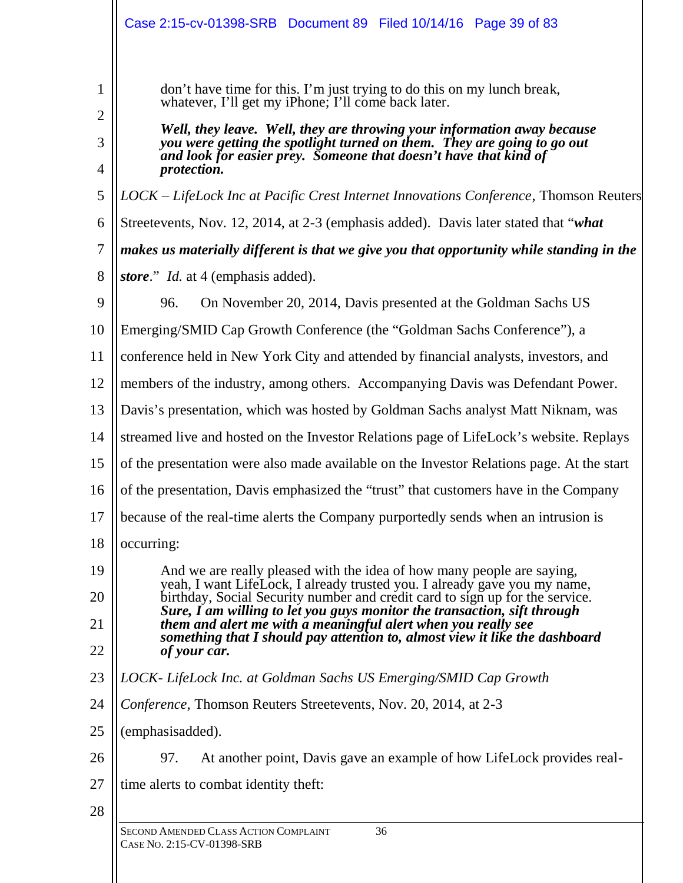|                               | Case 2:15-cv-01398-SRB  Document 89  Filed 10/14/16  Page 39  of 83                                                                                                                                                                                                                                                                                                            |
|-------------------------------|--------------------------------------------------------------------------------------------------------------------------------------------------------------------------------------------------------------------------------------------------------------------------------------------------------------------------------------------------------------------------------|
| 1<br>$\overline{2}$<br>3<br>4 | don't have time for this. I'm just trying to do this on my lunch break,<br>whatever, I'll get my iPhone; I'll come back later.<br>Well, they leave. Well, they are throwing your information away because<br>you were getting the spotlight turned on them. They are going to go out<br>and look for easier prey. Someone that doesn't have that kind of<br><i>protection.</i> |
| 5                             | LOCK – LifeLock Inc at Pacific Crest Internet Innovations Conference, Thomson Reuters                                                                                                                                                                                                                                                                                          |
| 6                             | Streetevents, Nov. 12, 2014, at 2-3 (emphasis added). Davis later stated that "what                                                                                                                                                                                                                                                                                            |
| 7                             | makes us materially different is that we give you that opportunity while standing in the                                                                                                                                                                                                                                                                                       |
| 8                             | <i>store.</i> " <i>Id.</i> at 4 (emphasis added).                                                                                                                                                                                                                                                                                                                              |
| 9                             | 96.<br>On November 20, 2014, Davis presented at the Goldman Sachs US                                                                                                                                                                                                                                                                                                           |
| 10                            | Emerging/SMID Cap Growth Conference (the "Goldman Sachs Conference"), a                                                                                                                                                                                                                                                                                                        |
| 11                            | conference held in New York City and attended by financial analysts, investors, and                                                                                                                                                                                                                                                                                            |
| 12                            | members of the industry, among others. Accompanying Davis was Defendant Power.                                                                                                                                                                                                                                                                                                 |
| 13                            | Davis's presentation, which was hosted by Goldman Sachs analyst Matt Niknam, was                                                                                                                                                                                                                                                                                               |
| 14                            | streamed live and hosted on the Investor Relations page of LifeLock's website. Replays                                                                                                                                                                                                                                                                                         |
| 15                            | of the presentation were also made available on the Investor Relations page. At the start                                                                                                                                                                                                                                                                                      |
| 16                            | of the presentation, Davis emphasized the "trust" that customers have in the Company                                                                                                                                                                                                                                                                                           |
| 17                            | because of the real-time alerts the Company purportedly sends when an intrusion is                                                                                                                                                                                                                                                                                             |
| 18                            | occurring:                                                                                                                                                                                                                                                                                                                                                                     |
| 19<br>20                      | And we are really pleased with the idea of how many people are saying,<br>yeah, I want LifeLock, I already trusted you. I already gave you my name,<br>birthday, Social Security number and credit card to sign up for the service.                                                                                                                                            |
| 21                            | Sure, I am willing to let you guys monitor the transaction, sift through<br>them and alert me with a meaningful alert when you really see                                                                                                                                                                                                                                      |
| 22                            | something that I should pay attention to, almost view it like the dashboard<br>of your car.                                                                                                                                                                                                                                                                                    |
| 23                            | LOCK- LifeLock Inc. at Goldman Sachs US Emerging/SMID Cap Growth                                                                                                                                                                                                                                                                                                               |
| 24                            | Conference, Thomson Reuters Streetevents, Nov. 20, 2014, at 2-3                                                                                                                                                                                                                                                                                                                |
| 25                            | (emphasisadded).                                                                                                                                                                                                                                                                                                                                                               |
| 26                            | 97.<br>At another point, Davis gave an example of how LifeLock provides real-                                                                                                                                                                                                                                                                                                  |
| 27                            | time alerts to combat identity theft:                                                                                                                                                                                                                                                                                                                                          |
| 28                            |                                                                                                                                                                                                                                                                                                                                                                                |
|                               | 36<br>SECOND AMENDED CLASS ACTION COMPLAINT<br>CASE No. 2:15-CV-01398-SRB                                                                                                                                                                                                                                                                                                      |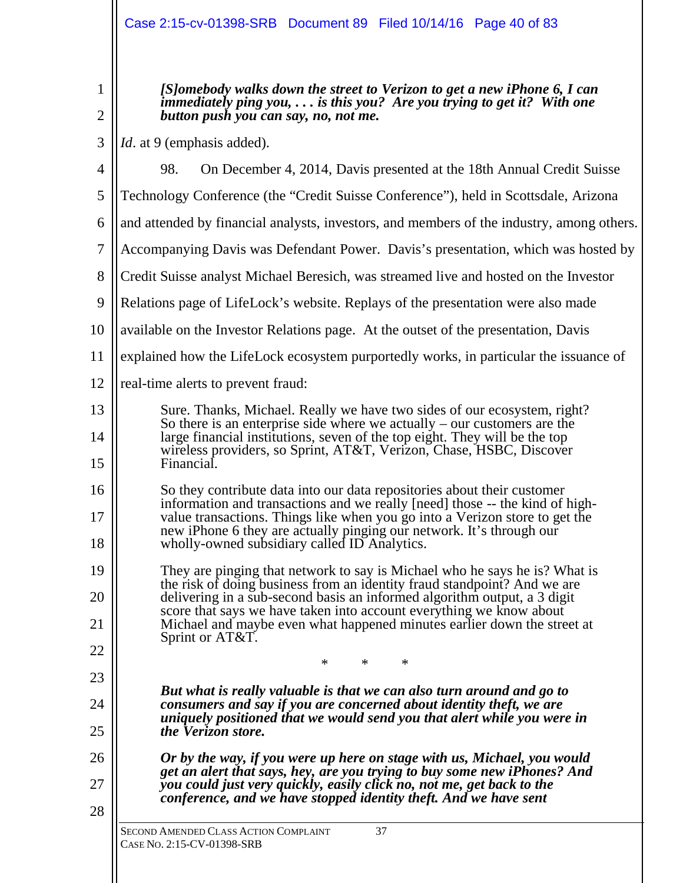1 2 *[S]omebody walks down the street to Verizon to get a new iPhone 6, I can immediately ping you, . . . is this you? Are you trying to get it? With one button push you can say, no, not me.*

3 *Id*. at 9 (emphasis added).

| 4  | 98.<br>On December 4, 2014, Davis presented at the 18th Annual Credit Suisse                                                                            |
|----|---------------------------------------------------------------------------------------------------------------------------------------------------------|
| 5  | Technology Conference (the "Credit Suisse Conference"), held in Scottsdale, Arizona                                                                     |
| 6  | and attended by financial analysts, investors, and members of the industry, among others.                                                               |
| 7  | Accompanying Davis was Defendant Power. Davis's presentation, which was hosted by                                                                       |
| 8  | Credit Suisse analyst Michael Beresich, was streamed live and hosted on the Investor                                                                    |
| 9  | Relations page of LifeLock's website. Replays of the presentation were also made                                                                        |
| 10 | available on the Investor Relations page. At the outset of the presentation, Davis                                                                      |
| 11 | explained how the LifeLock ecosystem purportedly works, in particular the issuance of                                                                   |
| 12 | real-time alerts to prevent fraud:                                                                                                                      |
| 13 | Sure. Thanks, Michael. Really we have two sides of our ecosystem, right?<br>So there is an enterprise side where we actually $-$ our customers are the  |
| 14 | large financial institutions, seven of the top eight. They will be the top<br>wireless providers, so Sprint, AT&T, Verizon, Chase, HSBC, Discover       |
| 15 | Financial.                                                                                                                                              |
| 16 | So they contribute data into our data repositories about their customer<br>information and transactions and we really [need] those -- the kind of high- |
| 17 | value transactions. Things like when you go into a Verizon store to get the<br>new iPhone 6 they are actually pinging our network. It's through our     |
| 18 | wholly-owned subsidiary called ID Analytics.                                                                                                            |
| 19 | They are pinging that network to say is Michael who he says he is? What is<br>the risk of doing business from an identity fraud standpoint? And we are  |
| 20 | delivering in a sub-second basis an informed algorithm output, a 3 digit<br>score that says we have taken into account everything we know about         |
| 21 | Michael and maybe even what happened minutes earlier down the street at<br>Sprint or AT&T.                                                              |
| 22 | $*$ $*$                                                                                                                                                 |
| 23 | But what is really valuable is that we can also turn around and go to                                                                                   |
| 24 | consumers and say if you are concerned about identity theft, we are<br>uniquely positioned that we would send you that alert while you were in          |
| 25 | the Verizon store.                                                                                                                                      |
| 26 | Or by the way, if you were up here on stage with us, Michael, you would<br>get an alert that says, hey, are you trying to buy some new iPhones? And     |
| 27 | you could just very quickly, easily click no, not me, get back to the<br>conference, and we have stopped identity theft. And we have sent               |
| 28 |                                                                                                                                                         |
|    | SECOND AMENDED CLASS ACTION COMPLAINT<br>37<br>CASE No. 2:15-CV-01398-SRB                                                                               |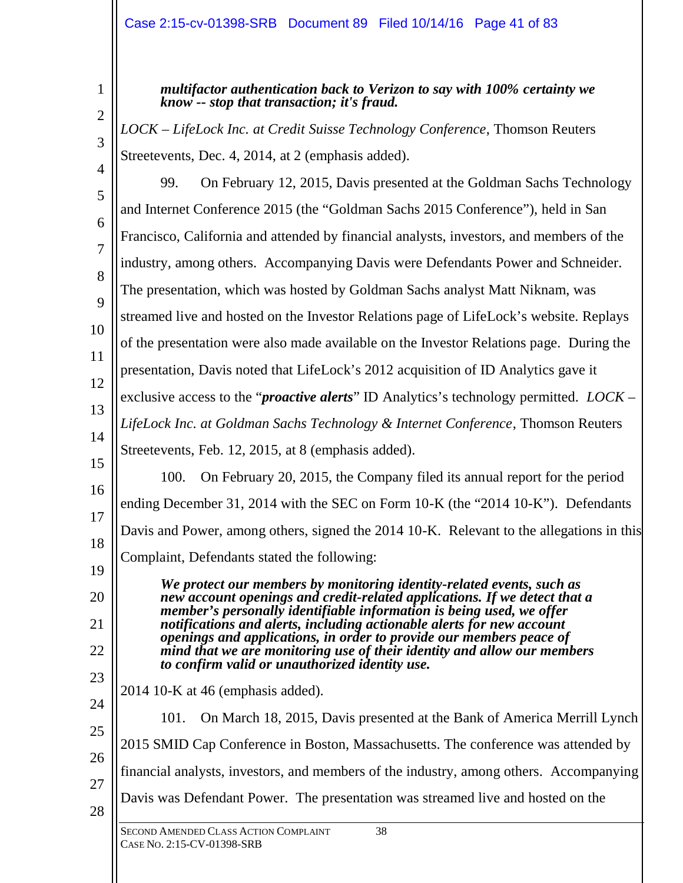2

3

1

*multifactor authentication back to Verizon to say with 100% certainty we know -- stop that transaction; it's fraud.* 

*LOCK – LifeLock Inc. at Credit Suisse Technology Conference*, Thomson Reuters Streetevents, Dec. 4, 2014, at 2 (emphasis added).

 $\Delta$ 5 6 7 8 9 10 11 12 13 14 15 16 17 18 19 20 21 22 99. On February 12, 2015, Davis presented at the Goldman Sachs Technology and Internet Conference 2015 (the "Goldman Sachs 2015 Conference"), held in San Francisco, California and attended by financial analysts, investors, and members of the industry, among others. Accompanying Davis were Defendants Power and Schneider. The presentation, which was hosted by Goldman Sachs analyst Matt Niknam, was streamed live and hosted on the Investor Relations page of LifeLock's website. Replays of the presentation were also made available on the Investor Relations page. During the presentation, Davis noted that LifeLock's 2012 acquisition of ID Analytics gave it exclusive access to the "*proactive alerts*" ID Analytics's technology permitted. *LOCK – LifeLock Inc. at Goldman Sachs Technology & Internet Conference*, Thomson Reuters Streetevents, Feb. 12, 2015, at 8 (emphasis added). 100. On February 20, 2015, the Company filed its annual report for the period ending December 31, 2014 with the SEC on Form 10-K (the "2014 10-K"). Defendants Davis and Power, among others, signed the 2014 10-K. Relevant to the allegations in this Complaint, Defendants stated the following: *We protect our members by monitoring identity-related events, such as new account openings and credit-related applications. If we detect that a member's personally identifiable information is being used, we offer notifications and alerts, including actionable alerts for new account openings and applications, in order to provide our members peace of mind that we are monitoring use of their identity and allow our members to confirm valid or unauthorized identity use.*

23 2014 10-K at 46 (emphasis added).

24 25 26 27 28 101. On March 18, 2015, Davis presented at the Bank of America Merrill Lynch 2015 SMID Cap Conference in Boston, Massachusetts. The conference was attended by financial analysts, investors, and members of the industry, among others. Accompanying Davis was Defendant Power. The presentation was streamed live and hosted on the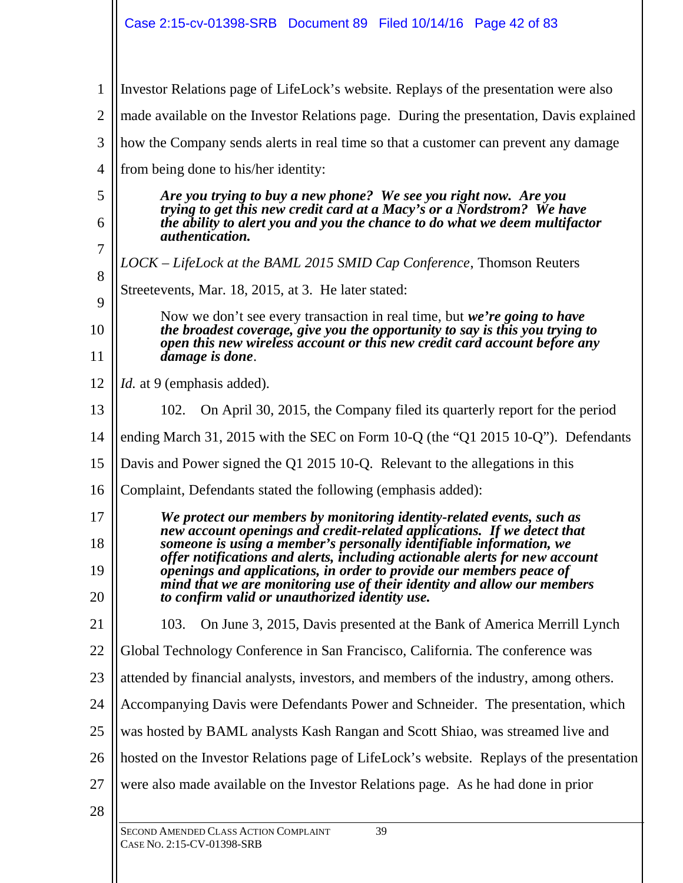SECOND AMENDED CLASS ACTION COMPLAINT 39 1 2 3 4 5 6 7 8 9 10 11 12 13 14 15 16 17 18 19 20 21 22 23  $24$ 25 26 27 28 Investor Relations page of LifeLock's website. Replays of the presentation were also made available on the Investor Relations page. During the presentation, Davis explained how the Company sends alerts in real time so that a customer can prevent any damage from being done to his/her identity: *Are you trying to buy a new phone? We see you right now. Are you trying to get this new credit card at a Macy's or a Nordstrom? We have the ability to alert you and you the chance to do what we deem multifactor authentication. LOCK – LifeLock at the BAML 2015 SMID Cap Conference*, Thomson Reuters Streetevents, Mar. 18, 2015, at 3. He later stated: Now we don't see every transaction in real time, but *we're going to have the broadest coverage, give you the opportunity to say is this you trying to open this new wireless account or this new credit card account before any damage is done*. *Id.* at 9 (emphasis added). 102. On April 30, 2015, the Company filed its quarterly report for the period ending March 31, 2015 with the SEC on Form 10-Q (the "Q1 2015 10-Q"). Defendants Davis and Power signed the Q1 2015 10-Q. Relevant to the allegations in this Complaint, Defendants stated the following (emphasis added): *We protect our members by monitoring identity-related events, such as new account openings and credit-related applications. If we detect that someone is using a member's personally identifiable information, we offer notifications and alerts, including actionable alerts for new account openings and applications, in order to provide our members peace of mind that we are monitoring use of their identity and allow our members to confirm valid or unauthorized identity use.* 103. On June 3, 2015, Davis presented at the Bank of America Merrill Lynch Global Technology Conference in San Francisco, California. The conference was attended by financial analysts, investors, and members of the industry, among others. Accompanying Davis were Defendants Power and Schneider. The presentation, which was hosted by BAML analysts Kash Rangan and Scott Shiao, was streamed live and hosted on the Investor Relations page of LifeLock's website. Replays of the presentation were also made available on the Investor Relations page. As he had done in prior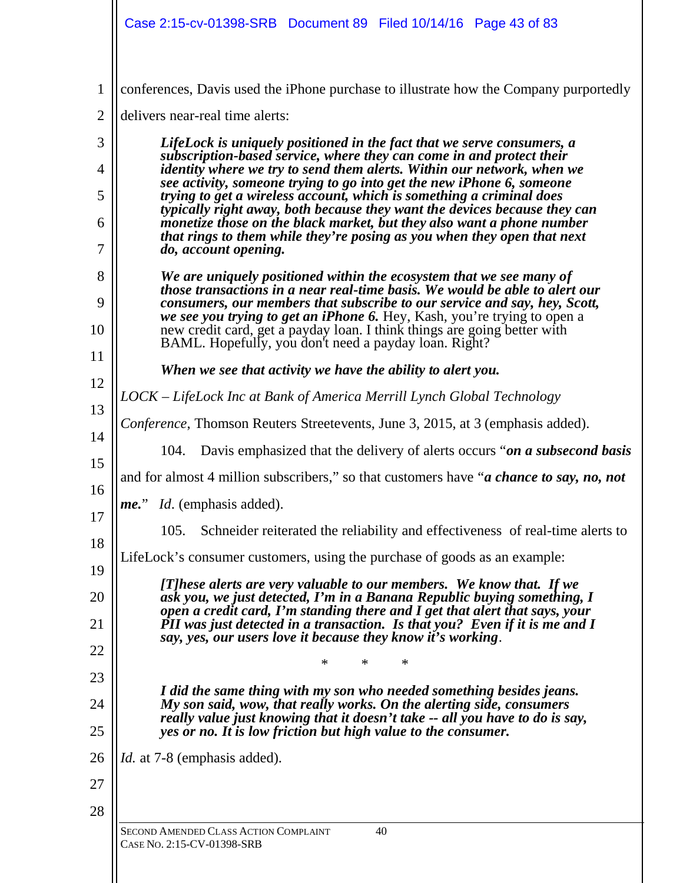|                | Case 2:15-cv-01398-SRB Document 89 Filed 10/14/16 Page 43 of 83                                                                                            |
|----------------|------------------------------------------------------------------------------------------------------------------------------------------------------------|
| $\mathbf{1}$   | conferences, Davis used the iPhone purchase to illustrate how the Company purportedly                                                                      |
| $\overline{c}$ | delivers near-real time alerts:                                                                                                                            |
| 3              | LifeLock is uniquely positioned in the fact that we serve consumers, a                                                                                     |
| 4              | subscription-based service, where they can come in and protect their<br>identity where we try to send them alerts. Within our network, when we             |
| 5              | see activity, someone trying to go into get the new iPhone 6, someone<br>trying to get a wireless account, which is something a criminal does              |
| 6              | typically right away, both because they want the devices because they can<br>monetize those on the black market, but they also want a phone number         |
| 7              | that rings to them while they're posing as you when they open that next<br>do, account opening.                                                            |
| 8              | We are uniquely positioned within the ecosystem that we see many of                                                                                        |
| 9              | those transactions in a near real-time basis. We would be able to alert our<br>consumers, our members that subscribe to our service and say, hey, Scott,   |
| 10             | we see you trying to get an iPhone 6. Hey, Kash, you're trying to open a<br>new credit card, get a payday loan. I think things are going better with       |
| 11             | BAML. Hopefully, you don't need a payday loan. Right?                                                                                                      |
| 12             | When we see that activity we have the ability to alert you.                                                                                                |
| 13             | LOCK – LifeLock Inc at Bank of America Merrill Lynch Global Technology                                                                                     |
| 14             | Conference, Thomson Reuters Streetevents, June 3, 2015, at 3 (emphasis added).                                                                             |
| 15             | Davis emphasized that the delivery of alerts occurs "on a subsecond basis"<br>104.                                                                         |
| 16             | and for almost 4 million subscribers," so that customers have " <i>a chance to say</i> , <i>no</i> , <i>not</i>                                            |
| 17             | Id. (emphasis added).<br>$me.$ "                                                                                                                           |
| 18             | Schneider reiterated the reliability and effectiveness of real-time alerts to<br>105.                                                                      |
| 19             | LifeLock's consumer customers, using the purchase of goods as an example:                                                                                  |
| 20             | [T]hese alerts are very valuable to our members. We know that. If we<br>ask you, we just detected, I'm in a Banana Republic buying something, I            |
| 21             | open a credit card, I'm standing there and I get that alert that says, your<br>PII was just detected in a transaction. Is that you? Even if it is me and I |
| 22             | say, yes, our users love it because they know it's working.                                                                                                |
| 23             | $\ast$<br>∗<br>∗                                                                                                                                           |
| 24             | I did the same thing with my son who needed something besides jeans.<br>My son said, wow, that really works. On the alerting side, consumers               |
| 25             | really value just knowing that it doesn't take -- all you have to do is say,<br>yes or no. It is low friction but high value to the consumer.              |
| 26             | <i>Id.</i> at 7-8 (emphasis added).                                                                                                                        |
| 27             |                                                                                                                                                            |
| 28             |                                                                                                                                                            |
|                | SECOND AMENDED CLASS ACTION COMPLAINT<br>40<br>CASE No. 2:15-CV-01398-SRB                                                                                  |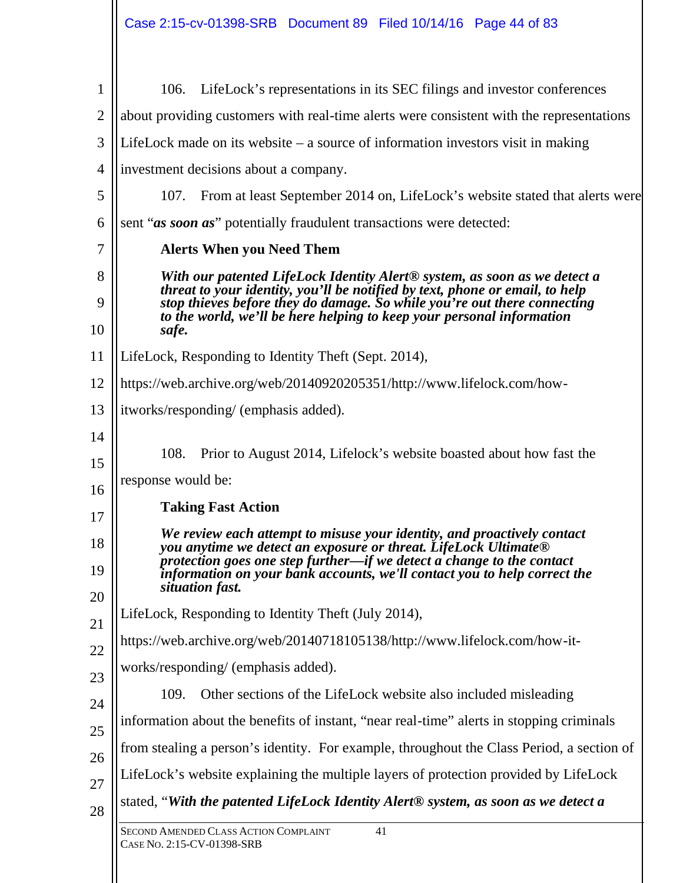| $\mathbf{1}$   | LifeLock's representations in its SEC filings and investor conferences<br>106.                                                                                                                                                                                                                                                      |
|----------------|-------------------------------------------------------------------------------------------------------------------------------------------------------------------------------------------------------------------------------------------------------------------------------------------------------------------------------------|
| $\overline{2}$ | about providing customers with real-time alerts were consistent with the representations                                                                                                                                                                                                                                            |
| 3              | LifeLock made on its website $-$ a source of information investors visit in making                                                                                                                                                                                                                                                  |
| $\overline{4}$ | investment decisions about a company.                                                                                                                                                                                                                                                                                               |
| 5              | 107.<br>From at least September 2014 on, LifeLock's website stated that alerts were                                                                                                                                                                                                                                                 |
| 6              | sent "as soon as" potentially fraudulent transactions were detected:                                                                                                                                                                                                                                                                |
| 7              | <b>Alerts When you Need Them</b>                                                                                                                                                                                                                                                                                                    |
| 8<br>9<br>10   | With our patented LifeLock Identity Alert <sup>®</sup> system, as soon as we detect a<br>threat to your identity, you'll be notified by text, phone or email, to help<br>stop thieves before they do damage. So while you're out there connecting<br>to the world, we'll be here helping to keep your personal information<br>safe. |
| 11             | LifeLock, Responding to Identity Theft (Sept. 2014),                                                                                                                                                                                                                                                                                |
| 12             | https://web.archive.org/web/20140920205351/http://www.lifelock.com/how-                                                                                                                                                                                                                                                             |
| 13             | itworks/responding/ (emphasis added).                                                                                                                                                                                                                                                                                               |
| 14             |                                                                                                                                                                                                                                                                                                                                     |
| 15             | 108.<br>Prior to August 2014, Lifelock's website boasted about how fast the                                                                                                                                                                                                                                                         |
| 16             | response would be:                                                                                                                                                                                                                                                                                                                  |
| 17             | <b>Taking Fast Action</b>                                                                                                                                                                                                                                                                                                           |
| 18<br>19<br>20 | We review each attempt to misuse your identity, and proactively contact<br>you anytime we detect an exposure or threat. LifeLock Ultimate <sup>®</sup><br>protection goes one step further-if we detect a change to the contact<br>information on your bank accounts, we'll contact you to help correct the<br>situation fast.      |
| 21             | LifeLock, Responding to Identity Theft (July 2014),                                                                                                                                                                                                                                                                                 |
| 22             | https://web.archive.org/web/20140718105138/http://www.lifelock.com/how-it-                                                                                                                                                                                                                                                          |
| 23             | works/responding/ (emphasis added).                                                                                                                                                                                                                                                                                                 |
| 24             | Other sections of the LifeLock website also included misleading<br>109.                                                                                                                                                                                                                                                             |
| 25             | information about the benefits of instant, "near real-time" alerts in stopping criminals                                                                                                                                                                                                                                            |
| 26             | from stealing a person's identity. For example, throughout the Class Period, a section of                                                                                                                                                                                                                                           |
| 27             | LifeLock's website explaining the multiple layers of protection provided by LifeLock                                                                                                                                                                                                                                                |
| 28             | stated, "With the patented LifeLock Identity Alert® system, as soon as we detect a                                                                                                                                                                                                                                                  |
|                | SECOND AMENDED CLASS ACTION COMPLAINT<br>41<br>CASE No. 2:15-CV-01398-SRB                                                                                                                                                                                                                                                           |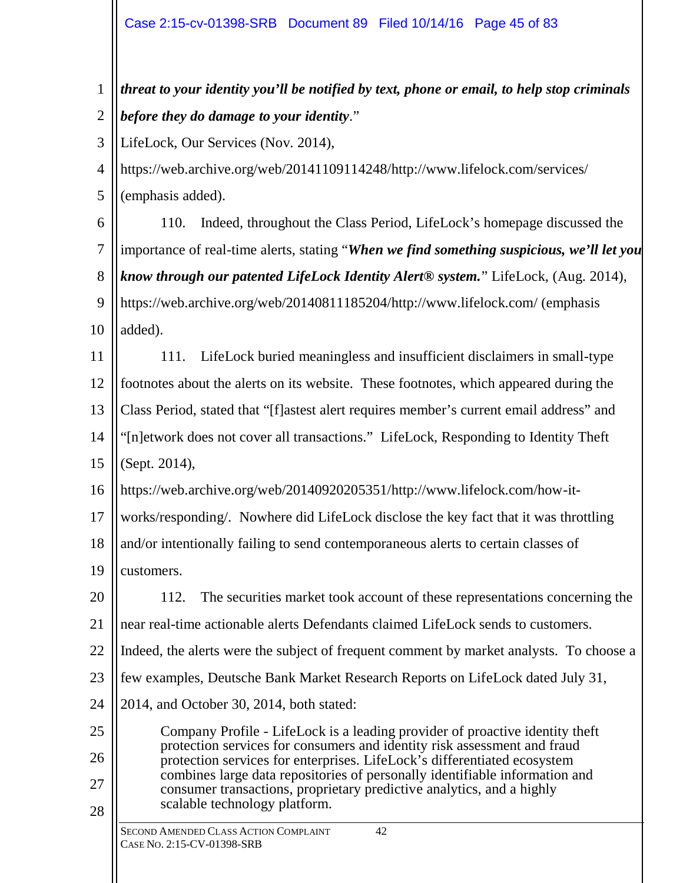1 2 3 4 *threat to your identity you'll be notified by text, phone or email, to help stop criminals before they do damage to your identity*." LifeLock, Our Services (Nov. 2014), <https://web.archive.org/web/20141109114248/http://www.lifelock.com/services/>

5 (emphasis added).

6 7 8 9 10 110. Indeed, throughout the Class Period, LifeLock's homepage discussed the importance of real-time alerts, stating "*When we find something suspicious, we'll let you know through our patented LifeLock Identity Alert® system.*" LifeLock, (Aug. 2014), <https://web.archive.org/web/20140811185204/http://www.lifelock.com/>(emphasis added).

11 12 13 14 15 111. LifeLock buried meaningless and insufficient disclaimers in small-type footnotes about the alerts on its website. These footnotes, which appeared during the Class Period, stated that "[f]astest alert requires member's current email address" and "[n]etwork does not cover all transactions." LifeLock, Responding to Identity Theft (Sept. 2014),

16 <https://web.archive.org/web/20140920205351/http://www.lifelock.com/how-it->

17 works/responding/. Nowhere did LifeLock disclose the key fact that it was throttling

18 and/or intentionally failing to send contemporaneous alerts to certain classes of

19 customers.

20 21 22 23 24 112. The securities market took account of these representations concerning the near real-time actionable alerts Defendants claimed LifeLock sends to customers. Indeed, the alerts were the subject of frequent comment by market analysts. To choose a few examples, Deutsche Bank Market Research Reports on LifeLock dated July 31, 2014, and October 30, 2014, both stated:

25 26 27 28 Company Profile - LifeLock is a leading provider of proactive identity theft protection services for consumers and identity risk assessment and fraud protection services for enterprises. LifeLock's differentiated ecosystem combines large data repositories of personally identifiable information and consumer transactions, proprietary predictive analytics, and a highly scalable technology platform.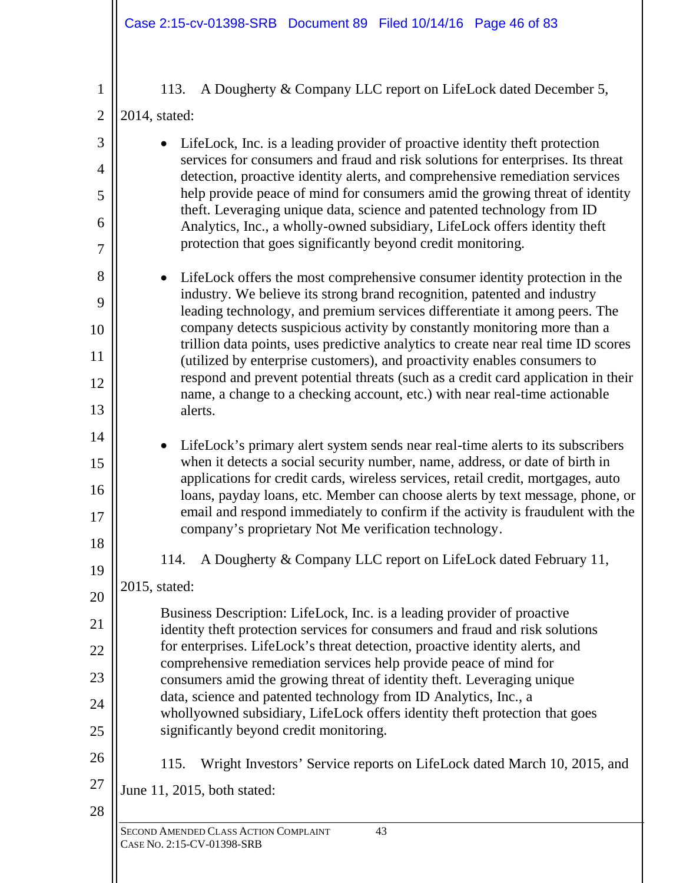| 1                   | A Dougherty & Company LLC report on LifeLock dated December 5,<br>113.                                                                                           |
|---------------------|------------------------------------------------------------------------------------------------------------------------------------------------------------------|
| $\overline{2}$      | 2014, stated:                                                                                                                                                    |
| 3                   | LifeLock, Inc. is a leading provider of proactive identity theft protection<br>services for consumers and fraud and risk solutions for enterprises. Its threat   |
| $\overline{4}$      | detection, proactive identity alerts, and comprehensive remediation services<br>help provide peace of mind for consumers amid the growing threat of identity     |
| 5                   | theft. Leveraging unique data, science and patented technology from ID                                                                                           |
| 6<br>$\overline{7}$ | Analytics, Inc., a wholly-owned subsidiary, LifeLock offers identity theft<br>protection that goes significantly beyond credit monitoring.                       |
| 8                   | LifeLock offers the most comprehensive consumer identity protection in the                                                                                       |
| 9                   | industry. We believe its strong brand recognition, patented and industry<br>leading technology, and premium services differentiate it among peers. The           |
| 10                  | company detects suspicious activity by constantly monitoring more than a                                                                                         |
| 11                  | trillion data points, uses predictive analytics to create near real time ID scores<br>(utilized by enterprise customers), and proactivity enables consumers to   |
| 12                  | respond and prevent potential threats (such as a credit card application in their<br>name, a change to a checking account, etc.) with near real-time actionable  |
| 13                  | alerts.                                                                                                                                                          |
| 14                  | LifeLock's primary alert system sends near real-time alerts to its subscribers<br>$\bullet$                                                                      |
| 15                  | when it detects a social security number, name, address, or date of birth in<br>applications for credit cards, wireless services, retail credit, mortgages, auto |
| 16                  | loans, payday loans, etc. Member can choose alerts by text message, phone, or                                                                                    |
| 17                  | email and respond immediately to confirm if the activity is fraudulent with the<br>company's proprietary Not Me verification technology.                         |
| 18                  | A Dougherty & Company LLC report on LifeLock dated February 11,<br>114.                                                                                          |
| 19                  | 2015, stated:                                                                                                                                                    |
| 20                  | Business Description: LifeLock, Inc. is a leading provider of proactive                                                                                          |
| 21                  | identity theft protection services for consumers and fraud and risk solutions                                                                                    |
| 22                  | for enterprises. LifeLock's threat detection, proactive identity alerts, and<br>comprehensive remediation services help provide peace of mind for                |
| 23                  | consumers amid the growing threat of identity theft. Leveraging unique<br>data, science and patented technology from ID Analytics, Inc., a                       |
| 24                  | whollyowned subsidiary, LifeLock offers identity theft protection that goes                                                                                      |
| 25                  | significantly beyond credit monitoring.                                                                                                                          |
| 26                  | 115.<br>Wright Investors' Service reports on LifeLock dated March 10, 2015, and                                                                                  |
| 27                  | June 11, 2015, both stated:                                                                                                                                      |
| 28                  | SECOND AMENDED CLASS ACTION COMPLAINT<br>43                                                                                                                      |
|                     | CASE NO. 2:15-CV-01398-SRB                                                                                                                                       |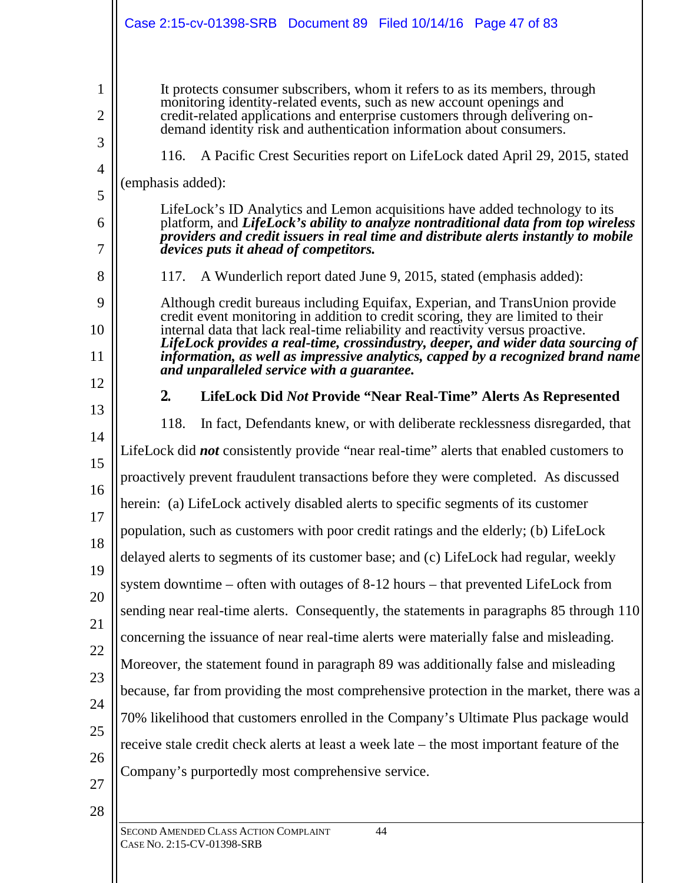|                                                    | Case 2:15-cv-01398-SRB  Document 89  Filed 10/14/16  Page 47 of 83                                                                                                                                                                                                                                                                                                                                                                                                                                                                                                                                                                                                                                                                                                                                                                                                                                       |
|----------------------------------------------------|----------------------------------------------------------------------------------------------------------------------------------------------------------------------------------------------------------------------------------------------------------------------------------------------------------------------------------------------------------------------------------------------------------------------------------------------------------------------------------------------------------------------------------------------------------------------------------------------------------------------------------------------------------------------------------------------------------------------------------------------------------------------------------------------------------------------------------------------------------------------------------------------------------|
| 1<br>$\overline{2}$<br>3                           | It protects consumer subscribers, whom it refers to as its members, through<br>monitoring identity-related events, such as new account openings and<br>credit-related applications and enterprise customers through delivering on-<br>demand identity risk and authentication information about consumers.<br>A Pacific Crest Securities report on LifeLock dated April 29, 2015, stated<br>116.                                                                                                                                                                                                                                                                                                                                                                                                                                                                                                         |
| 4<br>5<br>6<br>7                                   | (emphasis added):<br>LifeLock's ID Analytics and Lemon acquisitions have added technology to its<br>platform, and LifeLock's ability to analyze nontraditional data from top wireless<br>providers and credit issuers in real time and distribute alerts instantly to mobile<br>devices puts it ahead of competitors.                                                                                                                                                                                                                                                                                                                                                                                                                                                                                                                                                                                    |
| 8<br>9<br>10<br>11<br>12                           | A Wunderlich report dated June 9, 2015, stated (emphasis added):<br>117.<br>Although credit bureaus including Equifax, Experian, and TransUnion provide<br>credit event monitoring in addition to credit scoring, they are limited to their<br>internal data that lack real-time reliability and reactivity versus proactive.<br>LifeLock provides a real-time, crossindustry, deeper, and wider data sourcing of<br>information, as well as impressive analytics, capped by a recognized brand name<br>and unparalleled service with a guarantee.                                                                                                                                                                                                                                                                                                                                                       |
| 13<br>14<br>15<br>16<br>17<br>18<br>19<br>20<br>21 | 2.<br>LifeLock Did Not Provide "Near Real-Time" Alerts As Represented<br>118.<br>In fact, Defendants knew, or with deliberate recklessness disregarded, that<br>LifeLock did <i>not</i> consistently provide "near real-time" alerts that enabled customers to<br>proactively prevent fraudulent transactions before they were completed. As discussed<br>herein: (a) LifeLock actively disabled alerts to specific segments of its customer<br>population, such as customers with poor credit ratings and the elderly; (b) LifeLock<br>delayed alerts to segments of its customer base; and (c) LifeLock had regular, weekly<br>system downtime – often with outages of 8-12 hours – that prevented LifeLock from<br>sending near real-time alerts. Consequently, the statements in paragraphs 85 through 110<br>concerning the issuance of near real-time alerts were materially false and misleading. |
| 22<br>23<br>24<br>25<br>26<br>27<br>28             | Moreover, the statement found in paragraph 89 was additionally false and misleading<br>because, far from providing the most comprehensive protection in the market, there was a<br>70% likelihood that customers enrolled in the Company's Ultimate Plus package would<br>receive stale credit check alerts at least a week late – the most important feature of the<br>Company's purportedly most comprehensive service.<br>SECOND AMENDED CLASS ACTION COMPLAINT<br>44                                                                                                                                                                                                                                                                                                                                                                                                                                 |

CASE NO. 2:15-CV-01398-SRB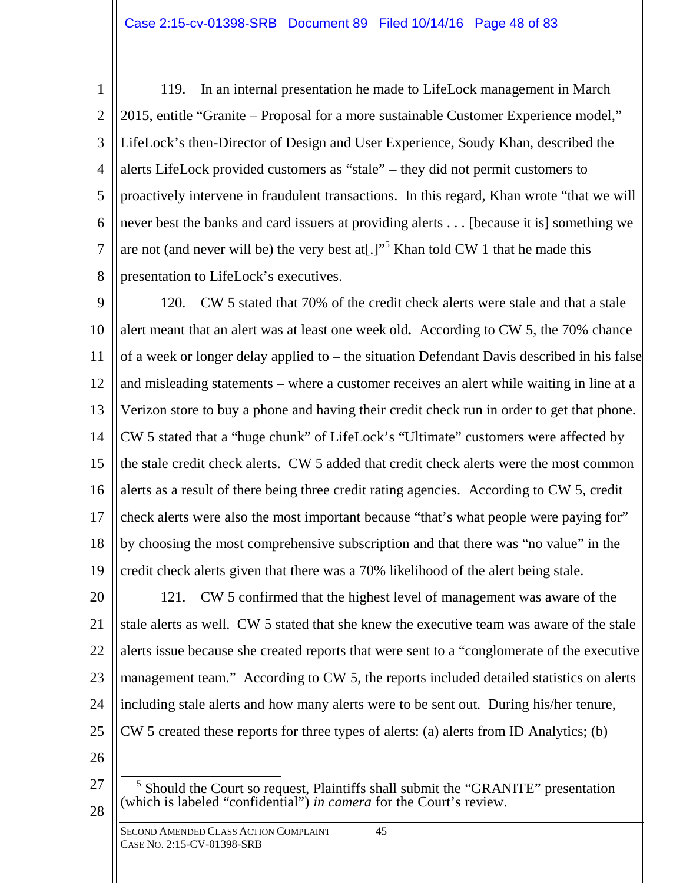1 2 3 4 5 6 7 8 119. In an internal presentation he made to LifeLock management in March 2015, entitle "Granite – Proposal for a more sustainable Customer Experience model," LifeLock's then-Director of Design and User Experience, Soudy Khan, described the alerts LifeLock provided customers as "stale" – they did not permit customers to proactively intervene in fraudulent transactions. In this regard, Khan wrote "that we will never best the banks and card issuers at providing alerts . . . [because it is] something we are not (and never will be) the very best at<sup>[1]</sup>.<sup>5</sup> Khan told CW 1 that he made this presentation to LifeLock's executives.

9 10 11 12 13 14 15 16 17 18 19 120. CW 5 stated that 70% of the credit check alerts were stale and that a stale alert meant that an alert was at least one week old*.* According to CW 5, the 70% chance of a week or longer delay applied to – the situation Defendant Davis described in his false and misleading statements – where a customer receives an alert while waiting in line at a Verizon store to buy a phone and having their credit check run in order to get that phone. CW 5 stated that a "huge chunk" of LifeLock's "Ultimate" customers were affected by the stale credit check alerts. CW 5 added that credit check alerts were the most common alerts as a result of there being three credit rating agencies. According to CW 5, credit check alerts were also the most important because "that's what people were paying for" by choosing the most comprehensive subscription and that there was "no value" in the credit check alerts given that there was a 70% likelihood of the alert being stale.

20 21 22 23 24 25 121. CW 5 confirmed that the highest level of management was aware of the stale alerts as well. CW 5 stated that she knew the executive team was aware of the stale alerts issue because she created reports that were sent to a "conglomerate of the executive management team." According to CW 5, the reports included detailed statistics on alerts including stale alerts and how many alerts were to be sent out. During his/her tenure, CW 5 created these reports for three types of alerts: (a) alerts from ID Analytics; (b)

- 27
- 28

<sup>&</sup>lt;sup>5</sup> Should the Court so request, Plaintiffs shall submit the "GRANITE" presentation (which is labeled "confidential") *in camera* for the Court's review.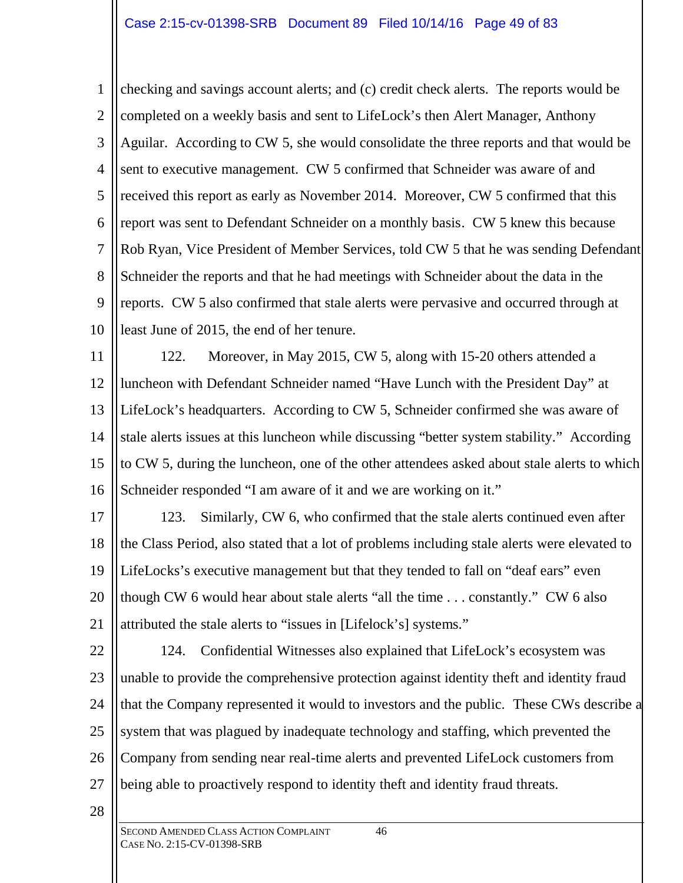1 2 3 4 5 6 7 8 9 10 checking and savings account alerts; and (c) credit check alerts. The reports would be completed on a weekly basis and sent to LifeLock's then Alert Manager, Anthony Aguilar. According to CW 5, she would consolidate the three reports and that would be sent to executive management. CW 5 confirmed that Schneider was aware of and received this report as early as November 2014. Moreover, CW 5 confirmed that this report was sent to Defendant Schneider on a monthly basis. CW 5 knew this because Rob Ryan, Vice President of Member Services, told CW 5 that he was sending Defendant Schneider the reports and that he had meetings with Schneider about the data in the reports. CW 5 also confirmed that stale alerts were pervasive and occurred through at least June of 2015, the end of her tenure.

11 12 13 14 15 16 122. Moreover, in May 2015, CW 5, along with 15-20 others attended a luncheon with Defendant Schneider named "Have Lunch with the President Day" at LifeLock's headquarters. According to CW 5, Schneider confirmed she was aware of stale alerts issues at this luncheon while discussing "better system stability." According to CW 5, during the luncheon, one of the other attendees asked about stale alerts to which Schneider responded "I am aware of it and we are working on it."

17 18 19 20 21 123. Similarly, CW 6, who confirmed that the stale alerts continued even after the Class Period, also stated that a lot of problems including stale alerts were elevated to LifeLocks's executive management but that they tended to fall on "deaf ears" even though CW 6 would hear about stale alerts "all the time . . . constantly." CW 6 also attributed the stale alerts to "issues in [Lifelock's] systems."

22 23 24 25 26 27 124. Confidential Witnesses also explained that LifeLock's ecosystem was unable to provide the comprehensive protection against identity theft and identity fraud that the Company represented it would to investors and the public. These CWs describe a system that was plagued by inadequate technology and staffing, which prevented the Company from sending near real-time alerts and prevented LifeLock customers from being able to proactively respond to identity theft and identity fraud threats.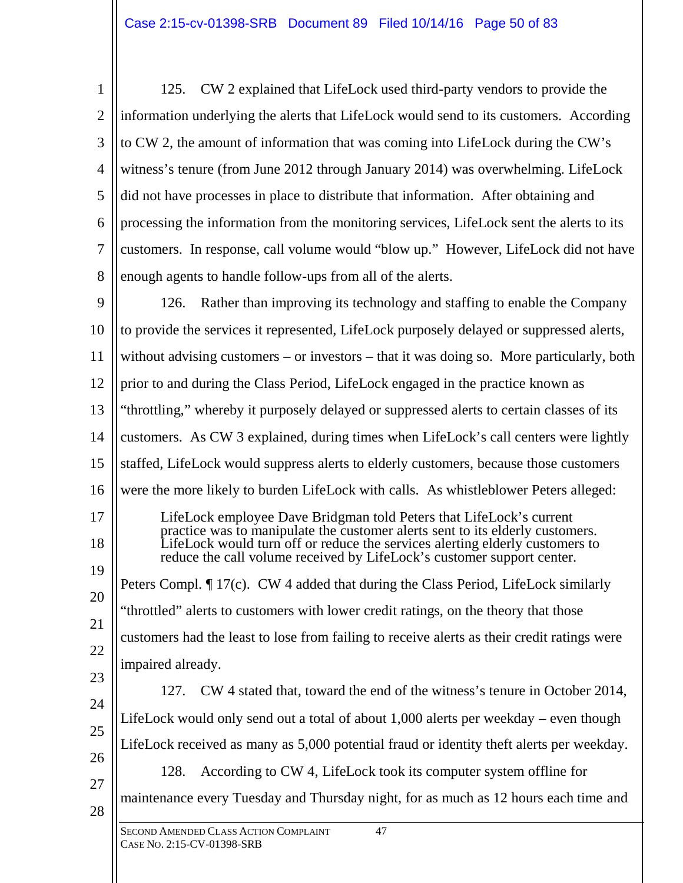1 2 3 4 5 6 7 8 125. CW 2 explained that LifeLock used third-party vendors to provide the information underlying the alerts that LifeLock would send to its customers. According to CW 2, the amount of information that was coming into LifeLock during the CW's witness's tenure (from June 2012 through January 2014) was overwhelming. LifeLock did not have processes in place to distribute that information. After obtaining and processing the information from the monitoring services, LifeLock sent the alerts to its customers. In response, call volume would "blow up." However, LifeLock did not have enough agents to handle follow-ups from all of the alerts.

9 10 11 12 13 14 15 16 17 18 19 20 21 22 23 24 126. Rather than improving its technology and staffing to enable the Company to provide the services it represented, LifeLock purposely delayed or suppressed alerts, without advising customers – or investors – that it was doing so. More particularly, both prior to and during the Class Period, LifeLock engaged in the practice known as "throttling," whereby it purposely delayed or suppressed alerts to certain classes of its customers. As CW 3 explained, during times when LifeLock's call centers were lightly staffed, LifeLock would suppress alerts to elderly customers, because those customers were the more likely to burden LifeLock with calls. As whistleblower Peters alleged: LifeLock employee Dave Bridgman told Peters that LifeLock's current practice was to manipulate the customer alerts sent to its elderly customers. LifeLock would turn off or reduce the services alerting elderly customers to reduce the call volume received by LifeLock's customer support center. Peters Compl. ¶ 17(c). CW 4 added that during the Class Period, LifeLock similarly "throttled" alerts to customers with lower credit ratings, on the theory that those customers had the least to lose from failing to receive alerts as their credit ratings were impaired already. 127. CW 4 stated that, toward the end of the witness's tenure in October 2014,

25 26 27 28 LifeLock would only send out a total of about 1,000 alerts per weekday **–** even though LifeLock received as many as 5,000 potential fraud or identity theft alerts per weekday. 128. According to CW 4, LifeLock took its computer system offline for maintenance every Tuesday and Thursday night, for as much as 12 hours each time and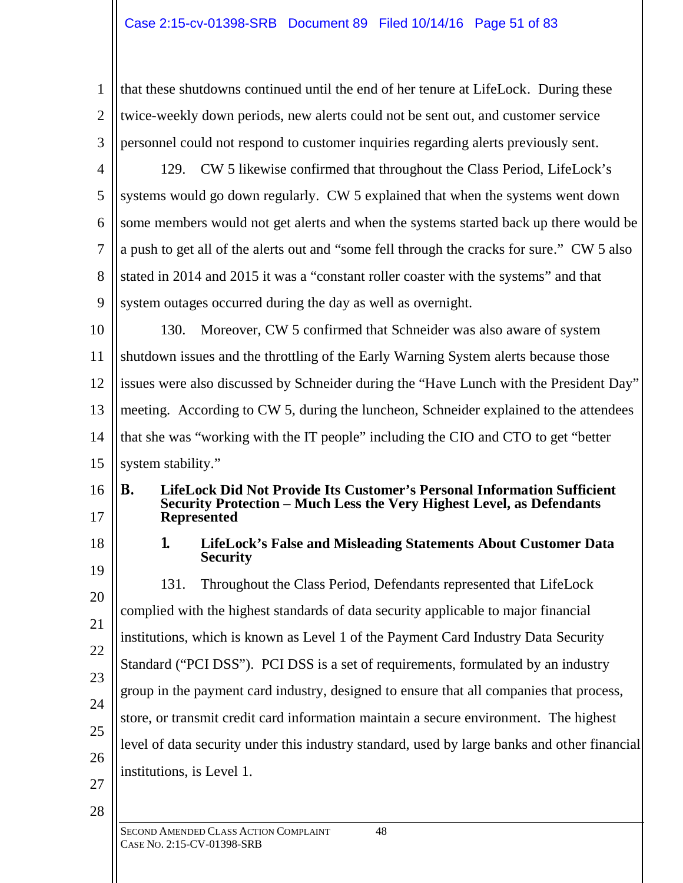# Case 2:15-cv-01398-SRB Document 89 Filed 10/14/16 Page 51 of 83

| 1              | that these shutdowns continued until the end of her tenure at LifeLock. During these                                                                                         |
|----------------|------------------------------------------------------------------------------------------------------------------------------------------------------------------------------|
| $\overline{2}$ | twice-weekly down periods, new alerts could not be sent out, and customer service                                                                                            |
| 3              | personnel could not respond to customer inquiries regarding alerts previously sent.                                                                                          |
| $\overline{4}$ | CW 5 likewise confirmed that throughout the Class Period, LifeLock's<br>129.                                                                                                 |
| 5              | systems would go down regularly. CW 5 explained that when the systems went down                                                                                              |
| 6              | some members would not get alerts and when the systems started back up there would be                                                                                        |
| 7              | a push to get all of the alerts out and "some fell through the cracks for sure." CW 5 also                                                                                   |
| 8              | stated in 2014 and 2015 it was a "constant roller coaster with the systems" and that                                                                                         |
| 9              | system outages occurred during the day as well as overnight.                                                                                                                 |
| 10             | Moreover, CW 5 confirmed that Schneider was also aware of system<br>130.                                                                                                     |
| 11             | shutdown issues and the throttling of the Early Warning System alerts because those                                                                                          |
| 12             | issues were also discussed by Schneider during the "Have Lunch with the President Day"                                                                                       |
| 13             | meeting. According to CW 5, during the luncheon, Schneider explained to the attendees                                                                                        |
| 14             | that she was "working with the IT people" including the CIO and CTO to get "better"                                                                                          |
| 15             | system stability."                                                                                                                                                           |
| 16<br>17       | LifeLock Did Not Provide Its Customer's Personal Information Sufficient<br>В.<br>Security Protection - Much Less the Very Highest Level, as Defendants<br><b>Represented</b> |
| 18             | LifeLock's False and Misleading Statements About Customer Data<br>1.<br><b>Security</b>                                                                                      |
| 19             | Throughout the Class Period, Defendants represented that LifeLock<br>131.                                                                                                    |
| 20             | complied with the highest standards of data security applicable to major financial                                                                                           |
| 21             | institutions, which is known as Level 1 of the Payment Card Industry Data Security                                                                                           |
| 22             | Standard ("PCI DSS"). PCI DSS is a set of requirements, formulated by an industry                                                                                            |
| 23             | group in the payment card industry, designed to ensure that all companies that process,                                                                                      |
| 24             | store, or transmit credit card information maintain a secure environment. The highest                                                                                        |
| 25             | level of data security under this industry standard, used by large banks and other financial                                                                                 |
| 26             | institutions, is Level 1.                                                                                                                                                    |
| 27<br>28       |                                                                                                                                                                              |
|                | SECOND AMENDED CLASS ACTION COMPLAINT<br>48<br>CASE No. 2:15-CV-01398-SRB                                                                                                    |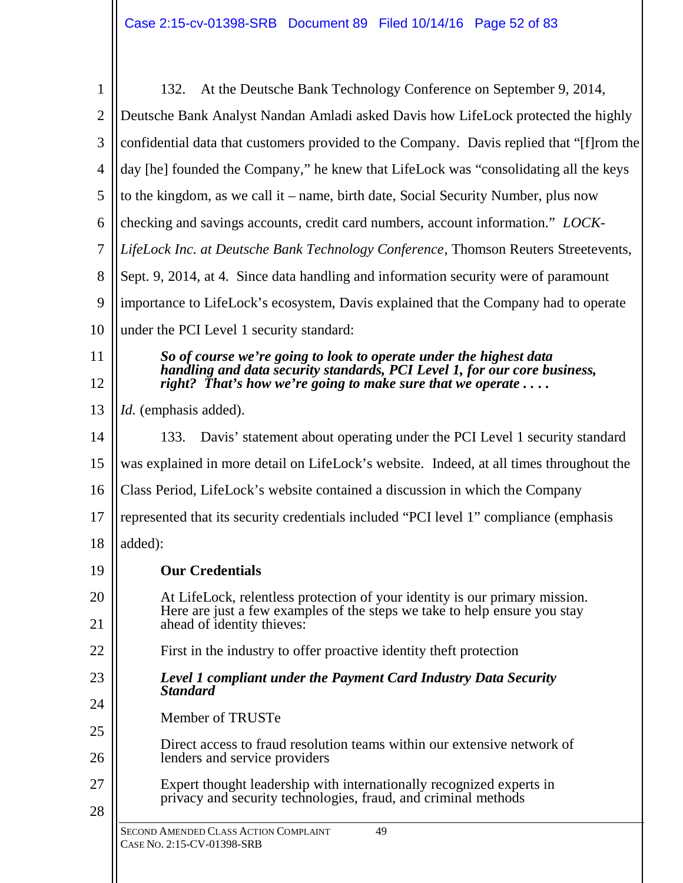| 1              | At the Deutsche Bank Technology Conference on September 9, 2014,<br>132.                                                                        |
|----------------|-------------------------------------------------------------------------------------------------------------------------------------------------|
| $\overline{2}$ | Deutsche Bank Analyst Nandan Amladi asked Davis how LifeLock protected the highly                                                               |
| 3              | confidential data that customers provided to the Company. Davis replied that "[f] rom the                                                       |
| 4              | day [he] founded the Company," he knew that LifeLock was "consolidating all the keys                                                            |
| 5              | to the kingdom, as we call it – name, birth date, Social Security Number, plus now                                                              |
| 6              | checking and savings accounts, credit card numbers, account information." LOCK-                                                                 |
| 7              | LifeLock Inc. at Deutsche Bank Technology Conference, Thomson Reuters Streetevents,                                                             |
| 8              | Sept. 9, 2014, at 4. Since data handling and information security were of paramount                                                             |
| 9              | importance to LifeLock's ecosystem, Davis explained that the Company had to operate                                                             |
| 10             | under the PCI Level 1 security standard:                                                                                                        |
| 11             | So of course we're going to look to operate under the highest data                                                                              |
| 12             | handling and data security standards, PCI Level 1, for our core business,<br>right? That's how we're going to make sure that we operate $\dots$ |
| 13             | <i>Id.</i> (emphasis added).                                                                                                                    |
| 14             | Davis' statement about operating under the PCI Level 1 security standard<br>133.                                                                |
| 15             | was explained in more detail on LifeLock's website. Indeed, at all times throughout the                                                         |
| 16             | Class Period, LifeLock's website contained a discussion in which the Company                                                                    |
| 17             | represented that its security credentials included "PCI level 1" compliance (emphasis                                                           |
| 18             | added):                                                                                                                                         |
| 19             | <b>Our Credentials</b>                                                                                                                          |
| 20             | At LifeLock, relentless protection of your identity is our primary mission.                                                                     |
| 21             | Here are just a few examples of the steps we take to help ensure you stay<br>ahead of identity thieves:                                         |
| 22             | First in the industry to offer proactive identity theft protection                                                                              |
| 23             | Level 1 compliant under the Payment Card Industry Data Security                                                                                 |
| 24             | <b>Standard</b>                                                                                                                                 |
| 25             | Member of TRUSTe                                                                                                                                |
| 26             | Direct access to fraud resolution teams within our extensive network of<br>lenders and service providers                                        |
| 27             | Expert thought leadership with internationally recognized experts in                                                                            |
| 28             | privacy and security technologies, fraud, and criminal methods                                                                                  |
|                | SECOND AMENDED CLASS ACTION COMPLAINT<br>49<br>CASE No. 2:15-CV-01398-SRB                                                                       |
|                |                                                                                                                                                 |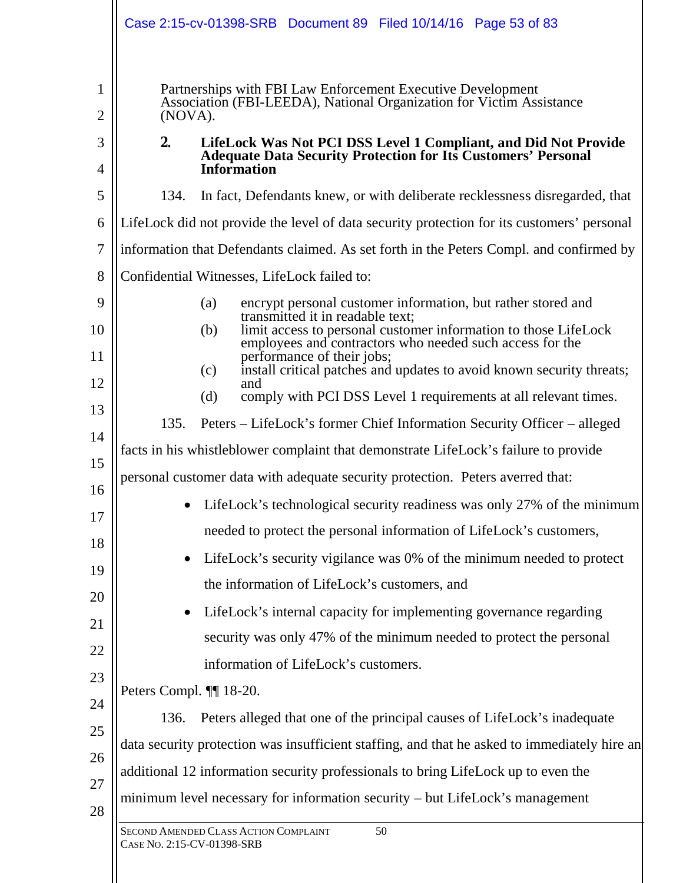|          | Case 2:15-cv-01398-SRB Document 89 Filed 10/14/16 Page 53 of 83                                                                                |
|----------|------------------------------------------------------------------------------------------------------------------------------------------------|
| 1<br>2   | Partnerships with FBI Law Enforcement Executive Development<br>Association (FBI-LEEDA), National Organization for Victim Assistance<br>(NOVA). |
| 3        | 2.<br>LifeLock Was Not PCI DSS Level 1 Compliant, and Did Not Provide                                                                          |
| 4        | <b>Adequate Data Security Protection for Its Customers' Personal</b><br><b>Information</b>                                                     |
| 5        | 134.<br>In fact, Defendants knew, or with deliberate recklessness disregarded, that                                                            |
| 6        | LifeLock did not provide the level of data security protection for its customers' personal                                                     |
| 7        | information that Defendants claimed. As set forth in the Peters Compl. and confirmed by                                                        |
| 8        | Confidential Witnesses, LifeLock failed to:                                                                                                    |
| 9        | encrypt personal customer information, but rather stored and<br>(a)<br>transmitted it in readable text;                                        |
| 10       | limit access to personal customer information to those LifeLock<br>(b)<br>employees and contractors who needed such access for the             |
| 11<br>12 | performance of their jobs;<br>install critical patches and updates to avoid known security threats;<br>(c)<br>and                              |
| 13       | comply with PCI DSS Level 1 requirements at all relevant times.<br>(d)                                                                         |
| 14       | 135.<br>Peters – LifeLock's former Chief Information Security Officer – alleged                                                                |
| 15       | facts in his whistleblower complaint that demonstrate LifeLock's failure to provide                                                            |
| 16       | personal customer data with adequate security protection. Peters averred that:                                                                 |
| 17       | LifeLock's technological security readiness was only 27% of the minimum                                                                        |
| 18       | needed to protect the personal information of LifeLock's customers,                                                                            |
| 19       | LifeLock's security vigilance was 0% of the minimum needed to protect                                                                          |
| 20       | the information of LifeLock's customers, and                                                                                                   |
| 21       | LifeLock's internal capacity for implementing governance regarding                                                                             |
| 22       | security was only 47% of the minimum needed to protect the personal                                                                            |
| 23       | information of LifeLock's customers.                                                                                                           |
| 24       | Peters Compl. ¶ 18-20.                                                                                                                         |
| 25       | Peters alleged that one of the principal causes of LifeLock's inadequate<br>136.                                                               |
| 26       | data security protection was insufficient staffing, and that he asked to immediately hire an                                                   |
| 27       | additional 12 information security professionals to bring LifeLock up to even the                                                              |
| 28       | minimum level necessary for information security - but LifeLock's management                                                                   |
|          | SECOND AMENDED CLASS ACTION COMPLAINT<br>50<br>CASE No. 2:15-CV-01398-SRB                                                                      |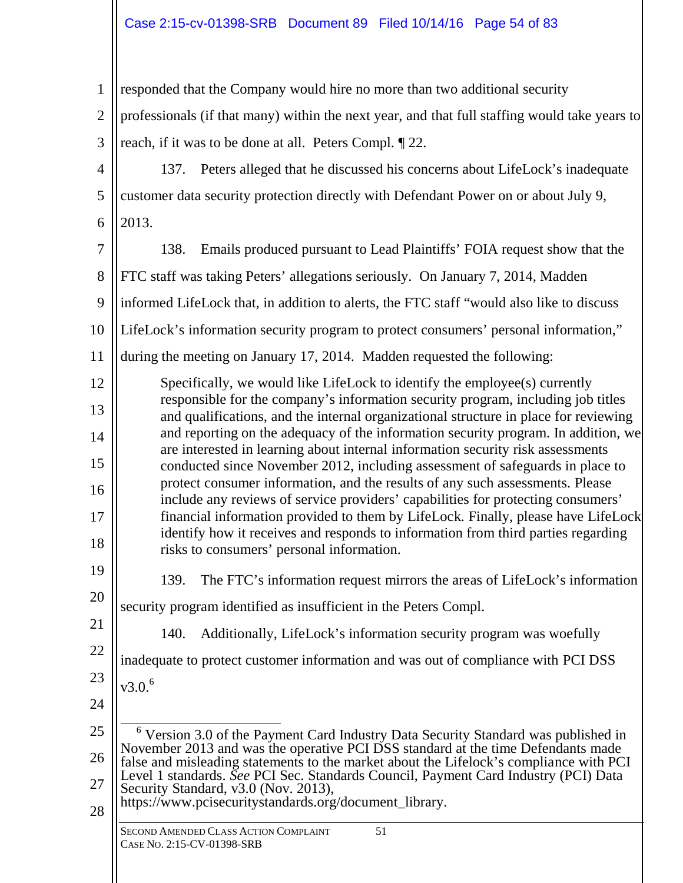| $\mathbf{1}$   | responded that the Company would hire no more than two additional security                                                                                                        |
|----------------|-----------------------------------------------------------------------------------------------------------------------------------------------------------------------------------|
| $\overline{2}$ | professionals (if that many) within the next year, and that full staffing would take years to                                                                                     |
| 3              | reach, if it was to be done at all. Peters Compl. [22.]                                                                                                                           |
| $\overline{4}$ | 137. Peters alleged that he discussed his concerns about LifeLock's inadequate                                                                                                    |
| 5              | customer data security protection directly with Defendant Power on or about July 9,                                                                                               |
| 6              | 2013.                                                                                                                                                                             |
| 7              | Emails produced pursuant to Lead Plaintiffs' FOIA request show that the<br>138.                                                                                                   |
| 8              | FTC staff was taking Peters' allegations seriously. On January 7, 2014, Madden                                                                                                    |
| 9              | informed LifeLock that, in addition to alerts, the FTC staff "would also like to discuss                                                                                          |
| 10             | LifeLock's information security program to protect consumers' personal information,"                                                                                              |
| 11             | during the meeting on January 17, 2014. Madden requested the following:                                                                                                           |
| 12             | Specifically, we would like LifeLock to identify the employee(s) currently<br>responsible for the company's information security program, including job titles                    |
| 13             | and qualifications, and the internal organizational structure in place for reviewing<br>and reporting on the adequacy of the information security program. In addition, we        |
| 14             | are interested in learning about internal information security risk assessments                                                                                                   |
| 15<br>16       | conducted since November 2012, including assessment of safeguards in place to<br>protect consumer information, and the results of any such assessments. Please                    |
| 17             | include any reviews of service providers' capabilities for protecting consumers'<br>financial information provided to them by LifeLock. Finally, please have LifeLock             |
| 18             | identify how it receives and responds to information from third parties regarding<br>risks to consumers' personal information.                                                    |
| 19             | The FTC's information request mirrors the areas of LifeLock's information<br>139.                                                                                                 |
| 20             | security program identified as insufficient in the Peters Compl.                                                                                                                  |
| 21             | Additionally, LifeLock's information security program was woefully<br>140.                                                                                                        |
| 22             | inadequate to protect customer information and was out of compliance with PCI DSS                                                                                                 |
| 23             | v3.0.6                                                                                                                                                                            |
| 24             |                                                                                                                                                                                   |
| 25             | <sup>6</sup> Version 3.0 of the Payment Card Industry Data Security Standard was published in<br>November 2013 and was the operative PCI DSS standard at the time Defendants made |
| 26             | false and misleading statements to the market about the Lifelock's compliance with PCI<br>Level 1 standards. See PCI Sec. Standards Council, Payment Card Industry (PCI) Data     |
| 27<br>28       | Security Standard, v3.0 (Nov. 2013),<br>https://www.pcisecuritystandards.org/document_library.                                                                                    |
|                | SECOND AMENDED CLASS ACTION COMPLAINT<br>51<br>CASE No. 2:15-CV-01398-SRB                                                                                                         |
|                |                                                                                                                                                                                   |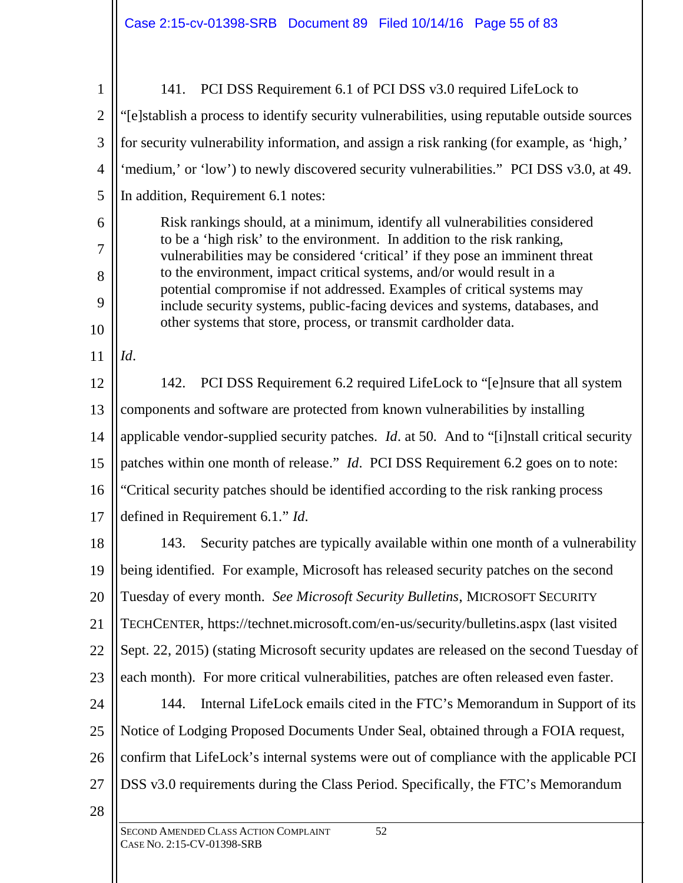| $\mathbf{1}$   | 141. PCI DSS Requirement 6.1 of PCI DSS v3.0 required LifeLock to                                                                                        |
|----------------|----------------------------------------------------------------------------------------------------------------------------------------------------------|
| $\overline{2}$ | "[e]stablish a process to identify security vulnerabilities, using reputable outside sources                                                             |
| 3              | for security vulnerability information, and assign a risk ranking (for example, as 'high,'                                                               |
| $\overline{4}$ | 'medium,' or 'low') to newly discovered security vulnerabilities." PCI DSS v3.0, at 49.                                                                  |
| 5              | In addition, Requirement 6.1 notes:                                                                                                                      |
| 6              | Risk rankings should, at a minimum, identify all vulnerabilities considered                                                                              |
| 7              | to be a 'high risk' to the environment. In addition to the risk ranking,<br>vulnerabilities may be considered 'critical' if they pose an imminent threat |
| 8              | to the environment, impact critical systems, and/or would result in a<br>potential compromise if not addressed. Examples of critical systems may         |
| 9              | include security systems, public-facing devices and systems, databases, and                                                                              |
| 10             | other systems that store, process, or transmit cardholder data.                                                                                          |
| 11             | Id.                                                                                                                                                      |
| 12             | 142. PCI DSS Requirement 6.2 required LifeLock to "[e]nsure that all system                                                                              |
| 13             | components and software are protected from known vulnerabilities by installing                                                                           |
| 14             | applicable vendor-supplied security patches. <i>Id.</i> at 50. And to "[i]nstall critical security                                                       |
| 15             | patches within one month of release." Id. PCI DSS Requirement 6.2 goes on to note:                                                                       |
| 16             | "Critical security patches should be identified according to the risk ranking process                                                                    |
| 17             | defined in Requirement 6.1." Id.                                                                                                                         |
| 18             | 143. Security patches are typically available within one month of a vulnerability                                                                        |
| 19             | being identified. For example, Microsoft has released security patches on the second                                                                     |
| 20             | Tuesday of every month. See Microsoft Security Bulletins, MICROSOFT SECURITY                                                                             |
| 21             | TECHCENTER, https://technet.microsoft.com/en-us/security/bulletins.aspx (last visited                                                                    |
| 22             | Sept. 22, 2015) (stating Microsoft security updates are released on the second Tuesday of                                                                |
| 23             | each month). For more critical vulnerabilities, patches are often released even faster.                                                                  |
| 24             | Internal LifeLock emails cited in the FTC's Memorandum in Support of its<br>144.                                                                         |
| 25             | Notice of Lodging Proposed Documents Under Seal, obtained through a FOIA request,                                                                        |
| 26             | confirm that LifeLock's internal systems were out of compliance with the applicable PCI                                                                  |
| 27             | DSS v3.0 requirements during the Class Period. Specifically, the FTC's Memorandum                                                                        |
| 28             |                                                                                                                                                          |
|                | 52<br>SECOND AMENDED CLASS ACTION COMPLAINT<br>CASE No. 2:15-CV-01398-SRB                                                                                |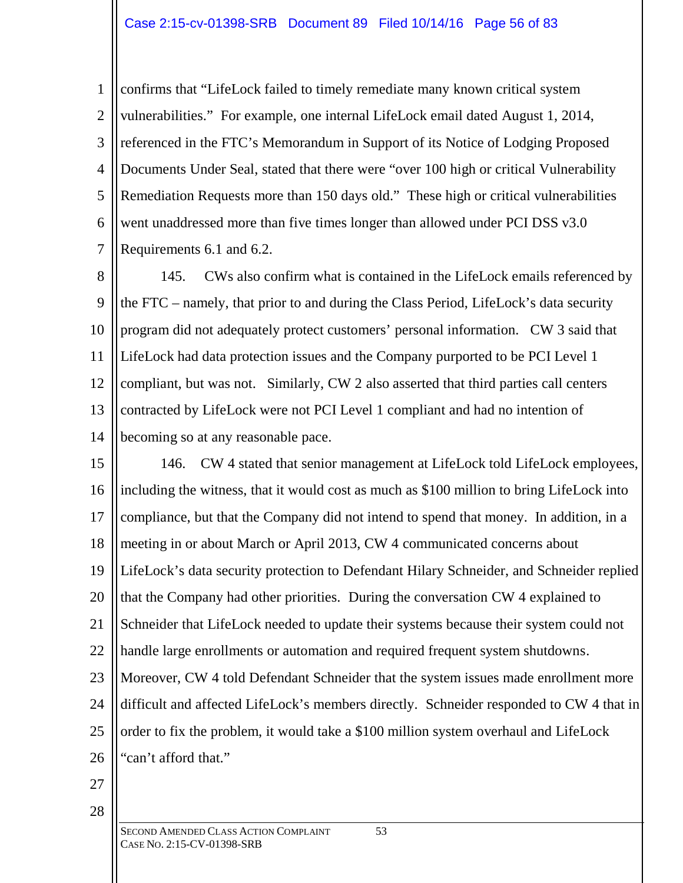1 2 3 4 5 6 7 confirms that "LifeLock failed to timely remediate many known critical system vulnerabilities." For example, one internal LifeLock email dated August 1, 2014, referenced in the FTC's Memorandum in Support of its Notice of Lodging Proposed Documents Under Seal, stated that there were "over 100 high or critical Vulnerability Remediation Requests more than 150 days old." These high or critical vulnerabilities went unaddressed more than five times longer than allowed under PCI DSS v3.0 Requirements 6.1 and 6.2.

8 9 10 11 12 13 14 145. CWs also confirm what is contained in the LifeLock emails referenced by the FTC – namely, that prior to and during the Class Period, LifeLock's data security program did not adequately protect customers' personal information. CW 3 said that LifeLock had data protection issues and the Company purported to be PCI Level 1 compliant, but was not. Similarly, CW 2 also asserted that third parties call centers contracted by LifeLock were not PCI Level 1 compliant and had no intention of becoming so at any reasonable pace.

15 16 17 18 19 20 21 22 23 24 25 26 146. CW 4 stated that senior management at LifeLock told LifeLock employees, including the witness, that it would cost as much as \$100 million to bring LifeLock into compliance, but that the Company did not intend to spend that money. In addition, in a meeting in or about March or April 2013, CW 4 communicated concerns about LifeLock's data security protection to Defendant Hilary Schneider, and Schneider replied that the Company had other priorities. During the conversation CW 4 explained to Schneider that LifeLock needed to update their systems because their system could not handle large enrollments or automation and required frequent system shutdowns. Moreover, CW 4 told Defendant Schneider that the system issues made enrollment more difficult and affected LifeLock's members directly. Schneider responded to CW 4 that in order to fix the problem, it would take a \$100 million system overhaul and LifeLock "can't afford that."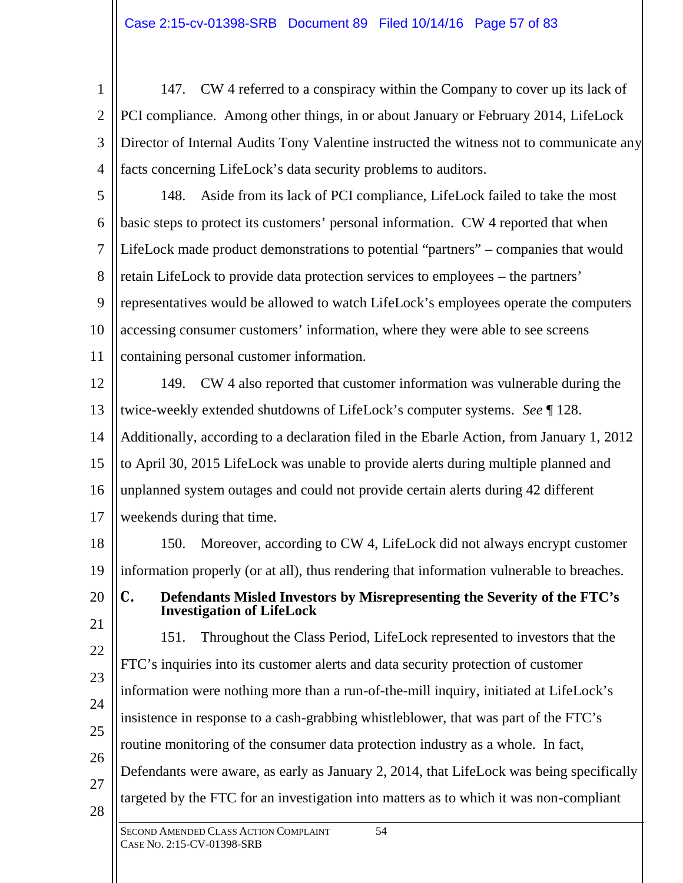1 2 3 4 147. CW 4 referred to a conspiracy within the Company to cover up its lack of PCI compliance. Among other things, in or about January or February 2014, LifeLock Director of Internal Audits Tony Valentine instructed the witness not to communicate any facts concerning LifeLock's data security problems to auditors.

5 6 7 8 9 10 11 148. Aside from its lack of PCI compliance, LifeLock failed to take the most basic steps to protect its customers' personal information. CW 4 reported that when LifeLock made product demonstrations to potential "partners" – companies that would retain LifeLock to provide data protection services to employees – the partners' representatives would be allowed to watch LifeLock's employees operate the computers accessing consumer customers' information, where they were able to see screens containing personal customer information.

12 13 14 15 16 17 149. CW 4 also reported that customer information was vulnerable during the twice-weekly extended shutdowns of LifeLock's computer systems. *See* ¶ 128. Additionally, according to a declaration filed in the Ebarle Action, from January 1, 2012 to April 30, 2015 LifeLock was unable to provide alerts during multiple planned and unplanned system outages and could not provide certain alerts during 42 different weekends during that time.

18 19 150. Moreover, according to CW 4, LifeLock did not always encrypt customer information properly (or at all), thus rendering that information vulnerable to breaches.

**C. Defendants Misled Investors by Misrepresenting the Severity of the FTC's Investigation of LifeLock**

21 22 23 24 25 26 27 28 151. Throughout the Class Period, LifeLock represented to investors that the FTC's inquiries into its customer alerts and data security protection of customer information were nothing more than a run-of-the-mill inquiry, initiated at LifeLock's insistence in response to a cash-grabbing whistleblower, that was part of the FTC's routine monitoring of the consumer data protection industry as a whole. In fact, Defendants were aware, as early as January 2, 2014, that LifeLock was being specifically targeted by the FTC for an investigation into matters as to which it was non-compliant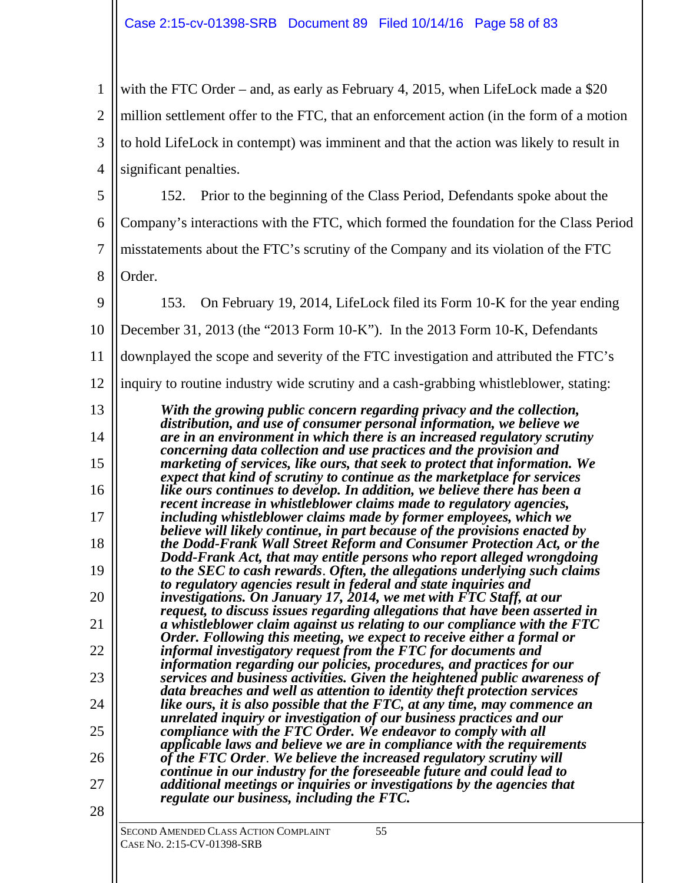| $\mathbf{1}$                                             | with the FTC Order – and, as early as February 4, 2015, when LifeLock made a $$20$                                                                                                                                                                                                                                                                                                                                                                                                                                                                                                                                                                                                                                                                                                                                                                                                                                                                                                                                                                                                                                                                                                                                                                                                                                                                                                                                                                                                                                          |
|----------------------------------------------------------|-----------------------------------------------------------------------------------------------------------------------------------------------------------------------------------------------------------------------------------------------------------------------------------------------------------------------------------------------------------------------------------------------------------------------------------------------------------------------------------------------------------------------------------------------------------------------------------------------------------------------------------------------------------------------------------------------------------------------------------------------------------------------------------------------------------------------------------------------------------------------------------------------------------------------------------------------------------------------------------------------------------------------------------------------------------------------------------------------------------------------------------------------------------------------------------------------------------------------------------------------------------------------------------------------------------------------------------------------------------------------------------------------------------------------------------------------------------------------------------------------------------------------------|
| $\overline{2}$                                           | million settlement offer to the FTC, that an enforcement action (in the form of a motion                                                                                                                                                                                                                                                                                                                                                                                                                                                                                                                                                                                                                                                                                                                                                                                                                                                                                                                                                                                                                                                                                                                                                                                                                                                                                                                                                                                                                                    |
| 3                                                        | to hold LifeLock in contempt) was imminent and that the action was likely to result in                                                                                                                                                                                                                                                                                                                                                                                                                                                                                                                                                                                                                                                                                                                                                                                                                                                                                                                                                                                                                                                                                                                                                                                                                                                                                                                                                                                                                                      |
| $\overline{4}$                                           | significant penalties.                                                                                                                                                                                                                                                                                                                                                                                                                                                                                                                                                                                                                                                                                                                                                                                                                                                                                                                                                                                                                                                                                                                                                                                                                                                                                                                                                                                                                                                                                                      |
| 5                                                        | Prior to the beginning of the Class Period, Defendants spoke about the<br>152.                                                                                                                                                                                                                                                                                                                                                                                                                                                                                                                                                                                                                                                                                                                                                                                                                                                                                                                                                                                                                                                                                                                                                                                                                                                                                                                                                                                                                                              |
| 6                                                        | Company's interactions with the FTC, which formed the foundation for the Class Period                                                                                                                                                                                                                                                                                                                                                                                                                                                                                                                                                                                                                                                                                                                                                                                                                                                                                                                                                                                                                                                                                                                                                                                                                                                                                                                                                                                                                                       |
| $\overline{7}$                                           | misstatements about the FTC's scrutiny of the Company and its violation of the FTC                                                                                                                                                                                                                                                                                                                                                                                                                                                                                                                                                                                                                                                                                                                                                                                                                                                                                                                                                                                                                                                                                                                                                                                                                                                                                                                                                                                                                                          |
|                                                          |                                                                                                                                                                                                                                                                                                                                                                                                                                                                                                                                                                                                                                                                                                                                                                                                                                                                                                                                                                                                                                                                                                                                                                                                                                                                                                                                                                                                                                                                                                                             |
| 8                                                        | Order.                                                                                                                                                                                                                                                                                                                                                                                                                                                                                                                                                                                                                                                                                                                                                                                                                                                                                                                                                                                                                                                                                                                                                                                                                                                                                                                                                                                                                                                                                                                      |
| 9                                                        | On February 19, 2014, LifeLock filed its Form 10-K for the year ending<br>153.                                                                                                                                                                                                                                                                                                                                                                                                                                                                                                                                                                                                                                                                                                                                                                                                                                                                                                                                                                                                                                                                                                                                                                                                                                                                                                                                                                                                                                              |
| 10                                                       | December 31, 2013 (the "2013 Form 10-K"). In the 2013 Form 10-K, Defendants                                                                                                                                                                                                                                                                                                                                                                                                                                                                                                                                                                                                                                                                                                                                                                                                                                                                                                                                                                                                                                                                                                                                                                                                                                                                                                                                                                                                                                                 |
| 11                                                       | downplayed the scope and severity of the FTC investigation and attributed the FTC's                                                                                                                                                                                                                                                                                                                                                                                                                                                                                                                                                                                                                                                                                                                                                                                                                                                                                                                                                                                                                                                                                                                                                                                                                                                                                                                                                                                                                                         |
| 12                                                       | inquiry to routine industry wide scrutiny and a cash-grabbing whistleblower, stating:                                                                                                                                                                                                                                                                                                                                                                                                                                                                                                                                                                                                                                                                                                                                                                                                                                                                                                                                                                                                                                                                                                                                                                                                                                                                                                                                                                                                                                       |
| 13<br>14<br>15<br>16<br>17<br>18<br>19<br>20<br>21<br>22 | With the growing public concern regarding privacy and the collection,<br>distribution, and use of consumer personal information, we believe we<br>are in an environment in which there is an increased regulatory scrutiny<br>concerning data collection and use practices and the provision and<br>marketing of services, like ours, that seek to protect that information. We<br>expect that kind of scrutiny to continue as the marketplace for services<br>like ours continues to develop. In addition, we believe there has been a<br>recent increase in whistleblower claims made to regulatory agencies,<br>including whistleblower claims made by former employees, which we<br>believe will likely continue, in part because of the provisions enacted by<br>the Dodd-Frank Wall Street Reform and Consumer Protection Act, or the<br>Dodd-Frank Act, that may entitle persons who report alleged wrongdoing<br>to the SEC to cash rewards. Often, the allegations underlying such claims<br>to regulatory agencies result in federal and state inquiries and<br>investigations. On January 17, 2014, we met with FTC Staff, at our<br>request, to discuss issues regarding allegations that have been asserted in<br>a whistleblower claim against us relating to our compliance with the FTC<br>Order. Following this meeting, we expect to receive either a formal or<br>informal investigatory request from the FTC for documents and<br>information regarding our policies, procedures, and practices for our |
| 23                                                       | services and business activities. Given the heightened public awareness of<br>data breaches and well as attention to identity theft protection services                                                                                                                                                                                                                                                                                                                                                                                                                                                                                                                                                                                                                                                                                                                                                                                                                                                                                                                                                                                                                                                                                                                                                                                                                                                                                                                                                                     |
| 24                                                       | like ours, it is also possible that the FTC, at any time, may commence an<br>unrelated inquiry or investigation of our business practices and our                                                                                                                                                                                                                                                                                                                                                                                                                                                                                                                                                                                                                                                                                                                                                                                                                                                                                                                                                                                                                                                                                                                                                                                                                                                                                                                                                                           |
| 25                                                       | compliance with the FTC Order. We endeavor to comply with all                                                                                                                                                                                                                                                                                                                                                                                                                                                                                                                                                                                                                                                                                                                                                                                                                                                                                                                                                                                                                                                                                                                                                                                                                                                                                                                                                                                                                                                               |
| 26                                                       | applicable laws and believe we are in compliance with the requirements<br>of the FTC Order. We believe the increased regulatory scrutiny will<br>continue in our industry for the foreseeable future and could lead to                                                                                                                                                                                                                                                                                                                                                                                                                                                                                                                                                                                                                                                                                                                                                                                                                                                                                                                                                                                                                                                                                                                                                                                                                                                                                                      |
| 27                                                       | additional meetings or inquiries or investigations by the agencies that<br>regulate our business, including the FTC.                                                                                                                                                                                                                                                                                                                                                                                                                                                                                                                                                                                                                                                                                                                                                                                                                                                                                                                                                                                                                                                                                                                                                                                                                                                                                                                                                                                                        |
| 28                                                       |                                                                                                                                                                                                                                                                                                                                                                                                                                                                                                                                                                                                                                                                                                                                                                                                                                                                                                                                                                                                                                                                                                                                                                                                                                                                                                                                                                                                                                                                                                                             |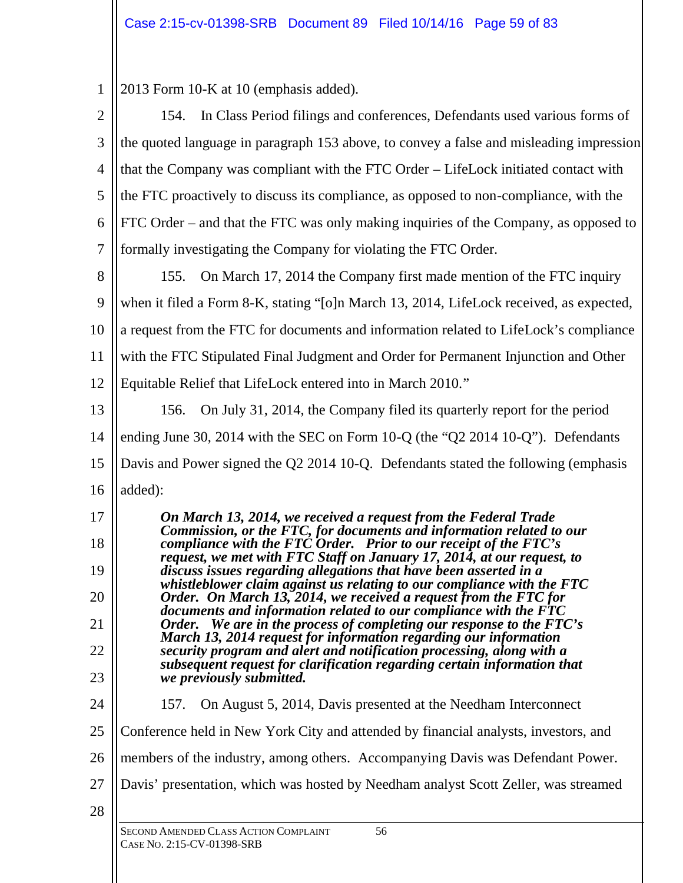1 2013 Form 10-K at 10 (emphasis added).

| $\overline{2}$ | 154. In Class Period filings and conferences, Defendants used various forms of                                                                                                                                  |
|----------------|-----------------------------------------------------------------------------------------------------------------------------------------------------------------------------------------------------------------|
| 3              | the quoted language in paragraph 153 above, to convey a false and misleading impression                                                                                                                         |
| $\overline{4}$ | that the Company was compliant with the FTC Order – LifeLock initiated contact with                                                                                                                             |
| 5              | the FTC proactively to discuss its compliance, as opposed to non-compliance, with the                                                                                                                           |
| 6              | FTC Order – and that the FTC was only making inquiries of the Company, as opposed to                                                                                                                            |
| 7              | formally investigating the Company for violating the FTC Order.                                                                                                                                                 |
| 8              | On March 17, 2014 the Company first made mention of the FTC inquiry<br>155.                                                                                                                                     |
| 9              | when it filed a Form 8-K, stating "[o]n March 13, 2014, LifeLock received, as expected,                                                                                                                         |
| 10             | a request from the FTC for documents and information related to LifeLock's compliance                                                                                                                           |
| 11             | with the FTC Stipulated Final Judgment and Order for Permanent Injunction and Other                                                                                                                             |
| 12             | Equitable Relief that LifeLock entered into in March 2010."                                                                                                                                                     |
| 13             | On July 31, 2014, the Company filed its quarterly report for the period<br>156.                                                                                                                                 |
| 14             | ending June 30, 2014 with the SEC on Form 10-Q (the "Q2 2014 10-Q"). Defendants                                                                                                                                 |
| 15             | Davis and Power signed the Q2 2014 10-Q. Defendants stated the following (emphasis                                                                                                                              |
| 16             | added):                                                                                                                                                                                                         |
| 17             | On March 13, 2014, we received a request from the Federal Trade                                                                                                                                                 |
| 18             | Commission, or the FTC, for documents and information related to our compliance with the FTC Order. Prior to our receipt of the FTC's<br>request, we met with FTC Staff on January 17, 2014, at our request, to |
| 19             | discuss issues regarding allegations that have been asserted in a<br>whistleblower claim against us relating to our compliance with the FTC                                                                     |
| 20             | Order. On March 13, 2014, we received a request from the FTC for<br>documents and information related to our compliance with the FTC                                                                            |
| 21             | Order. We are in the process of completing our response to the FTC's<br>March 13, 2014 request for information regarding our information                                                                        |
| 22             | security program and alert and notification processing, along with a<br>subsequent request for clarification regarding certain information that                                                                 |
| 23             | we previously submitted.                                                                                                                                                                                        |
| 24             | 157.<br>On August 5, 2014, Davis presented at the Needham Interconnect                                                                                                                                          |
| 25             | Conference held in New York City and attended by financial analysts, investors, and                                                                                                                             |
| 26             | members of the industry, among others. Accompanying Davis was Defendant Power.                                                                                                                                  |
| 27             | Davis' presentation, which was hosted by Needham analyst Scott Zeller, was streamed                                                                                                                             |
| 28             |                                                                                                                                                                                                                 |
|                | SECOND AMENDED CLASS ACTION COMPLAINT<br>56<br>CASE No. 2:15-CV-01398-SRB                                                                                                                                       |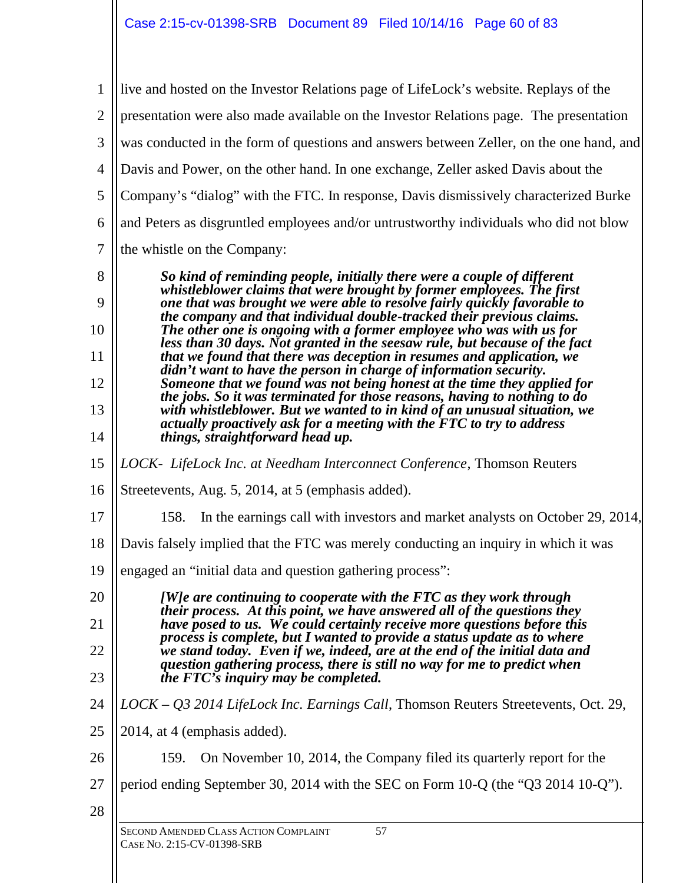| $\mathbf{1}$   | live and hosted on the Investor Relations page of LifeLock's website. Replays of the                                                                                                                                            |
|----------------|---------------------------------------------------------------------------------------------------------------------------------------------------------------------------------------------------------------------------------|
| $\overline{2}$ | presentation were also made available on the Investor Relations page. The presentation                                                                                                                                          |
| 3              | was conducted in the form of questions and answers between Zeller, on the one hand, and                                                                                                                                         |
| $\overline{4}$ | Davis and Power, on the other hand. In one exchange, Zeller asked Davis about the                                                                                                                                               |
| 5              | Company's "dialog" with the FTC. In response, Davis dismissively characterized Burke                                                                                                                                            |
| 6              | and Peters as disgruntled employees and/or untrustworthy individuals who did not blow                                                                                                                                           |
| 7              | the whistle on the Company:                                                                                                                                                                                                     |
| 8              | So kind of reminding people, initially there were a couple of different                                                                                                                                                         |
| 9              | whistleblower claims that were brought by former employees. The first<br>one that was brought we were able to resolve fairly quickly favorable to                                                                               |
| 10             | the company and that individual double-tracked their previous claims.<br>The other one is ongoing with a former employee who was with us for<br>less than 30 days. Not granted in the seesaw rule, but because of the fact      |
| 11             | that we found that there was deception in resumes and application, we<br>didn't want to have the person in charge of information security.                                                                                      |
| 12             | Someone that we found was not being honest at the time they applied for<br>the jobs. So it was terminated for those reasons, having to nothing to do                                                                            |
| 13<br>14       | with whistleblower. But we wanted to in kind of an unusual situation, we<br>actually proactively ask for a meeting with the FTC to try to address<br>things, straightforward head up.                                           |
| 15             | LOCK- LifeLock Inc. at Needham Interconnect Conference, Thomson Reuters                                                                                                                                                         |
| 16             | Streetevents, Aug. 5, 2014, at 5 (emphasis added).                                                                                                                                                                              |
| 17             | In the earnings call with investors and market analysts on October 29, 2014,<br>158.                                                                                                                                            |
| 18             | Davis falsely implied that the FTC was merely conducting an inquiry in which it was                                                                                                                                             |
| 19             | engaged an "initial data and question gathering process":                                                                                                                                                                       |
| 20             | [W] e are continuing to cooperate with the FTC as they work through                                                                                                                                                             |
| 21             | their process. At this point, we have answered all of the questions they<br>have posed to us. We could certainly receive more questions before this<br>process is complete, but I wanted to provide a status update as to where |
| 22             | we stand today. Even if we, indeed, are at the end of the initial data and<br>question gathering process, there is still no way for me to predict when                                                                          |
| 23             | the $FTC$ 's inquiry may be completed.                                                                                                                                                                                          |
| 24             | LOCK - Q3 2014 LifeLock Inc. Earnings Call, Thomson Reuters Streetevents, Oct. 29,                                                                                                                                              |
| 25             | 2014, at 4 (emphasis added).                                                                                                                                                                                                    |
| 26             | On November 10, 2014, the Company filed its quarterly report for the<br>159.                                                                                                                                                    |
| 27             | period ending September 30, 2014 with the SEC on Form 10-Q (the "Q3 2014 10-Q").                                                                                                                                                |
| 28             |                                                                                                                                                                                                                                 |
|                | 57<br>SECOND AMENDED CLASS ACTION COMPLAINT<br>CASE No. 2:15-CV-01398-SRB                                                                                                                                                       |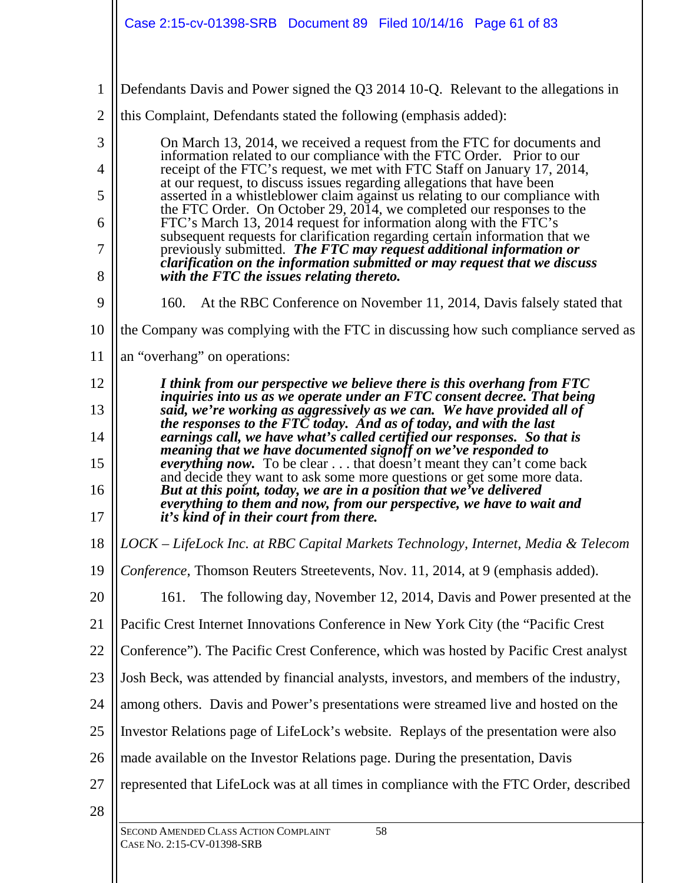SECOND AMENDED CLASS ACTION COMPLAINT 58 CASE NO. 2:15-CV-01398-SRB 1 2 3 4 5 6 7 8 9 10 11 12 13 14 15 16 17 18 19 20 21 22 23 24 25 26 27 28 Defendants Davis and Power signed the Q3 2014 10-Q. Relevant to the allegations in this Complaint, Defendants stated the following (emphasis added): On March 13, 2014, we received a request from the FTC for documents and information related to our compliance with the FTC Order. Prior to our receipt of the FTC's request, we met with FTC Staff on January 17, 2014, at our request, to discuss issues regarding allegations that have been asserted in a whistleblower claim against us relating to our compliance with the FTC Order. On October 29, 2014, we completed our responses to the FTC's March 13, 2014 request for information along with the FTC's subsequent requests for clarification regarding certain information that we previously submitted. *The FTC may request additional information or clarification on the information submitted or may request that we discuss with the FTC the issues relating thereto.* 160. At the RBC Conference on November 11, 2014, Davis falsely stated that the Company was complying with the FTC in discussing how such compliance served as an "overhang" on operations: *I think from our perspective we believe there is this overhang from FTC inquiries into us as we operate under an FTC consent decree. That being said, we're working as aggressively as we can. We have provided all of the responses to the FTC today. And as of today, and with the last earnings call, we have what's called certified our responses. So that is meaning that we have documented signoff on we've responded to everything now.* To be clear . . . that doesn't meant they can't come back and decide they want to ask some more questions or get some more data. *But at this point, today, we are in a position that we've delivered everything to them and now, from our perspective, we have to wait and it's kind of in their court from there. LOCK – LifeLock Inc. at RBC Capital Markets Technology, Internet, Media & Telecom Conference*, Thomson Reuters Streetevents, Nov. 11, 2014, at 9 (emphasis added). 161. The following day, November 12, 2014, Davis and Power presented at the Pacific Crest Internet Innovations Conference in New York City (the "Pacific Crest Conference"). The Pacific Crest Conference, which was hosted by Pacific Crest analyst Josh Beck, was attended by financial analysts, investors, and members of the industry, among others. Davis and Power's presentations were streamed live and hosted on the Investor Relations page of LifeLock's website. Replays of the presentation were also made available on the Investor Relations page. During the presentation, Davis represented that LifeLock was at all times in compliance with the FTC Order, described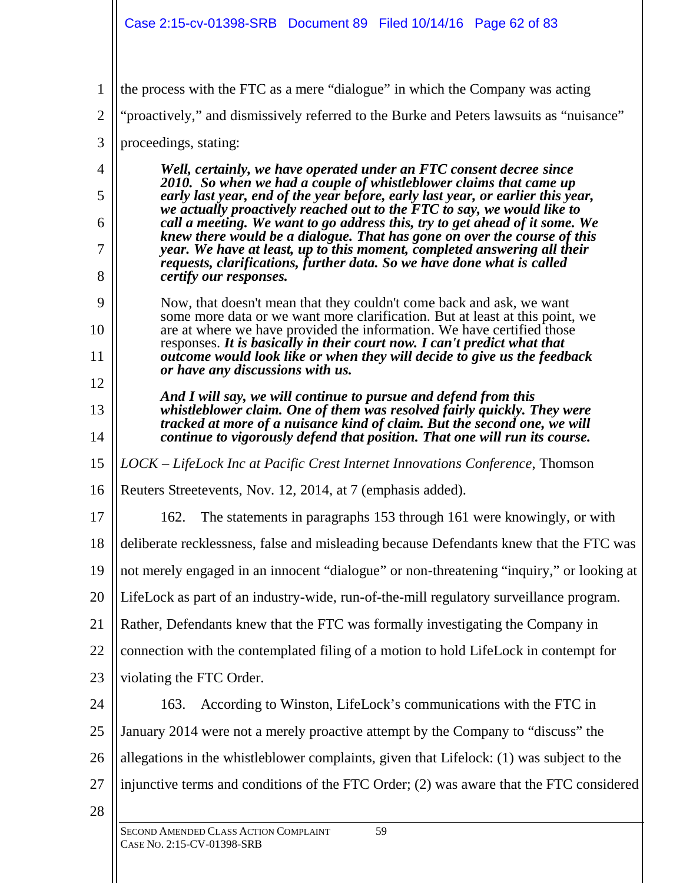| $\mathbf{1}$   | the process with the FTC as a mere "dialogue" in which the Company was acting                                                                              |
|----------------|------------------------------------------------------------------------------------------------------------------------------------------------------------|
| $\overline{2}$ | "proactively," and dismissively referred to the Burke and Peters lawsuits as "nuisance"                                                                    |
| 3              | proceedings, stating:                                                                                                                                      |
| $\overline{4}$ | Well, certainly, we have operated under an FTC consent decree since<br>2010. So when we had a couple of whistleblower claims that came up                  |
| 5              | early last year, end of the year before, early last year, or earlier this year,<br>we actually proactively reached out to the FTC to say, we would like to |
| 6              | call a meeting. We want to go address this, try to get ahead of it some. We<br>knew there would be a dialogue. That has gone on over the course of this    |
| 7              | year. We have at least, up to this moment, completed answering all their<br>requests, clarifications, further data. So we have done what is called         |
| 8              | <i>certify our responses.</i>                                                                                                                              |
| 9              | Now, that doesn't mean that they couldn't come back and ask, we want<br>some more data or we want more clarification. But at least at this point, we       |
| 10             | are at where we have provided the information. We have certified those<br>responses. It is basically in their court now. I can't predict what that         |
| 11             | outcome would look like or when they will decide to give us the feedback<br>or have any discussions with us.                                               |
| 12             | And I will say, we will continue to pursue and defend from this                                                                                            |
| 13             | whistleblower claim. One of them was resolved fairly quickly. They were<br>tracked at more of a nuisance kind of claim. But the second one, we will        |
| 14             | continue to vigorously defend that position. That one will run its course.                                                                                 |
| 15             | LOCK – LifeLock Inc at Pacific Crest Internet Innovations Conference, Thomson                                                                              |
| 16             | Reuters Streetevents, Nov. 12, 2014, at 7 (emphasis added).                                                                                                |
| 17             | The statements in paragraphs 153 through 161 were knowingly, or with<br>162.                                                                               |
| 18             | deliberate recklessness, false and misleading because Defendants knew that the FTC was                                                                     |
| 19             | not merely engaged in an innocent "dialogue" or non-threatening "inquiry," or looking at                                                                   |
| 20             | LifeLock as part of an industry-wide, run-of-the-mill regulatory surveillance program.                                                                     |
| 21             | Rather, Defendants knew that the FTC was formally investigating the Company in                                                                             |
| 22             | connection with the contemplated filing of a motion to hold LifeLock in contempt for                                                                       |
| 23             | violating the FTC Order.                                                                                                                                   |
| 24             | According to Winston, LifeLock's communications with the FTC in<br>163.                                                                                    |
| 25             | January 2014 were not a merely proactive attempt by the Company to "discuss" the                                                                           |
| 26             | allegations in the whistleblower complaints, given that Lifelock: (1) was subject to the                                                                   |
| 27             | injunctive terms and conditions of the FTC Order; (2) was aware that the FTC considered                                                                    |
| 28             |                                                                                                                                                            |
|                | SECOND AMENDED CLASS ACTION COMPLAINT<br>59<br>CASE No. 2:15-CV-01398-SRB                                                                                  |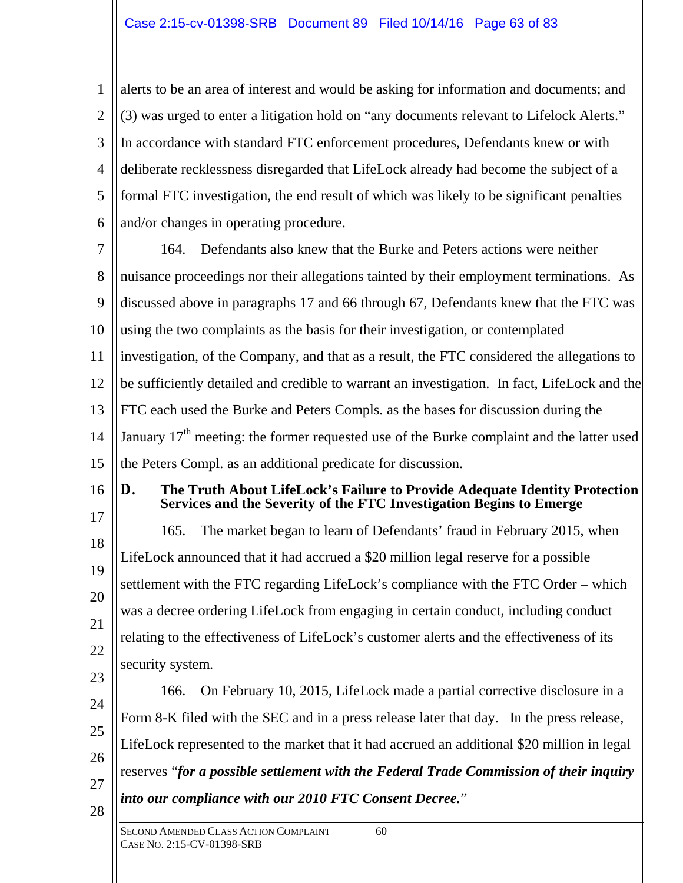1 2 3 4 5 6 alerts to be an area of interest and would be asking for information and documents; and (3) was urged to enter a litigation hold on "any documents relevant to Lifelock Alerts." In accordance with standard FTC enforcement procedures, Defendants knew or with deliberate recklessness disregarded that LifeLock already had become the subject of a formal FTC investigation, the end result of which was likely to be significant penalties and/or changes in operating procedure.

7 8 9 10 11 12 13 14 15 164. Defendants also knew that the Burke and Peters actions were neither nuisance proceedings nor their allegations tainted by their employment terminations. As discussed above in paragraphs 17 and 66 through 67, Defendants knew that the FTC was using the two complaints as the basis for their investigation, or contemplated investigation, of the Company, and that as a result, the FTC considered the allegations to be sufficiently detailed and credible to warrant an investigation. In fact, LifeLock and the FTC each used the Burke and Peters Compls. as the bases for discussion during the January  $17<sup>th</sup>$  meeting: the former requested use of the Burke complaint and the latter used the Peters Compl. as an additional predicate for discussion.

16

## **D. The Truth About LifeLock's Failure to Provide Adequate Identity Protection Services and the Severity of the FTC Investigation Begins to Emerge**

17 18 19 20 21 22 23 165. The market began to learn of Defendants' fraud in February 2015, when LifeLock announced that it had accrued a \$20 million legal reserve for a possible settlement with the FTC regarding LifeLock's compliance with the FTC Order – which was a decree ordering LifeLock from engaging in certain conduct, including conduct relating to the effectiveness of LifeLock's customer alerts and the effectiveness of its security system.

24 25 26 27 28 166. On February 10, 2015, LifeLock made a partial corrective disclosure in a Form 8-K filed with the SEC and in a press release later that day. In the press release, LifeLock represented to the market that it had accrued an additional \$20 million in legal reserves "*for a possible settlement with the Federal Trade Commission of their inquiry into our compliance with our 2010 FTC Consent Decree.*"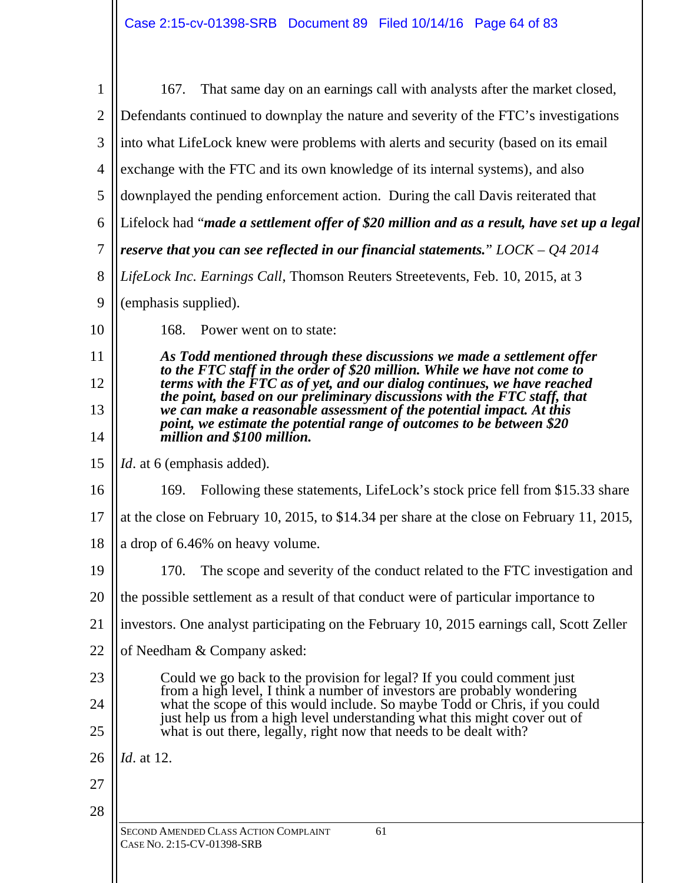| $\mathbf{1}$   | That same day on an earnings call with analysts after the market closed,<br>167.                                                                        |
|----------------|---------------------------------------------------------------------------------------------------------------------------------------------------------|
| $\overline{2}$ | Defendants continued to downplay the nature and severity of the FTC's investigations                                                                    |
| 3              | into what LifeLock knew were problems with alerts and security (based on its email                                                                      |
| $\overline{4}$ | exchange with the FTC and its own knowledge of its internal systems), and also                                                                          |
| 5              | downplayed the pending enforcement action. During the call Davis reiterated that                                                                        |
| 6              | Lifelock had "made a settlement offer of \$20 million and as a result, have set up a legal                                                              |
| $\tau$         | reserve that you can see reflected in our financial statements." $LOCAL - QA$ 2014                                                                      |
| 8              | LifeLock Inc. Earnings Call, Thomson Reuters Streetevents, Feb. 10, 2015, at 3                                                                          |
| 9              | (emphasis supplied).                                                                                                                                    |
| 10             | 168.<br>Power went on to state:                                                                                                                         |
| 11             | As Todd mentioned through these discussions we made a settlement offer                                                                                  |
| 12             | to the FTC staff in the order of \$20 million. While we have not come to<br>terms with the FTC as of yet, and our dialog continues, we have reached     |
| 13             | the point, based on our preliminary discussions with the FTC staff, that<br>we can make a reasonable assessment of the potential impact. At this        |
| 14             | point, we estimate the potential range of outcomes to be between \$20<br>million and \$100 million.                                                     |
| 15             | <i>Id.</i> at 6 (emphasis added).                                                                                                                       |
| 16             | Following these statements, LifeLock's stock price fell from \$15.33 share<br>169.                                                                      |
| 17             | at the close on February 10, 2015, to \$14.34 per share at the close on February 11, 2015,                                                              |
| 18             | a drop of 6.46% on heavy volume.                                                                                                                        |
| 19             | The scope and severity of the conduct related to the FTC investigation and<br>170.                                                                      |
| 20             | the possible settlement as a result of that conduct were of particular importance to                                                                    |
| 21             | investors. One analyst participating on the February 10, 2015 earnings call, Scott Zeller                                                               |
| 22             | of Needham & Company asked:                                                                                                                             |
| 23             | Could we go back to the provision for legal? If you could comment just<br>from a high level, I think a number of investors are probably wondering       |
| 24             | what the scope of this would include. So maybe Todd or Chris, if you could<br>just help us from a high level understanding what this might cover out of |
| 25             | what is out there, legally, right now that needs to be dealt with?                                                                                      |
| 26             | <i>Id.</i> at 12.                                                                                                                                       |
| 27             |                                                                                                                                                         |
| 28             |                                                                                                                                                         |
|                | SECOND AMENDED CLASS ACTION COMPLAINT<br>61<br>CASE No. 2:15-CV-01398-SRB                                                                               |
|                |                                                                                                                                                         |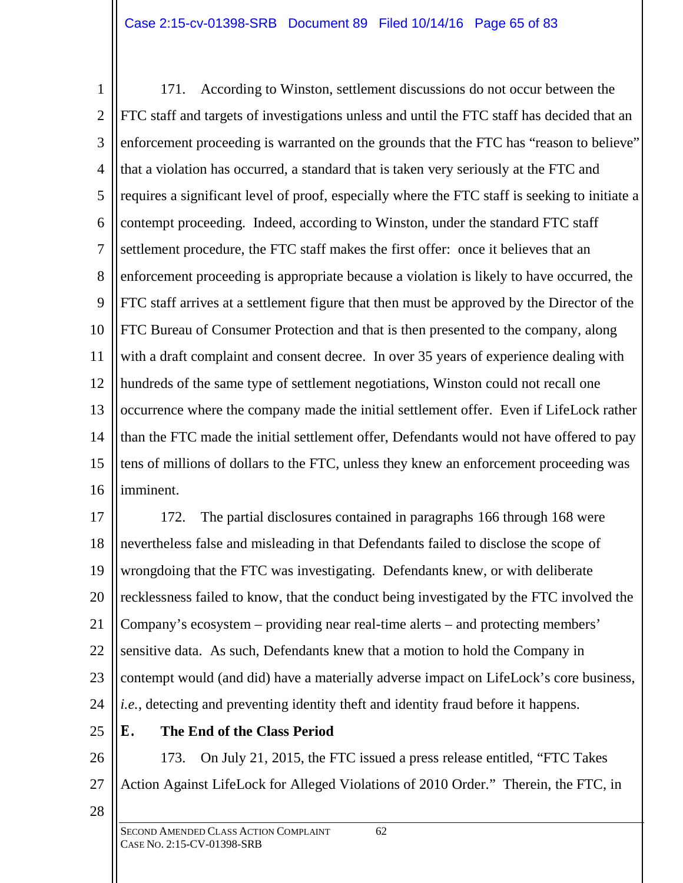1 2 3 4 5 6 7 8 9 10 11 12 13 14 15 16 171. According to Winston, settlement discussions do not occur between the FTC staff and targets of investigations unless and until the FTC staff has decided that an enforcement proceeding is warranted on the grounds that the FTC has "reason to believe" that a violation has occurred, a standard that is taken very seriously at the FTC and requires a significant level of proof, especially where the FTC staff is seeking to initiate a contempt proceeding. Indeed, according to Winston, under the standard FTC staff settlement procedure, the FTC staff makes the first offer: once it believes that an enforcement proceeding is appropriate because a violation is likely to have occurred, the FTC staff arrives at a settlement figure that then must be approved by the Director of the FTC Bureau of Consumer Protection and that is then presented to the company, along with a draft complaint and consent decree. In over 35 years of experience dealing with hundreds of the same type of settlement negotiations, Winston could not recall one occurrence where the company made the initial settlement offer. Even if LifeLock rather than the FTC made the initial settlement offer, Defendants would not have offered to pay tens of millions of dollars to the FTC, unless they knew an enforcement proceeding was imminent.

17 18 19 20 21 22 23 24 172. The partial disclosures contained in paragraphs 166 through 168 were nevertheless false and misleading in that Defendants failed to disclose the scope of wrongdoing that the FTC was investigating. Defendants knew, or with deliberate recklessness failed to know, that the conduct being investigated by the FTC involved the Company's ecosystem – providing near real-time alerts – and protecting members' sensitive data. As such, Defendants knew that a motion to hold the Company in contempt would (and did) have a materially adverse impact on LifeLock's core business, *i.e.*, detecting and preventing identity theft and identity fraud before it happens.

25

# **E. The End of the Class Period**

26 27 173. On July 21, 2015, the FTC issued a press release entitled, "FTC Takes Action Against LifeLock for Alleged Violations of 2010 Order." Therein, the FTC, in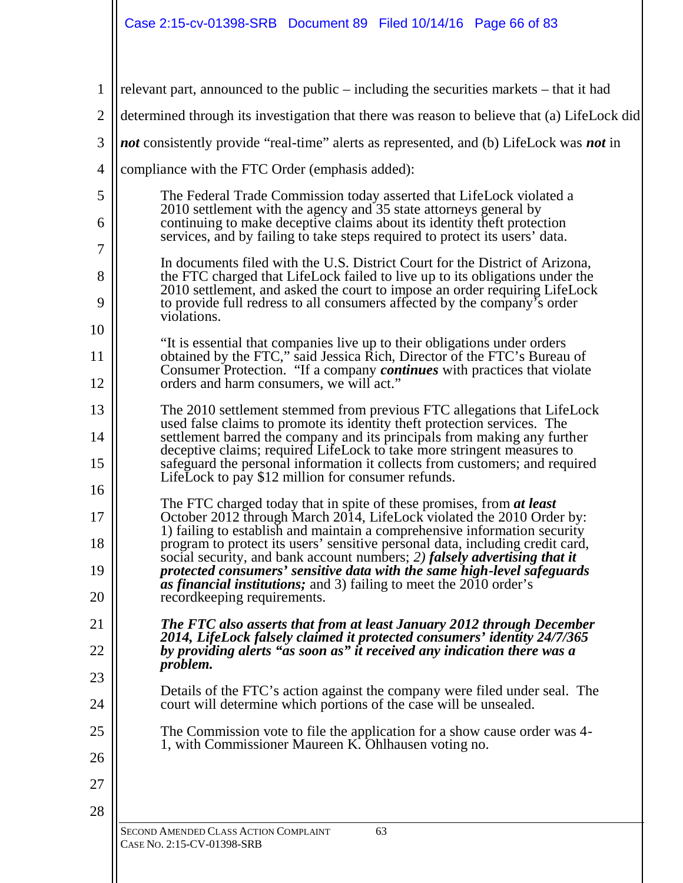| 1                                                                                                                                                                                                                                          | relevant part, announced to the public $-$ including the securities markets $-$ that it had                                                                                                                                                                                                                            |
|--------------------------------------------------------------------------------------------------------------------------------------------------------------------------------------------------------------------------------------------|------------------------------------------------------------------------------------------------------------------------------------------------------------------------------------------------------------------------------------------------------------------------------------------------------------------------|
| $\overline{2}$                                                                                                                                                                                                                             | determined through its investigation that there was reason to believe that (a) LifeLock did                                                                                                                                                                                                                            |
| 3                                                                                                                                                                                                                                          | <i>not</i> consistently provide "real-time" alerts as represented, and (b) LifeLock was <i>not</i> in                                                                                                                                                                                                                  |
| $\overline{4}$                                                                                                                                                                                                                             | compliance with the FTC Order (emphasis added):                                                                                                                                                                                                                                                                        |
| 5<br>2010 settlement with the agency and 35 state attorneys general by<br>continuing to make deceptive claims about its identity theft protection<br>6<br>services, and by failing to take steps required to protect its users' data.<br>7 | The Federal Trade Commission today asserted that LifeLock violated a                                                                                                                                                                                                                                                   |
|                                                                                                                                                                                                                                            |                                                                                                                                                                                                                                                                                                                        |
| 8<br>9                                                                                                                                                                                                                                     | In documents filed with the U.S. District Court for the District of Arizona,<br>the FTC charged that LifeLock failed to live up to its obligations under the<br>2010 settlement, and asked the court to impose an order requiring LifeLock<br>to provide full redress to all consumers affected by the company's order |
| 10                                                                                                                                                                                                                                         | violations.                                                                                                                                                                                                                                                                                                            |
| 11                                                                                                                                                                                                                                         | "It is essential that companies live up to their obligations under orders<br>obtained by the FTC," said Jessica Rich, Director of the FTC's Bureau of<br>Consumer Protection. "If a company <i>continues</i> with practices that violate                                                                               |
| 12                                                                                                                                                                                                                                         | orders and harm consumers, we will act."                                                                                                                                                                                                                                                                               |
| 13<br>14                                                                                                                                                                                                                                   | The 2010 settlement stemmed from previous FTC allegations that LifeLock<br>used false claims to promote its identity theft protection services. The<br>settlement barred the company and its principals from making any further                                                                                        |
| 15                                                                                                                                                                                                                                         | deceptive claims; required LifeLock to take more stringent measures to<br>safeguard the personal information it collects from customers; and required<br>LifeLock to pay \$12 million for consumer refunds.                                                                                                            |
| 16                                                                                                                                                                                                                                         | The FTC charged today that in spite of these promises, from at least                                                                                                                                                                                                                                                   |
| 17<br>18                                                                                                                                                                                                                                   | October 2012 through March 2014, LifeLock violated the 2010 Order by:<br>1) failing to establish and maintain a comprehensive information security<br>program to protect its users' sensitive personal data, including credit card,                                                                                    |
| 19                                                                                                                                                                                                                                         | social security, and bank account numbers; 2) falsely advertising that it<br>protected consumers' sensitive data with the same high-level safeguards                                                                                                                                                                   |
| 20                                                                                                                                                                                                                                         | <i>as financial institutions;</i> and 3) failing to meet the $2010$ order's<br>record keeping requirements.                                                                                                                                                                                                            |
| 21                                                                                                                                                                                                                                         | The FTC also asserts that from at least January 2012 through December<br>2014, LifeLock falsely claimed it protected consumers' identity 24/7/365                                                                                                                                                                      |
| 22                                                                                                                                                                                                                                         | by providing alerts "as soon as" it received any indication there was a<br>problem.                                                                                                                                                                                                                                    |
| 23                                                                                                                                                                                                                                         | Details of the FTC's action against the company were filed under seal. The                                                                                                                                                                                                                                             |
| 24                                                                                                                                                                                                                                         | court will determine which portions of the case will be unsealed.                                                                                                                                                                                                                                                      |
| 25                                                                                                                                                                                                                                         | The Commission vote to file the application for a show cause order was 4-<br>1, with Commissioner Maureen K. Ohlhausen voting no.                                                                                                                                                                                      |
| 26                                                                                                                                                                                                                                         |                                                                                                                                                                                                                                                                                                                        |
| 27                                                                                                                                                                                                                                         |                                                                                                                                                                                                                                                                                                                        |
| 28                                                                                                                                                                                                                                         |                                                                                                                                                                                                                                                                                                                        |
|                                                                                                                                                                                                                                            | 63<br>SECOND AMENDED CLASS ACTION COMPLAINT<br>CASE No. 2:15-CV-01398-SRB                                                                                                                                                                                                                                              |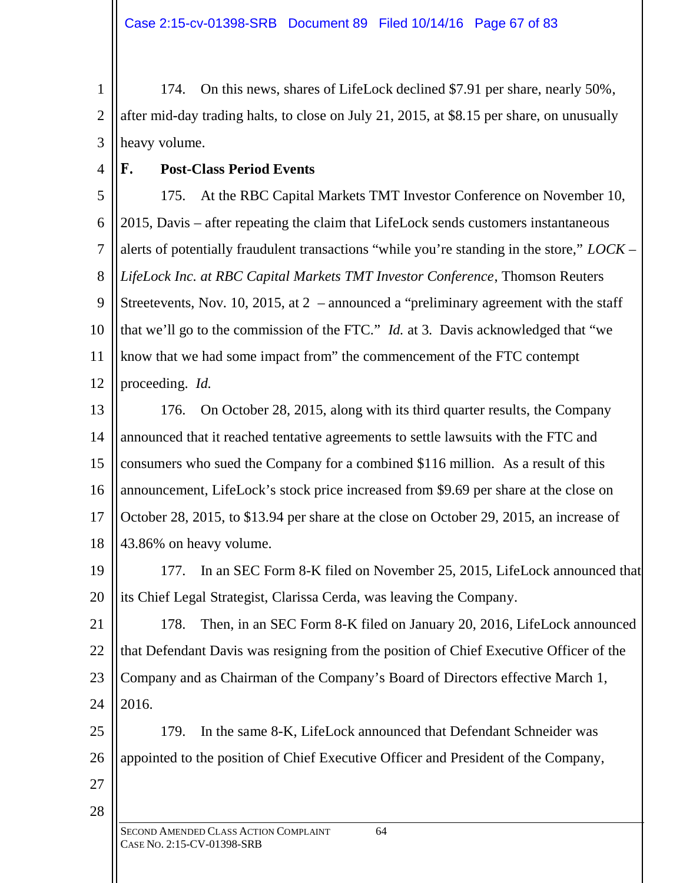1 2 3 174. On this news, shares of LifeLock declined \$7.91 per share, nearly 50%, after mid-day trading halts, to close on July 21, 2015, at \$8.15 per share, on unusually heavy volume.

4

# **F. Post-Class Period Events**

5 6 7 8 9 10 11 12 175. At the RBC Capital Markets TMT Investor Conference on November 10, 2015, Davis – after repeating the claim that LifeLock sends customers instantaneous alerts of potentially fraudulent transactions "while you're standing in the store," *LOCK – LifeLock Inc. at RBC Capital Markets TMT Investor Conference*, Thomson Reuters Streetevents, Nov. 10, 2015, at 2 – announced a "preliminary agreement with the staff that we'll go to the commission of the FTC." *Id.* at 3. Davis acknowledged that "we know that we had some impact from" the commencement of the FTC contempt proceeding. *Id.*

13 14 15 16 17 18 176. On October 28, 2015, along with its third quarter results, the Company announced that it reached tentative agreements to settle lawsuits with the FTC and consumers who sued the Company for a combined \$116 million. As a result of this announcement, LifeLock's stock price increased from \$9.69 per share at the close on October 28, 2015, to \$13.94 per share at the close on October 29, 2015, an increase of 43.86% on heavy volume.

19 20 177. In an SEC Form 8-K filed on November 25, 2015, LifeLock announced that its Chief Legal Strategist, Clarissa Cerda, was leaving the Company.

21 22 23 24 178. Then, in an SEC Form 8-K filed on January 20, 2016, LifeLock announced that Defendant Davis was resigning from the position of Chief Executive Officer of the Company and as Chairman of the Company's Board of Directors effective March 1, 2016.

25 26 179. In the same 8-K, LifeLock announced that Defendant Schneider was appointed to the position of Chief Executive Officer and President of the Company,

27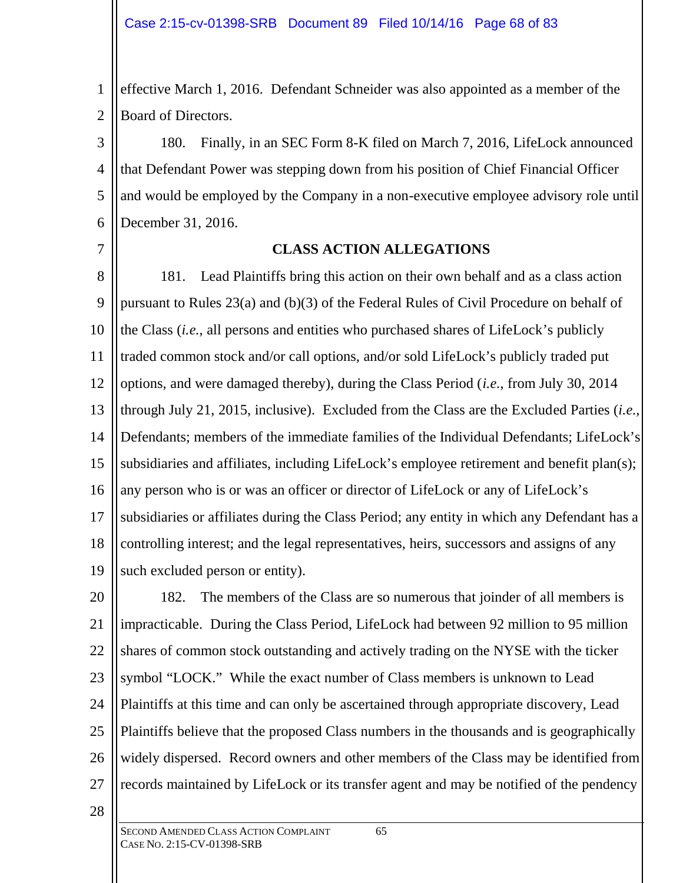1 2 effective March 1, 2016. Defendant Schneider was also appointed as a member of the Board of Directors.

3 4 5 6 180. Finally, in an SEC Form 8-K filed on March 7, 2016, LifeLock announced that Defendant Power was stepping down from his position of Chief Financial Officer and would be employed by the Company in a non-executive employee advisory role until December 31, 2016.

7

#### **CLASS ACTION ALLEGATIONS**

8 9 10 11 12 13 14 15 16 17 18 19 181. Lead Plaintiffs bring this action on their own behalf and as a class action pursuant to Rules 23(a) and (b)(3) of the Federal Rules of Civil Procedure on behalf of the Class (*i.e.*, all persons and entities who purchased shares of LifeLock's publicly traded common stock and/or call options, and/or sold LifeLock's publicly traded put options, and were damaged thereby), during the Class Period (*i.e.*, from July 30, 2014 through July 21, 2015, inclusive). Excluded from the Class are the Excluded Parties (*i.e.*, Defendants; members of the immediate families of the Individual Defendants; LifeLock's subsidiaries and affiliates, including LifeLock's employee retirement and benefit plan(s); any person who is or was an officer or director of LifeLock or any of LifeLock's subsidiaries or affiliates during the Class Period; any entity in which any Defendant has a controlling interest; and the legal representatives, heirs, successors and assigns of any such excluded person or entity).

20 21 22 23 24 25 26 27 182. The members of the Class are so numerous that joinder of all members is impracticable. During the Class Period, LifeLock had between 92 million to 95 million shares of common stock outstanding and actively trading on the NYSE with the ticker symbol "LOCK." While the exact number of Class members is unknown to Lead Plaintiffs at this time and can only be ascertained through appropriate discovery, Lead Plaintiffs believe that the proposed Class numbers in the thousands and is geographically widely dispersed. Record owners and other members of the Class may be identified from records maintained by LifeLock or its transfer agent and may be notified of the pendency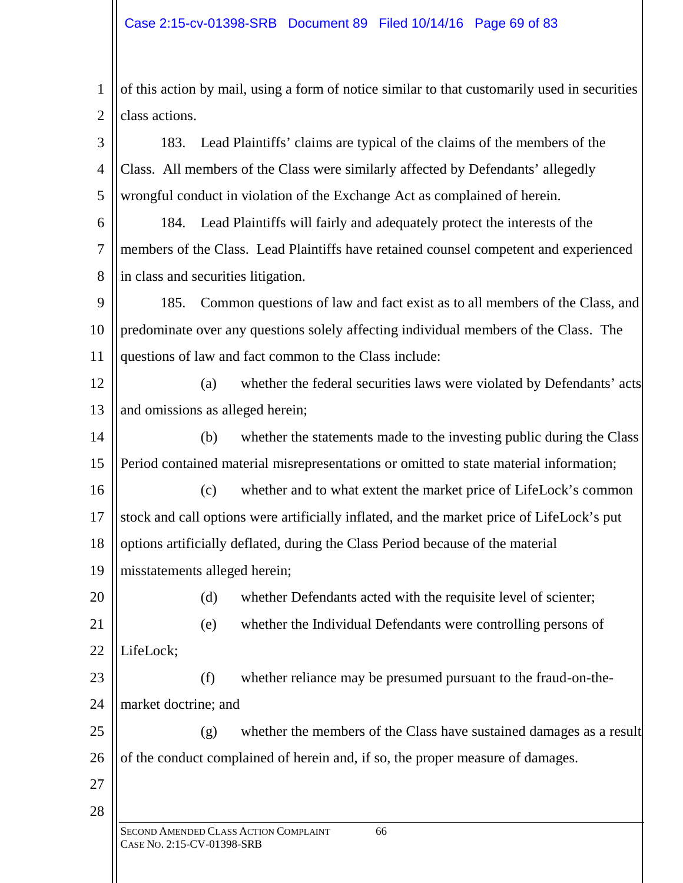1 2 of this action by mail, using a form of notice similar to that customarily used in securities class actions.

3 4 5 183. Lead Plaintiffs' claims are typical of the claims of the members of the Class. All members of the Class were similarly affected by Defendants' allegedly wrongful conduct in violation of the Exchange Act as complained of herein.

6 7 8 184. Lead Plaintiffs will fairly and adequately protect the interests of the members of the Class. Lead Plaintiffs have retained counsel competent and experienced in class and securities litigation.

9 10 11 185. Common questions of law and fact exist as to all members of the Class, and predominate over any questions solely affecting individual members of the Class. The questions of law and fact common to the Class include:

12 13 (a) whether the federal securities laws were violated by Defendants' acts and omissions as alleged herein;

14 15 (b) whether the statements made to the investing public during the Class Period contained material misrepresentations or omitted to state material information;

16 17 18 (c) whether and to what extent the market price of LifeLock's common stock and call options were artificially inflated, and the market price of LifeLock's put options artificially deflated, during the Class Period because of the material

19 misstatements alleged herein;

20 21

(d) whether Defendants acted with the requisite level of scienter;

(e) whether the Individual Defendants were controlling persons of

22 LifeLock;

23 24 (f) whether reliance may be presumed pursuant to the fraud-on-themarket doctrine; and

25 26 (g) whether the members of the Class have sustained damages as a result of the conduct complained of herein and, if so, the proper measure of damages.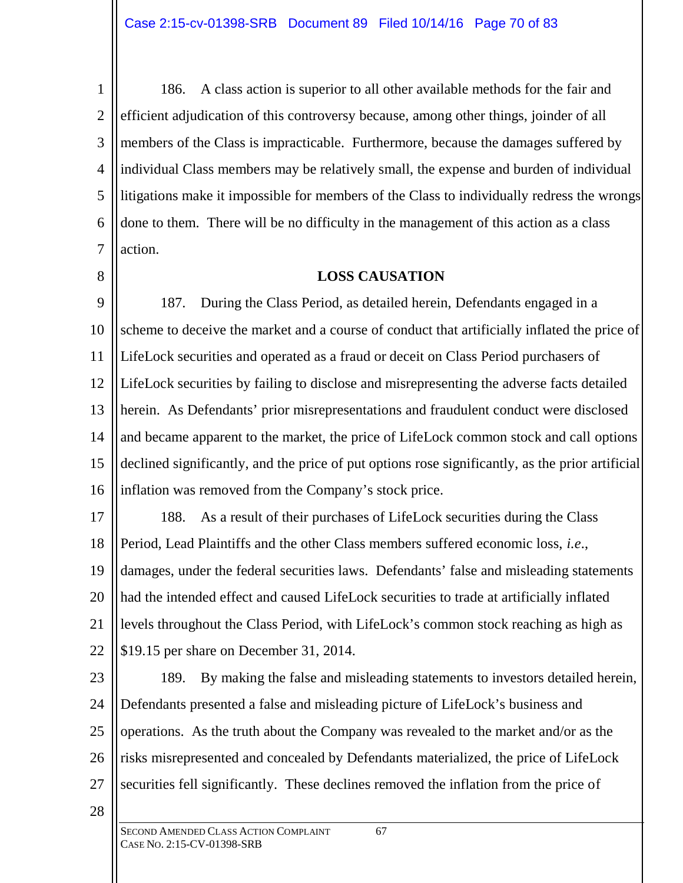1 2 3 4 5 6 7 186. A class action is superior to all other available methods for the fair and efficient adjudication of this controversy because, among other things, joinder of all members of the Class is impracticable. Furthermore, because the damages suffered by individual Class members may be relatively small, the expense and burden of individual litigations make it impossible for members of the Class to individually redress the wrongs done to them. There will be no difficulty in the management of this action as a class action.

8

### **LOSS CAUSATION**

9 10 11 12 13 14 15 16 187. During the Class Period, as detailed herein, Defendants engaged in a scheme to deceive the market and a course of conduct that artificially inflated the price of LifeLock securities and operated as a fraud or deceit on Class Period purchasers of LifeLock securities by failing to disclose and misrepresenting the adverse facts detailed herein. As Defendants' prior misrepresentations and fraudulent conduct were disclosed and became apparent to the market, the price of LifeLock common stock and call options declined significantly, and the price of put options rose significantly, as the prior artificial inflation was removed from the Company's stock price.

17 18 19 20 21 22 188. As a result of their purchases of LifeLock securities during the Class Period, Lead Plaintiffs and the other Class members suffered economic loss, *i.e*., damages, under the federal securities laws. Defendants' false and misleading statements had the intended effect and caused LifeLock securities to trade at artificially inflated levels throughout the Class Period, with LifeLock's common stock reaching as high as \$19.15 per share on December 31, 2014.

23 24 25 189. By making the false and misleading statements to investors detailed herein,

Defendants presented a false and misleading picture of LifeLock's business and operations. As the truth about the Company was revealed to the market and/or as the risks misrepresented and concealed by Defendants materialized, the price of LifeLock securities fell significantly. These declines removed the inflation from the price of

28

27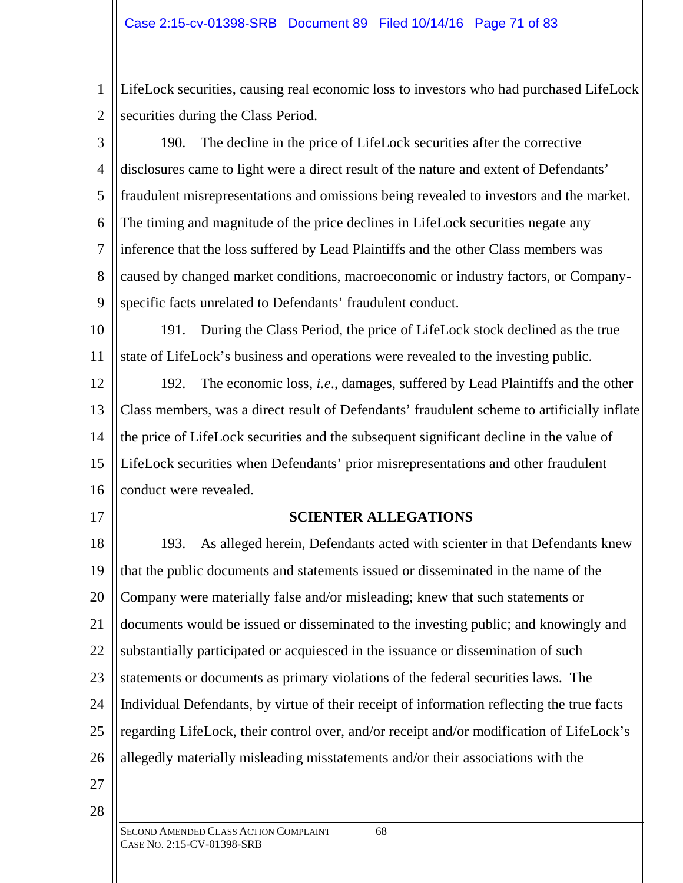1 2 LifeLock securities, causing real economic loss to investors who had purchased LifeLock securities during the Class Period.

3 4 5 6 7 8 9 190. The decline in the price of LifeLock securities after the corrective disclosures came to light were a direct result of the nature and extent of Defendants' fraudulent misrepresentations and omissions being revealed to investors and the market. The timing and magnitude of the price declines in LifeLock securities negate any inference that the loss suffered by Lead Plaintiffs and the other Class members was caused by changed market conditions, macroeconomic or industry factors, or Companyspecific facts unrelated to Defendants' fraudulent conduct.

10 11 191. During the Class Period, the price of LifeLock stock declined as the true state of LifeLock's business and operations were revealed to the investing public.

12 13 14 15 16 192. The economic loss*, i.e*., damages, suffered by Lead Plaintiffs and the other Class members, was a direct result of Defendants' fraudulent scheme to artificially inflate the price of LifeLock securities and the subsequent significant decline in the value of LifeLock securities when Defendants' prior misrepresentations and other fraudulent conduct were revealed.

17

## **SCIENTER ALLEGATIONS**

18 19 20 21 22 23 24 25 26 193. As alleged herein, Defendants acted with scienter in that Defendants knew that the public documents and statements issued or disseminated in the name of the Company were materially false and/or misleading; knew that such statements or documents would be issued or disseminated to the investing public; and knowingly and substantially participated or acquiesced in the issuance or dissemination of such statements or documents as primary violations of the federal securities laws. The Individual Defendants, by virtue of their receipt of information reflecting the true facts regarding LifeLock, their control over, and/or receipt and/or modification of LifeLock's allegedly materially misleading misstatements and/or their associations with the

27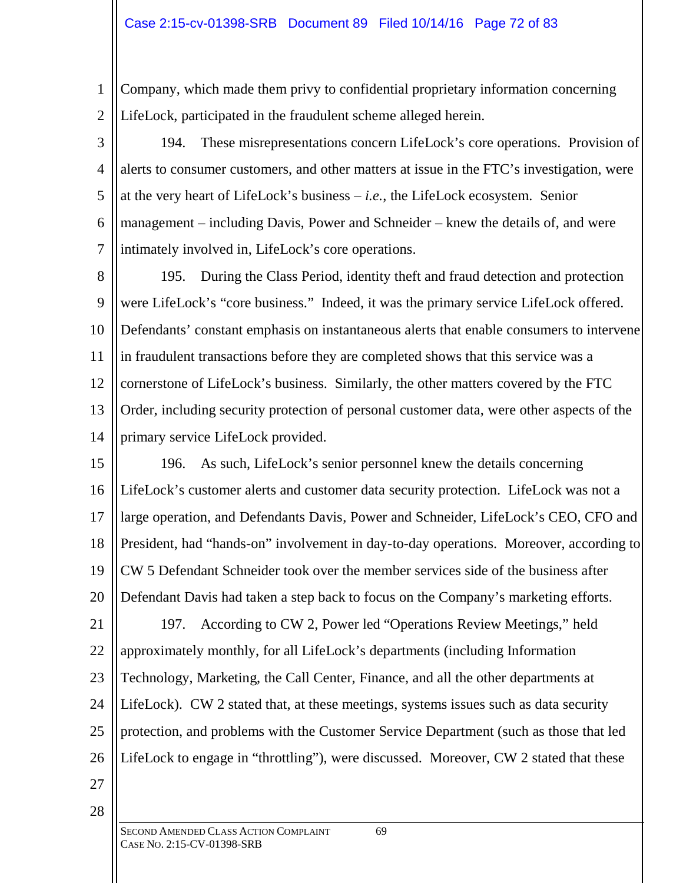#### Case 2:15-cv-01398-SRB Document 89 Filed 10/14/16 Page 72 of 83

1 2 Company, which made them privy to confidential proprietary information concerning LifeLock, participated in the fraudulent scheme alleged herein.

3

4 5 6 7 194. These misrepresentations concern LifeLock's core operations. Provision of alerts to consumer customers, and other matters at issue in the FTC's investigation, were at the very heart of LifeLock's business – *i.e.*, the LifeLock ecosystem. Senior management – including Davis, Power and Schneider – knew the details of, and were intimately involved in, LifeLock's core operations.

8 9 10 11 12 13 14 195. During the Class Period, identity theft and fraud detection and protection were LifeLock's "core business." Indeed, it was the primary service LifeLock offered. Defendants' constant emphasis on instantaneous alerts that enable consumers to intervene in fraudulent transactions before they are completed shows that this service was a cornerstone of LifeLock's business. Similarly, the other matters covered by the FTC Order, including security protection of personal customer data, were other aspects of the primary service LifeLock provided.

15 16 17 18 19 20 21 22 23 24 25 26 196. As such, LifeLock's senior personnel knew the details concerning LifeLock's customer alerts and customer data security protection. LifeLock was not a large operation, and Defendants Davis, Power and Schneider, LifeLock's CEO, CFO and President, had "hands-on" involvement in day-to-day operations. Moreover, according to CW 5 Defendant Schneider took over the member services side of the business after Defendant Davis had taken a step back to focus on the Company's marketing efforts. 197. According to CW 2, Power led "Operations Review Meetings," held approximately monthly, for all LifeLock's departments (including Information Technology, Marketing, the Call Center, Finance, and all the other departments at LifeLock). CW 2 stated that, at these meetings, systems issues such as data security protection, and problems with the Customer Service Department (such as those that led

- 27
- 28

LifeLock to engage in "throttling"), were discussed. Moreover, CW 2 stated that these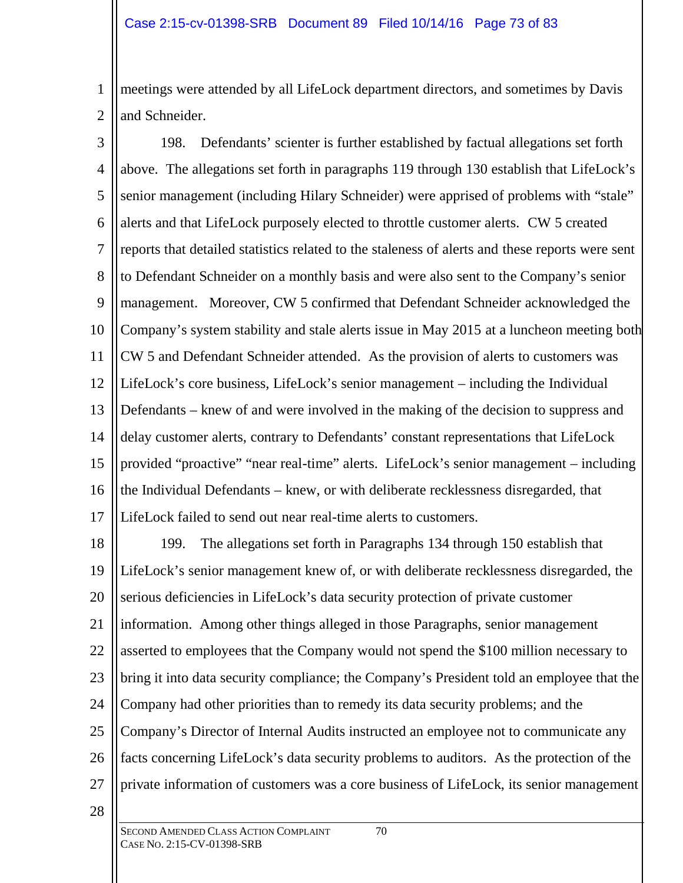1 2 meetings were attended by all LifeLock department directors, and sometimes by Davis and Schneider.

3 4 5 6 7 8 9 10 11 12 13 14 15 16 17 198. Defendants' scienter is further established by factual allegations set forth above. The allegations set forth in paragraphs 119 through 130 establish that LifeLock's senior management (including Hilary Schneider) were apprised of problems with "stale" alerts and that LifeLock purposely elected to throttle customer alerts. CW 5 created reports that detailed statistics related to the staleness of alerts and these reports were sent to Defendant Schneider on a monthly basis and were also sent to the Company's senior management. Moreover, CW 5 confirmed that Defendant Schneider acknowledged the Company's system stability and stale alerts issue in May 2015 at a luncheon meeting both CW 5 and Defendant Schneider attended. As the provision of alerts to customers was LifeLock's core business, LifeLock's senior management – including the Individual Defendants – knew of and were involved in the making of the decision to suppress and delay customer alerts, contrary to Defendants' constant representations that LifeLock provided "proactive" "near real-time" alerts. LifeLock's senior management – including the Individual Defendants – knew, or with deliberate recklessness disregarded, that LifeLock failed to send out near real-time alerts to customers.

18 19 20 21 22 23 24 25 26 27 199. The allegations set forth in Paragraphs 134 through 150 establish that LifeLock's senior management knew of, or with deliberate recklessness disregarded, the serious deficiencies in LifeLock's data security protection of private customer information. Among other things alleged in those Paragraphs, senior management asserted to employees that the Company would not spend the \$100 million necessary to bring it into data security compliance; the Company's President told an employee that the Company had other priorities than to remedy its data security problems; and the Company's Director of Internal Audits instructed an employee not to communicate any facts concerning LifeLock's data security problems to auditors. As the protection of the private information of customers was a core business of LifeLock, its senior management

28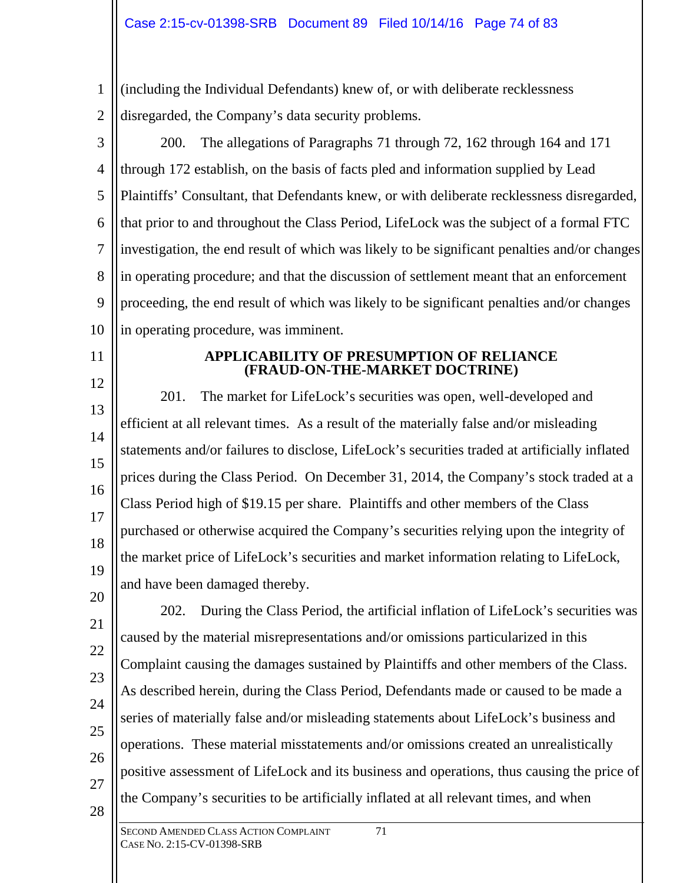1 2 (including the Individual Defendants) knew of, or with deliberate recklessness disregarded, the Company's data security problems.

3 4 5 6 7 8 9 10 200. The allegations of Paragraphs 71 through 72, 162 through 164 and 171 through 172 establish, on the basis of facts pled and information supplied by Lead Plaintiffs' Consultant, that Defendants knew, or with deliberate recklessness disregarded, that prior to and throughout the Class Period, LifeLock was the subject of a formal FTC investigation, the end result of which was likely to be significant penalties and/or changes in operating procedure; and that the discussion of settlement meant that an enforcement proceeding, the end result of which was likely to be significant penalties and/or changes in operating procedure, was imminent.

## 11

12

#### **APPLICABILITY OF PRESUMPTION OF RELIANCE (FRAUD-ON-THE-MARKET DOCTRINE)**

13 14 15 16 17 18 19 20 201. The market for LifeLock's securities was open, well-developed and efficient at all relevant times. As a result of the materially false and/or misleading statements and/or failures to disclose, LifeLock's securities traded at artificially inflated prices during the Class Period. On December 31, 2014, the Company's stock traded at a Class Period high of \$19.15 per share. Plaintiffs and other members of the Class purchased or otherwise acquired the Company's securities relying upon the integrity of the market price of LifeLock's securities and market information relating to LifeLock, and have been damaged thereby.

21 22 23 24 25 26 27 28 202. During the Class Period, the artificial inflation of LifeLock's securities was caused by the material misrepresentations and/or omissions particularized in this Complaint causing the damages sustained by Plaintiffs and other members of the Class. As described herein, during the Class Period, Defendants made or caused to be made a series of materially false and/or misleading statements about LifeLock's business and operations. These material misstatements and/or omissions created an unrealistically positive assessment of LifeLock and its business and operations, thus causing the price of the Company's securities to be artificially inflated at all relevant times, and when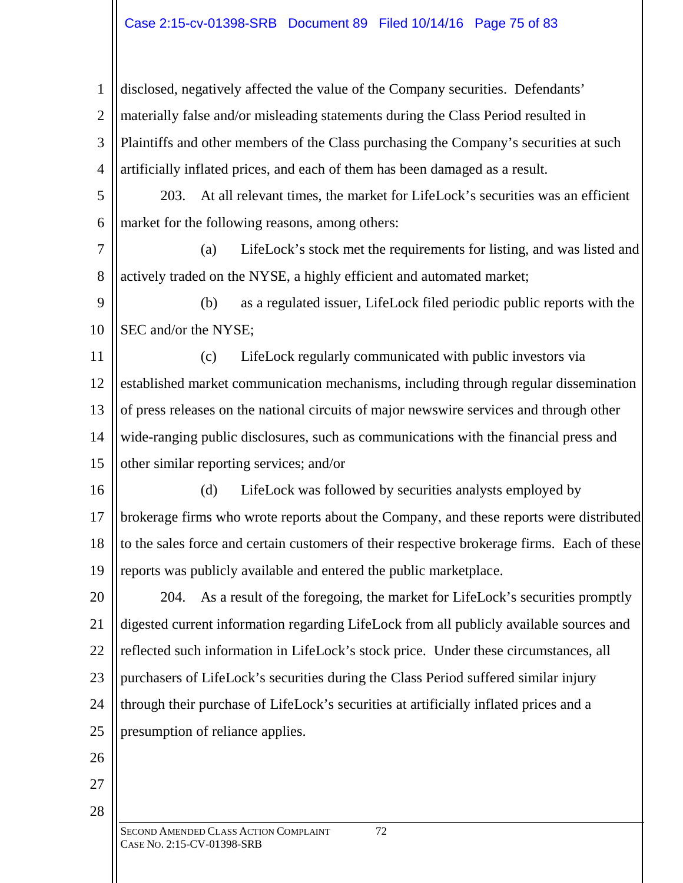# Case 2:15-cv-01398-SRB Document 89 Filed 10/14/16 Page 75 of 83

1 2 3 4 disclosed, negatively affected the value of the Company securities. Defendants' materially false and/or misleading statements during the Class Period resulted in Plaintiffs and other members of the Class purchasing the Company's securities at such artificially inflated prices, and each of them has been damaged as a result.

5 6 203. At all relevant times, the market for LifeLock's securities was an efficient market for the following reasons, among others:

7 8 (a) LifeLock's stock met the requirements for listing, and was listed and actively traded on the NYSE, a highly efficient and automated market;

9 10 (b) as a regulated issuer, LifeLock filed periodic public reports with the SEC and/or the NYSE;

11 12 13 14 15 (c) LifeLock regularly communicated with public investors via established market communication mechanisms, including through regular dissemination of press releases on the national circuits of major newswire services and through other wide-ranging public disclosures, such as communications with the financial press and other similar reporting services; and/or

16 17 18 19 (d) LifeLock was followed by securities analysts employed by brokerage firms who wrote reports about the Company, and these reports were distributed to the sales force and certain customers of their respective brokerage firms. Each of these reports was publicly available and entered the public marketplace.

20 21 22 23 24 25 204. As a result of the foregoing, the market for LifeLock's securities promptly digested current information regarding LifeLock from all publicly available sources and reflected such information in LifeLock's stock price. Under these circumstances, all purchasers of LifeLock's securities during the Class Period suffered similar injury through their purchase of LifeLock's securities at artificially inflated prices and a presumption of reliance applies.

26

27

28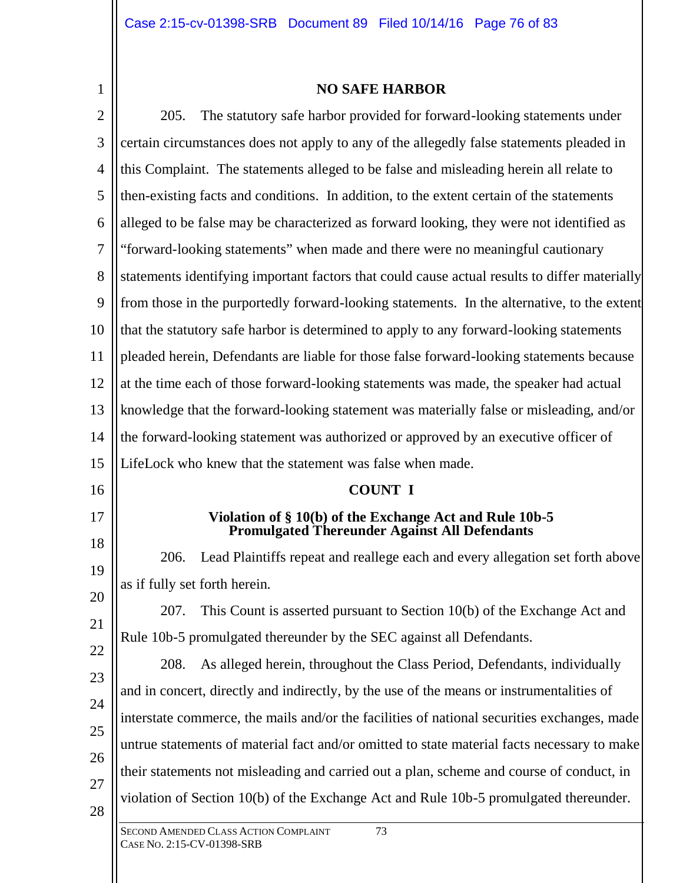1

#### **NO SAFE HARBOR**

SECOND AMENDED CLASS ACTION COMPLAINT 73 CASE NO. 2:15-CV-01398-SRB 2 3 4 5 6 7 8 9 10 11 12 13 14 15 16 17 18 19 20 21 22 23 24 25 26 27 28 205. The statutory safe harbor provided for forward-looking statements under certain circumstances does not apply to any of the allegedly false statements pleaded in this Complaint. The statements alleged to be false and misleading herein all relate to then-existing facts and conditions. In addition, to the extent certain of the statements alleged to be false may be characterized as forward looking, they were not identified as "forward-looking statements" when made and there were no meaningful cautionary statements identifying important factors that could cause actual results to differ materially from those in the purportedly forward-looking statements. In the alternative, to the extent that the statutory safe harbor is determined to apply to any forward-looking statements pleaded herein, Defendants are liable for those false forward-looking statements because at the time each of those forward-looking statements was made, the speaker had actual knowledge that the forward-looking statement was materially false or misleading, and/or the forward-looking statement was authorized or approved by an executive officer of LifeLock who knew that the statement was false when made. **COUNT I Violation of § 10(b) of the Exchange Act and Rule 10b-5 Promulgated Thereunder Against All Defendants** 206. Lead Plaintiffs repeat and reallege each and every allegation set forth above as if fully set forth herein. 207. This Count is asserted pursuant to Section 10(b) of the Exchange Act and Rule 10b-5 promulgated thereunder by the SEC against all Defendants. 208. As alleged herein, throughout the Class Period, Defendants, individually and in concert, directly and indirectly, by the use of the means or instrumentalities of interstate commerce, the mails and/or the facilities of national securities exchanges, made untrue statements of material fact and/or omitted to state material facts necessary to make their statements not misleading and carried out a plan, scheme and course of conduct, in violation of Section 10(b) of the Exchange Act and Rule 10b-5 promulgated thereunder.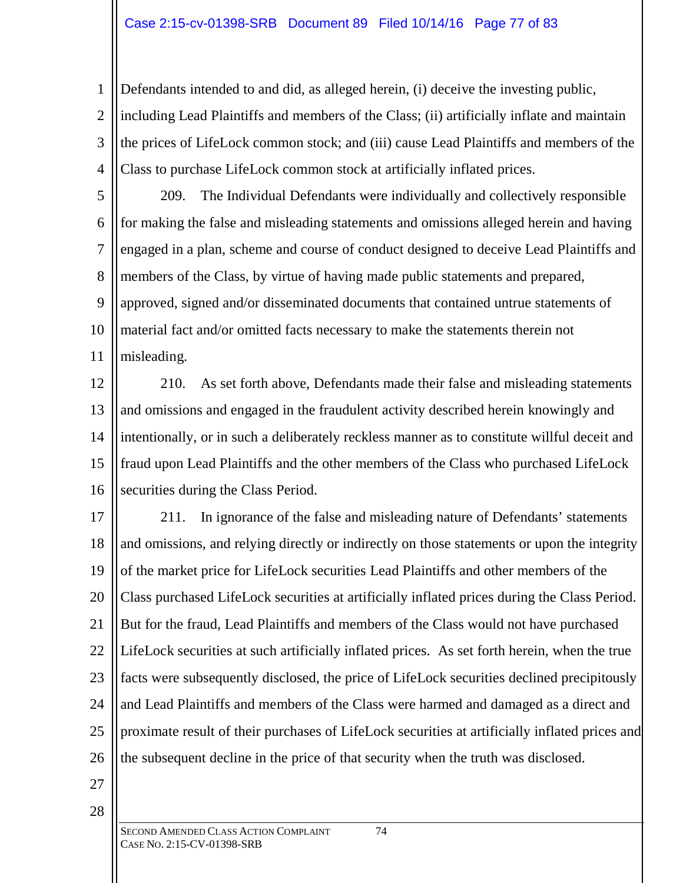### Case 2:15-cv-01398-SRB Document 89 Filed 10/14/16 Page 77 of 83

1 2 3 4 Defendants intended to and did, as alleged herein, (i) deceive the investing public, including Lead Plaintiffs and members of the Class; (ii) artificially inflate and maintain the prices of LifeLock common stock; and (iii) cause Lead Plaintiffs and members of the Class to purchase LifeLock common stock at artificially inflated prices.

5 6 7 8 9 10 11 209. The Individual Defendants were individually and collectively responsible for making the false and misleading statements and omissions alleged herein and having engaged in a plan, scheme and course of conduct designed to deceive Lead Plaintiffs and members of the Class, by virtue of having made public statements and prepared, approved, signed and/or disseminated documents that contained untrue statements of material fact and/or omitted facts necessary to make the statements therein not misleading.

12 13 14 15 16 210. As set forth above, Defendants made their false and misleading statements and omissions and engaged in the fraudulent activity described herein knowingly and intentionally, or in such a deliberately reckless manner as to constitute willful deceit and fraud upon Lead Plaintiffs and the other members of the Class who purchased LifeLock securities during the Class Period.

17 18 19 20 21 22 23 24 25 26 211. In ignorance of the false and misleading nature of Defendants' statements and omissions, and relying directly or indirectly on those statements or upon the integrity of the market price for LifeLock securities Lead Plaintiffs and other members of the Class purchased LifeLock securities at artificially inflated prices during the Class Period. But for the fraud, Lead Plaintiffs and members of the Class would not have purchased LifeLock securities at such artificially inflated prices. As set forth herein, when the true facts were subsequently disclosed, the price of LifeLock securities declined precipitously and Lead Plaintiffs and members of the Class were harmed and damaged as a direct and proximate result of their purchases of LifeLock securities at artificially inflated prices and the subsequent decline in the price of that security when the truth was disclosed.

27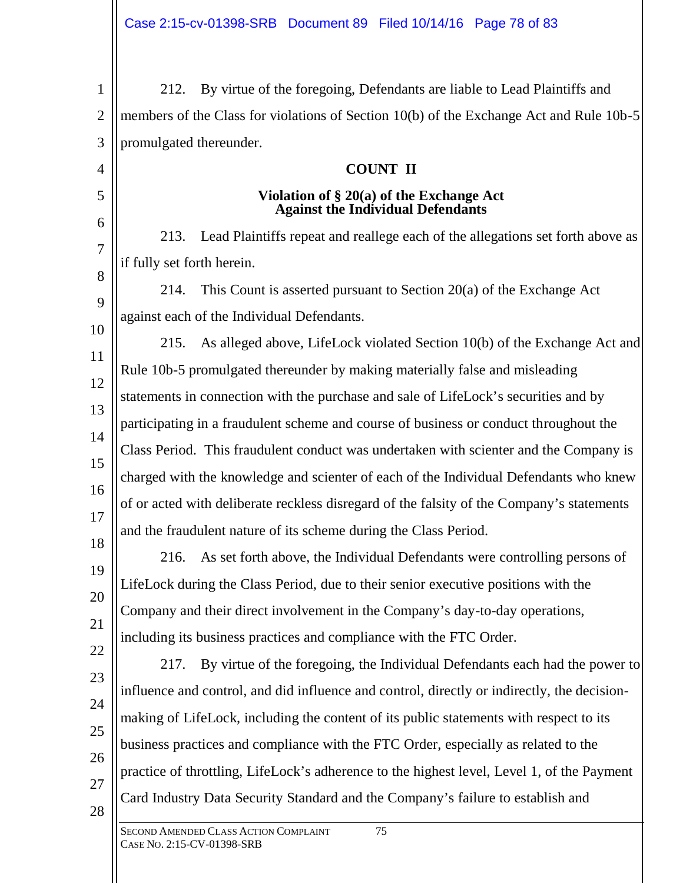SECOND AMENDED CLASS ACTION COMPLAINT 75 1 2 3 4 5 6 7 8 9 10 11 12 13 14 15 16 17 18 19 20 21 22 23 24 25 26 27 28 212. By virtue of the foregoing, Defendants are liable to Lead Plaintiffs and members of the Class for violations of Section 10(b) of the Exchange Act and Rule 10b-5 promulgated thereunder. **COUNT II Violation of § 20(a) of the Exchange Act Against the Individual Defendants** 213. Lead Plaintiffs repeat and reallege each of the allegations set forth above as if fully set forth herein. 214. This Count is asserted pursuant to Section 20(a) of the Exchange Act against each of the Individual Defendants. 215. As alleged above, LifeLock violated Section 10(b) of the Exchange Act and Rule 10b-5 promulgated thereunder by making materially false and misleading statements in connection with the purchase and sale of LifeLock's securities and by participating in a fraudulent scheme and course of business or conduct throughout the Class Period. This fraudulent conduct was undertaken with scienter and the Company is charged with the knowledge and scienter of each of the Individual Defendants who knew of or acted with deliberate reckless disregard of the falsity of the Company's statements and the fraudulent nature of its scheme during the Class Period. 216. As set forth above, the Individual Defendants were controlling persons of LifeLock during the Class Period, due to their senior executive positions with the Company and their direct involvement in the Company's day-to-day operations, including its business practices and compliance with the FTC Order. 217. By virtue of the foregoing, the Individual Defendants each had the power to influence and control, and did influence and control, directly or indirectly, the decisionmaking of LifeLock, including the content of its public statements with respect to its business practices and compliance with the FTC Order, especially as related to the practice of throttling, LifeLock's adherence to the highest level, Level 1, of the Payment Card Industry Data Security Standard and the Company's failure to establish and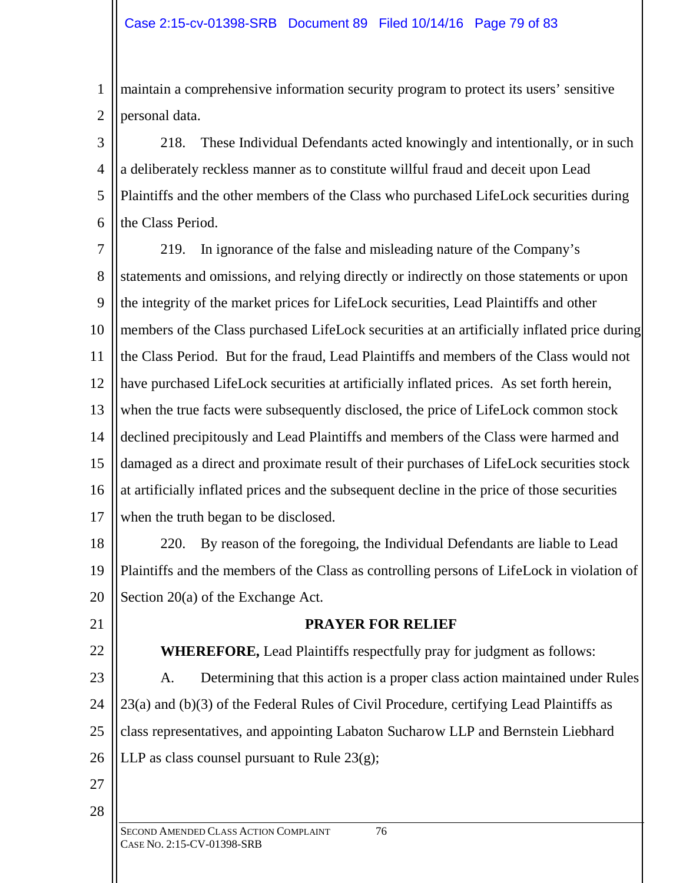1 2 maintain a comprehensive information security program to protect its users' sensitive personal data.

3 4 5 6 218. These Individual Defendants acted knowingly and intentionally, or in such a deliberately reckless manner as to constitute willful fraud and deceit upon Lead Plaintiffs and the other members of the Class who purchased LifeLock securities during the Class Period.

7 8 9 10 11 12 13 14 15 16 17 219. In ignorance of the false and misleading nature of the Company's statements and omissions, and relying directly or indirectly on those statements or upon the integrity of the market prices for LifeLock securities, Lead Plaintiffs and other members of the Class purchased LifeLock securities at an artificially inflated price during the Class Period. But for the fraud, Lead Plaintiffs and members of the Class would not have purchased LifeLock securities at artificially inflated prices. As set forth herein, when the true facts were subsequently disclosed, the price of LifeLock common stock declined precipitously and Lead Plaintiffs and members of the Class were harmed and damaged as a direct and proximate result of their purchases of LifeLock securities stock at artificially inflated prices and the subsequent decline in the price of those securities when the truth began to be disclosed.

18 19 20 220. By reason of the foregoing, the Individual Defendants are liable to Lead Plaintiffs and the members of the Class as controlling persons of LifeLock in violation of Section 20(a) of the Exchange Act.

21

22 23 **PRAYER FOR RELIEF**

**WHEREFORE,** Lead Plaintiffs respectfully pray for judgment as follows: A. Determining that this action is a proper class action maintained under Rules

24 25 26 23(a) and (b)(3) of the Federal Rules of Civil Procedure, certifying Lead Plaintiffs as class representatives, and appointing Labaton Sucharow LLP and Bernstein Liebhard

27

28

LLP as class counsel pursuant to Rule  $23(g)$ ;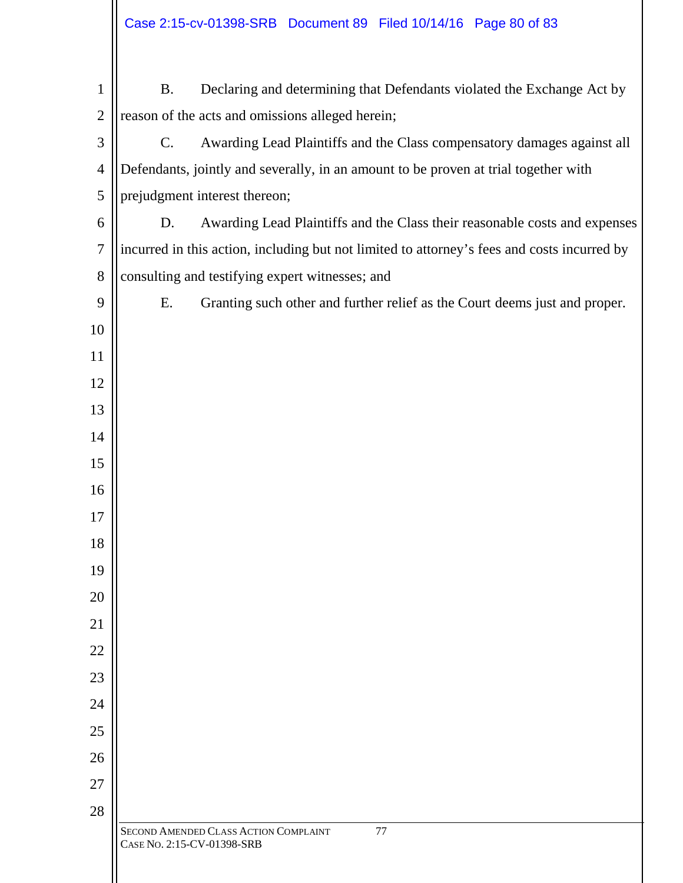| $\mathbf{1}$   | <b>B.</b>                                                                                   | Declaring and determining that Defendants violated the Exchange Act by              |  |  |  |
|----------------|---------------------------------------------------------------------------------------------|-------------------------------------------------------------------------------------|--|--|--|
| $\mathbf{2}$   | reason of the acts and omissions alleged herein;                                            |                                                                                     |  |  |  |
| 3              | $C_{\cdot}$                                                                                 | Awarding Lead Plaintiffs and the Class compensatory damages against all             |  |  |  |
| $\overline{4}$ |                                                                                             | Defendants, jointly and severally, in an amount to be proven at trial together with |  |  |  |
| 5              | prejudgment interest thereon;                                                               |                                                                                     |  |  |  |
| 6              | D.                                                                                          | Awarding Lead Plaintiffs and the Class their reasonable costs and expenses          |  |  |  |
| $\tau$         | incurred in this action, including but not limited to attorney's fees and costs incurred by |                                                                                     |  |  |  |
| $8\,$          | consulting and testifying expert witnesses; and                                             |                                                                                     |  |  |  |
| 9              | E.                                                                                          | Granting such other and further relief as the Court deems just and proper.          |  |  |  |
| 10             |                                                                                             |                                                                                     |  |  |  |
| 11             |                                                                                             |                                                                                     |  |  |  |
| 12             |                                                                                             |                                                                                     |  |  |  |
| 13             |                                                                                             |                                                                                     |  |  |  |
| 14             |                                                                                             |                                                                                     |  |  |  |
| 15             |                                                                                             |                                                                                     |  |  |  |
| 16             |                                                                                             |                                                                                     |  |  |  |
| 17             |                                                                                             |                                                                                     |  |  |  |
| 18             |                                                                                             |                                                                                     |  |  |  |
| 19             |                                                                                             |                                                                                     |  |  |  |
| 20             |                                                                                             |                                                                                     |  |  |  |
| 21             |                                                                                             |                                                                                     |  |  |  |
| 22             |                                                                                             |                                                                                     |  |  |  |
| 23             |                                                                                             |                                                                                     |  |  |  |
| 24             |                                                                                             |                                                                                     |  |  |  |
| 25<br>26       |                                                                                             |                                                                                     |  |  |  |
| 27             |                                                                                             |                                                                                     |  |  |  |
| 28             |                                                                                             |                                                                                     |  |  |  |
|                |                                                                                             | SECOND AMENDED CLASS ACTION COMPLAINT<br>77<br>CASE No. 2:15-CV-01398-SRB           |  |  |  |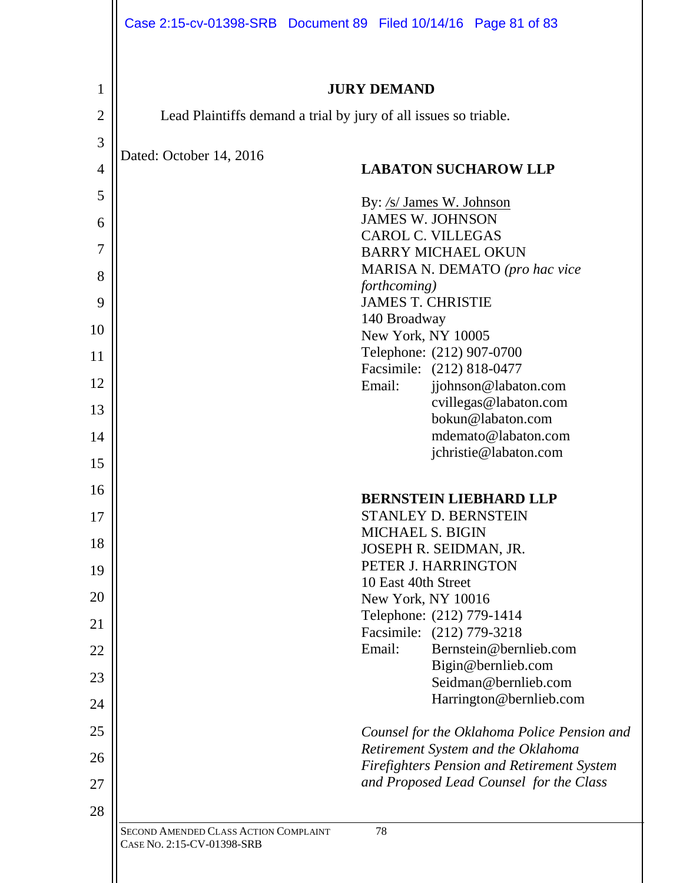| 1              | <b>JURY DEMAND</b>                                                                           |  |  |  |  |  |
|----------------|----------------------------------------------------------------------------------------------|--|--|--|--|--|
| $\overline{2}$ | Lead Plaintiffs demand a trial by jury of all issues so triable.                             |  |  |  |  |  |
| 3              |                                                                                              |  |  |  |  |  |
| $\overline{4}$ | Dated: October 14, 2016<br><b>LABATON SUCHAROW LLP</b>                                       |  |  |  |  |  |
| 5              | By: /s/ James W. Johnson                                                                     |  |  |  |  |  |
| 6              | <b>JAMES W. JOHNSON</b>                                                                      |  |  |  |  |  |
| 7              | <b>CAROL C. VILLEGAS</b><br><b>BARRY MICHAEL OKUN</b>                                        |  |  |  |  |  |
|                | MARISA N. DEMATO (pro hac vice                                                               |  |  |  |  |  |
| 8              | forthcoming)                                                                                 |  |  |  |  |  |
| 9              | <b>JAMES T. CHRISTIE</b>                                                                     |  |  |  |  |  |
| 10             | 140 Broadway<br>New York, NY 10005                                                           |  |  |  |  |  |
| 11             | Telephone: (212) 907-0700                                                                    |  |  |  |  |  |
|                | Facsimile: (212) 818-0477                                                                    |  |  |  |  |  |
| 12             | Email:<br>jjohnson@labaton.com                                                               |  |  |  |  |  |
| 13             | cvillegas@labaton.com<br>bokun@labaton.com                                                   |  |  |  |  |  |
| 14             | mdemato@labaton.com                                                                          |  |  |  |  |  |
| 15             | jchristie@labaton.com                                                                        |  |  |  |  |  |
| 16             |                                                                                              |  |  |  |  |  |
| 17             | <b>BERNSTEIN LIEBHARD LLP</b><br><b>STANLEY D. BERNSTEIN</b>                                 |  |  |  |  |  |
|                | <b>MICHAEL S. BIGIN</b>                                                                      |  |  |  |  |  |
| 18             | JOSEPH R. SEIDMAN, JR.                                                                       |  |  |  |  |  |
| 19             | PETER J. HARRINGTON                                                                          |  |  |  |  |  |
| 20             | 10 East 40th Street<br>New York, NY 10016                                                    |  |  |  |  |  |
|                | Telephone: (212) 779-1414                                                                    |  |  |  |  |  |
| 21             | Facsimile: (212) 779-3218                                                                    |  |  |  |  |  |
| 22             | Email:<br>Bernstein@bernlieb.com                                                             |  |  |  |  |  |
| 23             | Bigin@bernlieb.com<br>Seidman@bernlieb.com                                                   |  |  |  |  |  |
| 24             | Harrington@bernlieb.com                                                                      |  |  |  |  |  |
| 25             | Counsel for the Oklahoma Police Pension and                                                  |  |  |  |  |  |
| 26             | Retirement System and the Oklahoma                                                           |  |  |  |  |  |
| 27             | <b>Firefighters Pension and Retirement System</b><br>and Proposed Lead Counsel for the Class |  |  |  |  |  |
| 28             |                                                                                              |  |  |  |  |  |
|                | SECOND AMENDED CLASS ACTION COMPLAINT<br>78                                                  |  |  |  |  |  |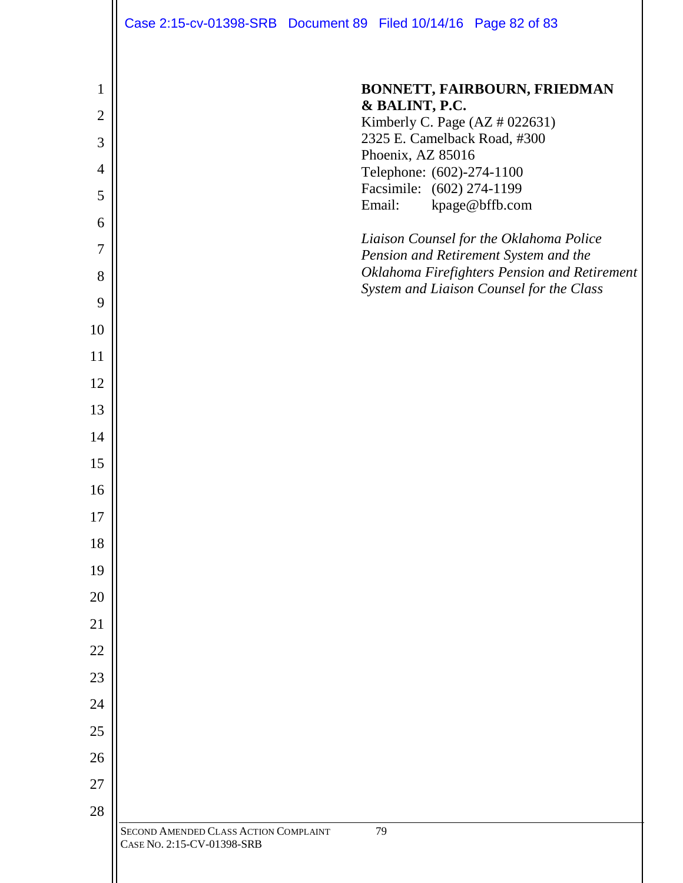| Case 2:15-cv-01398-SRB  Document 89  Filed 10/14/16  Page 82 of 83 |  |  |
|--------------------------------------------------------------------|--|--|

| 1              | BONNETT, FAIRBOURN, FRIEDMAN                                                     |
|----------------|----------------------------------------------------------------------------------|
| $\overline{2}$ | & BALINT, P.C.<br>Kimberly C. Page (AZ # 022631)                                 |
| 3              | 2325 E. Camelback Road, #300                                                     |
| $\overline{4}$ | Phoenix, AZ 85016<br>Telephone: (602)-274-1100                                   |
| 5              | Facsimile: (602) 274-1199<br>kpage@bffb.com<br>Email:                            |
| 6              |                                                                                  |
| $\overline{7}$ | Liaison Counsel for the Oklahoma Police<br>Pension and Retirement System and the |
| 8              | Oklahoma Firefighters Pension and Retirement                                     |
| 9              | System and Liaison Counsel for the Class                                         |
| 10             |                                                                                  |
| 11             |                                                                                  |
| 12             |                                                                                  |
| 13             |                                                                                  |
| 14             |                                                                                  |
| 15             |                                                                                  |
| 16             |                                                                                  |
| 17             |                                                                                  |
| 18             |                                                                                  |
| 19             |                                                                                  |
| 20             |                                                                                  |
| 21             |                                                                                  |
| 22             |                                                                                  |
| 23             |                                                                                  |
| 24             |                                                                                  |
| 25             |                                                                                  |
| 26             |                                                                                  |
| 27             |                                                                                  |
| 28             |                                                                                  |
|                | 79<br>SECOND AMENDED CLASS ACTION COMPLAINT<br>CASE No. 2:15-CV-01398-SRB        |
|                |                                                                                  |